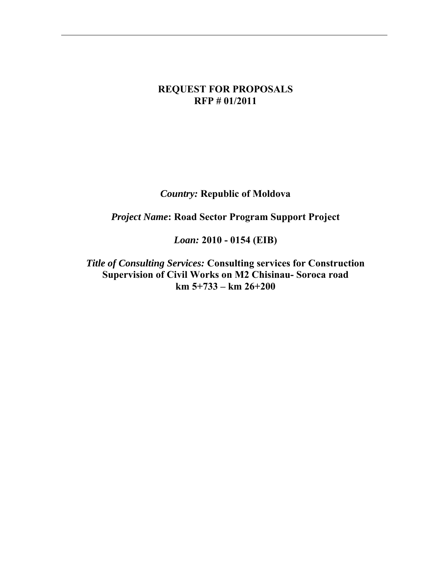#### **REQUEST FOR PROPOSALS RFP # 01/2011**

*Country:* **Republic of Moldova** 

*Project Name***: Road Sector Program Support Project** 

*Loan:* **2010 - 0154 (EIB)** 

*Title of Consulting Services:* **Consulting services for Construction Supervision of Civil Works on M2 Chisinau- Soroca road km 5+733 – km 26+200**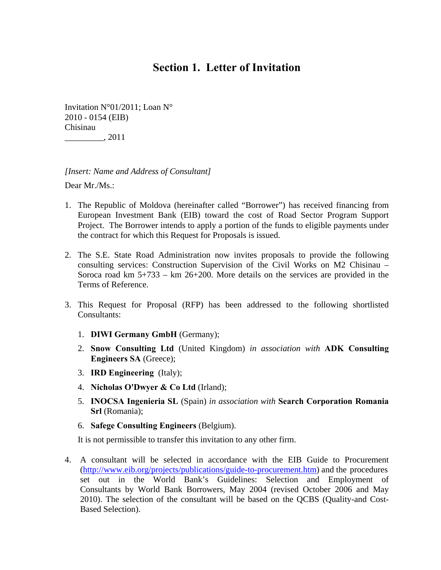# **Section 1. Letter of Invitation**

Invitation N°01/2011; Loan N° 2010 - 0154 (EIB) Chisinau \_\_\_\_\_\_\_\_\_, 2011

*[Insert: Name and Address of Consultant]* 

Dear Mr./Ms.:

- 1. The Republic of Moldova (hereinafter called "Borrower") has received financing from European Investment Bank (EIB) toward the cost of Road Sector Program Support Project. The Borrower intends to apply a portion of the funds to eligible payments under the contract for which this Request for Proposals is issued.
- 2. The S.E. State Road Administration now invites proposals to provide the following consulting services: Construction Supervision of the Civil Works on M2 Chisinau – Soroca road km  $5+733 - km$   $26+200$ . More details on the services are provided in the Terms of Reference.
- 3. This Request for Proposal (RFP) has been addressed to the following shortlisted Consultants:
	- 1. **DIWI Germany GmbH** (Germany);
	- 2. **Snow Consulting Ltd** (United Kingdom) *in association with* **ADK Consulting Engineers SA** (Greece);
	- 3. **IRD Engineering** (Italy);
	- 4. **Nicholas O'Dwyer & Co Ltd** (Irland);
	- 5. **INOCSA Ingenieria SL** (Spain) *in association with* **Search Corporation Romania Srl** (Romania);
	- 6. **Safege Consulting Engineers** (Belgium).

It is not permissible to transfer this invitation to any other firm.

4. A consultant will be selected in accordance with the EIB Guide to Procurement [\(http://www.eib.org/projects/publications/guide-to-procurement.htm\)](http://www.eib.org/projects/publications/guide-to-procurement.htm) and the procedures set out in the World Bank's Guidelines: Selection and Employment of Consultants by World Bank Borrowers, May 2004 (revised October 2006 and May 2010). The selection of the consultant will be based on the QCBS (Quality-and Cost- Based Selection).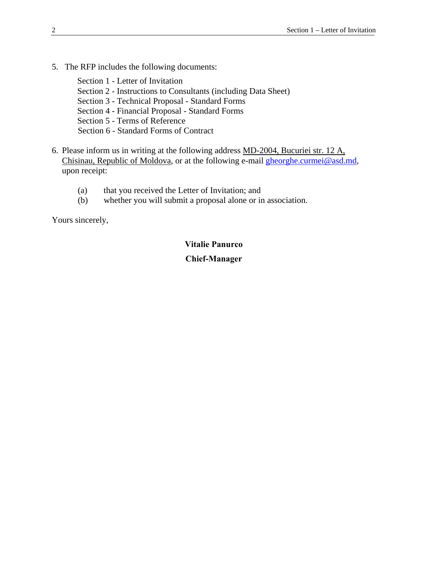- 5. The RFP includes the following documents:
	- Section 1 Letter of Invitation Section 2 - Instructions to Consultants (including Data Sheet) Section 3 - Technical Proposal - Standard Forms Section 4 - Financial Proposal - Standard Forms Section 5 - Terms of Reference Section 6 - Standard Forms of Contract
- 6. Please inform us in writing at the following address MD-2004, Bucuriei str. 12 A, Chisinau, Republic of Moldova, or at the following e-mail [gheorghe.curmei@asd.md](mailto:Usatii@asd.md), upon receipt:
	- (a) that you received the Letter of Invitation; and
	- (b) whether you will submit a proposal alone or in association.

Yours sincerely,

#### **Vitalie Panurco Chief-Manager**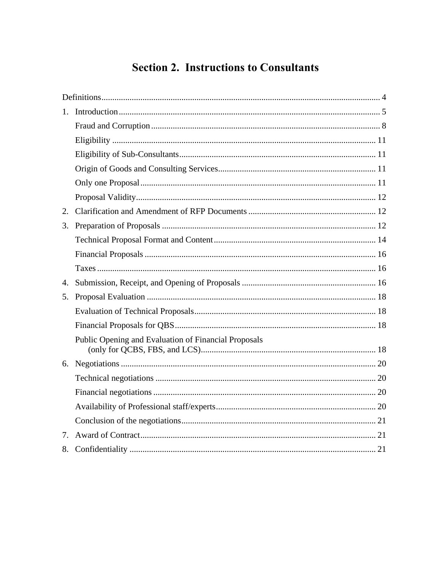# **Section 2. Instructions to Consultants**

| 2. |                                                      |
|----|------------------------------------------------------|
| 3. |                                                      |
|    |                                                      |
|    |                                                      |
|    |                                                      |
| 4. |                                                      |
| 5. |                                                      |
|    |                                                      |
|    |                                                      |
|    | Public Opening and Evaluation of Financial Proposals |
|    |                                                      |
|    |                                                      |
|    |                                                      |
|    |                                                      |
|    |                                                      |
| 7. |                                                      |
| 8. |                                                      |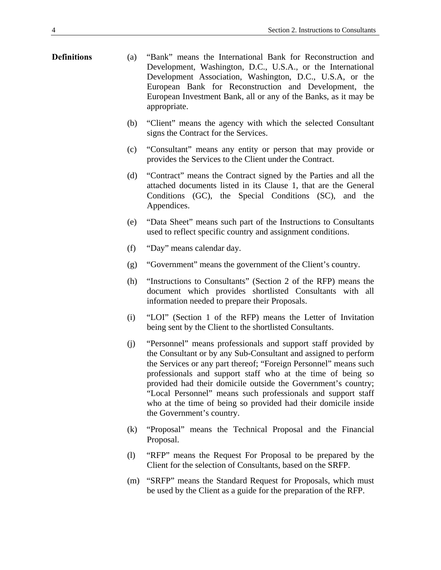- <span id="page-5-0"></span>**Definitions** (a) "Bank" means the International Bank for Reconstruction and Development, Washington, D.C., U.S.A., or the International Development Association, Washington, D.C., U.S.A, or the European Bank for Reconstruction and Development, the European Investment Bank, all or any of the Banks, as it may be appropriate.
	- (b) "Client" means the agency with which the selected Consultant signs the Contract for the Services.
	- (c) "Consultant" means any entity or person that may provide or provides the Services to the Client under the Contract.
	- (d) "Contract" means the Contract signed by the Parties and all the attached documents listed in its Clause 1, that are the General Conditions (GC), the Special Conditions (SC), and the Appendices.
	- (e) "Data Sheet" means such part of the Instructions to Consultants used to reflect specific country and assignment conditions.
	- (f) "Day" means calendar day.
	- (g) "Government" means the government of the Client's country.
	- (h) "Instructions to Consultants" (Section 2 of the RFP) means the document which provides shortlisted Consultants with all information needed to prepare their Proposals.
	- (i) "LOI" (Section 1 of the RFP) means the Letter of Invitation being sent by the Client to the shortlisted Consultants.
	- (j) "Personnel" means professionals and support staff provided by the Consultant or by any Sub-Consultant and assigned to perform the Services or any part thereof; "Foreign Personnel" means such professionals and support staff who at the time of being so provided had their domicile outside the Government's country; "Local Personnel" means such professionals and support staff who at the time of being so provided had their domicile inside the Government's country.
	- (k) "Proposal" means the Technical Proposal and the Financial Proposal.
	- (l) "RFP" means the Request For Proposal to be prepared by the Client for the selection of Consultants, based on the SRFP.
	- (m) "SRFP" means the Standard Request for Proposals, which must be used by the Client as a guide for the preparation of the RFP.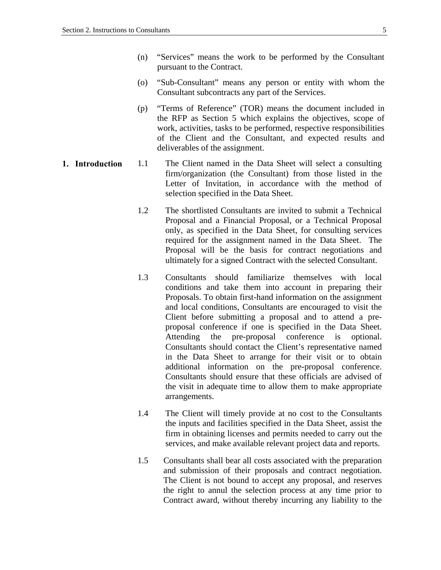- <span id="page-6-0"></span>(n) "Services" means the work to be performed by the Consultant pursuant to the Contract.
- (o) "Sub-Consultant" means any person or entity with whom the Consultant subcontracts any part of the Services.
- (p) "Terms of Reference" (TOR) means the document included in the RFP as Section 5 which explains the objectives, scope of work, activities, tasks to be performed, respective responsibilities of the Client and the Consultant, and expected results and deliverables of the assignment.
- **1. Introduction** 1.1 The Client named in the Data Sheet will select a consulting firm/organization (the Consultant) from those listed in the Letter of Invitation, in accordance with the method of selection specified in the Data Sheet.
	- 1.2 The shortlisted Consultants are invited to submit a Technical Proposal and a Financial Proposal, or a Technical Proposal only, as specified in the Data Sheet, for consulting services required for the assignment named in the Data Sheet. The Proposal will be the basis for contract negotiations and ultimately for a signed Contract with the selected Consultant.
	- 1.3 Consultants should familiarize themselves with local conditions and take them into account in preparing their Proposals. To obtain first-hand information on the assignment and local conditions, Consultants are encouraged to visit the Client before submitting a proposal and to attend a preproposal conference if one is specified in the Data Sheet. Attending the pre-proposal conference is optional. Consultants should contact the Client's representative named in the Data Sheet to arrange for their visit or to obtain additional information on the pre-proposal conference. Consultants should ensure that these officials are advised of the visit in adequate time to allow them to make appropriate arrangements.
	- 1.4 The Client will timely provide at no cost to the Consultants the inputs and facilities specified in the Data Sheet, assist the firm in obtaining licenses and permits needed to carry out the services, and make available relevant project data and reports.
	- 1.5 Consultants shall bear all costs associated with the preparation and submission of their proposals and contract negotiation. The Client is not bound to accept any proposal, and reserves the right to annul the selection process at any time prior to Contract award, without thereby incurring any liability to the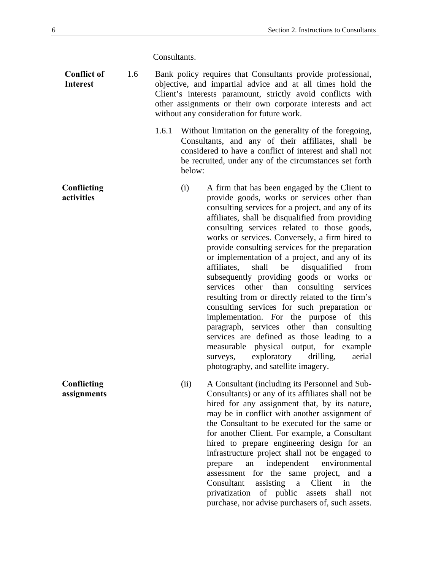Consultants.

- **Conflict of Interest**  1.6 Bank policy requires that Consultants provide professional, objective, and impartial advice and at all times hold the Client's interests paramount, strictly avoid conflicts with other assignments or their own corporate interests and act without any consideration for future work.
	- 1.6.1 Without limitation on the generality of the foregoing, Consultants, and any of their affiliates, shall be considered to have a conflict of interest and shall not be recruited, under any of the circumstances set forth below:
- **Conflicting activities**  (i) A firm that has been engaged by the Client to provide goods, works or services other than consulting services for a project, and any of its affiliates, shall be disqualified from providing consulting services related to those goods, works or services. Conversely, a firm hired to provide consulting services for the preparation or implementation of a project, and any of its affiliates, shall be disqualified from subsequently providing goods or works or services other than consulting services resulting from or directly related to the firm's consulting services for such preparation or implementation. For the purpose of this paragraph, services other than consulting services are defined as those leading to a measurable physical output, for example surveys, exploratory drilling, aerial photography, and satellite imagery.
	- (ii) A Consultant (including its Personnel and Sub-Consultants) or any of its affiliates shall not be hired for any assignment that, by its nature, may be in conflict with another assignment of the Consultant to be executed for the same or for another Client. For example, a Consultant hired to prepare engineering design for an infrastructure project shall not be engaged to prepare an independent environmental assessment for the same project, and a Consultant assisting a Client in the privatization of public assets shall not purchase, nor advise purchasers of, such assets.

**Conflicting assignments**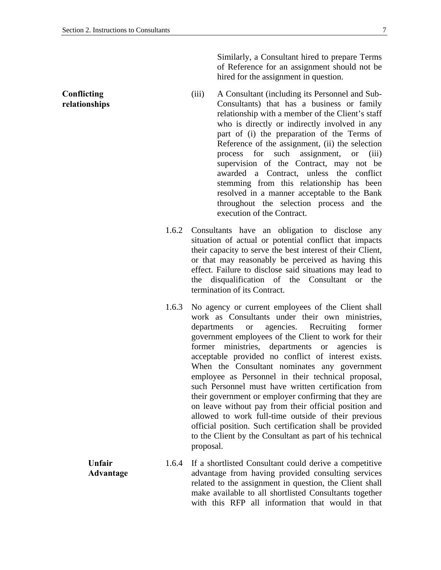Similarly, a Consultant hired to prepare Terms of Reference for an assignment should not be hired for the assignment in question.

- (iii) A Consultant (including its Personnel and Sub-Consultants) that has a business or family relationship with a member of the Client's staff who is directly or indirectly involved in any part of (i) the preparation of the Terms of Reference of the assignment, (ii) the selection process for such assignment, or (iii) supervision of the Contract, may not be awarded a Contract, unless the conflict stemming from this relationship has been resolved in a manner acceptable to the Bank throughout the selection process and the execution of the Contract.
- 1.6.2 Consultants have an obligation to disclose any situation of actual or potential conflict that impacts their capacity to serve the best interest of their Client, or that may reasonably be perceived as having this effect. Failure to disclose said situations may lead to the disqualification of the Consultant or the termination of its Contract.
- 1.6.3 No agency or current employees of the Client shall work as Consultants under their own ministries, departments or agencies. Recruiting former government employees of the Client to work for their former ministries, departments or agencies is acceptable provided no conflict of interest exists. When the Consultant nominates any government employee as Personnel in their technical proposal, such Personnel must have written certification from their government or employer confirming that they are on leave without pay from their official position and allowed to work full-time outside of their previous official position. Such certification shall be provided to the Client by the Consultant as part of his technical proposal.

**Unfair Advantage**  1.6.4 If a shortlisted Consultant could derive a competitive advantage from having provided consulting services related to the assignment in question, the Client shall make available to all shortlisted Consultants together with this RFP all information that would in that

**Conflicting relationships**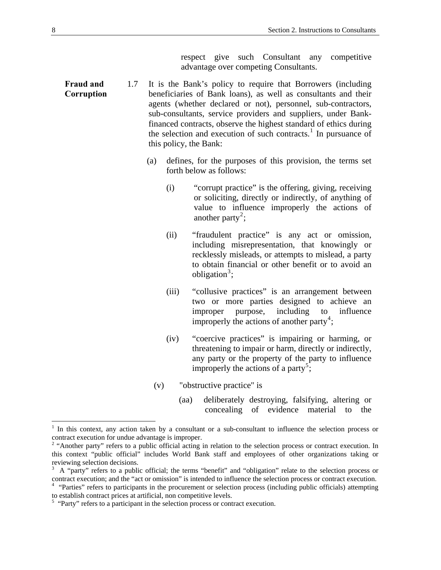respect give such Consultant any competitive advantage over competing Consultants.

- <span id="page-9-0"></span>**Fraud and Corruption** 1.7 It is the Bank's policy to require that Borrowers (including beneficiaries of Bank loans), as well as consultants and their agents (whether declared or not), personnel, sub-contractors, sub-consultants, service providers and suppliers, under Bankfinanced contracts, observe the highest standard of ethics during the selection and execution of such contracts.<sup>[1](#page-9-1)</sup> In pursuance of this policy, the Bank:
	- (a) defines, for the purposes of this provision, the terms set forth below as follows:
		- (i) "corrupt practice" is the offering, giving, receiving or soliciting, directly or indirectly, of anything of value to influence improperly the actions of another party<sup>[2](#page-9-2)</sup>;
		- (ii) "fraudulent practice" is any act or omission, including misrepresentation, that knowingly or recklessly misleads, or attempts to mislead, a party to obtain financial or other benefit or to avoid an obligation<sup>[3](#page-9-3)</sup>;
		- (iii) "collusive practices" is an arrangement between two or more parties designed to achieve an improper purpose, including to influence improperly the actions of another party<sup>[4](#page-9-4)</sup>;
		- (iv) "coercive practices" is impairing or harming, or threatening to impair or harm, directly or indirectly, any party or the property of the party to influence improperly the actions of a party<sup>[5](#page-9-5)</sup>;
		- (v) "obstructive practice" is
			- (aa) deliberately destroying, falsifying, altering or concealing of evidence material to the

1

<sup>&</sup>lt;sup>1</sup> In this context, any action taken by a consultant or a sub-consultant to influence the selection process or contract execution for undue advantage is improper. 2 "Another party" refers to a public official acting in relation to the selection process or contract execution. In

this context "public official" includes World Bank staff and employees of other organizations taking or reviewing selection decisions.

<sup>3</sup> A "party" refers to a public official; the terms "benefit" and "obligation" relate to the selection process or contract execution; and the "act or omission" is intended to influence the selection process or contract execution.

 $4$  "Parties" refers to participants in the procurement or selection process (including public officials) attempting to establish contract prices at artificial, non competitive levels.

<span id="page-9-5"></span><span id="page-9-4"></span><span id="page-9-3"></span><span id="page-9-2"></span><span id="page-9-1"></span> $<sup>5</sup>$  "Party" refers to a participant in the selection process or contract execution.</sup>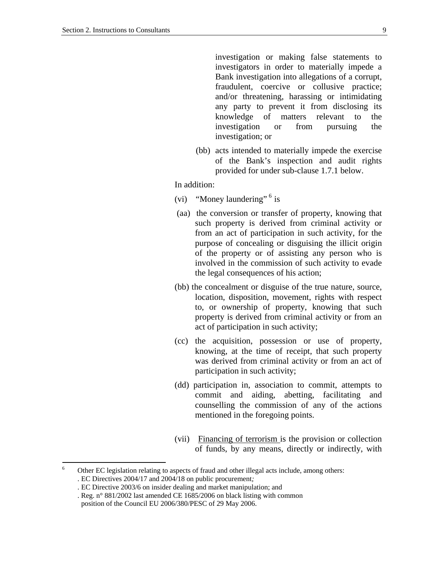investigation or making false statements to investigators in order to materially impede a Bank investigation into allegations of a corrupt, fraudulent, coercive or collusive practice; and/or threatening, harassing or intimidating any party to prevent it from disclosing its knowledge of matters relevant to the investigation or from pursuing the investigation; or

(bb) acts intended to materially impede the exercise of the Bank's inspection and audit rights provided for under sub-clause 1.7.1 below.

In addition:

- (vi) "Money laundering"  $6$  is
- (aa) the conversion or transfer of property, knowing that such property is derived from criminal activity or from an act of participation in such activity, for the purpose of concealing or disguising the illicit origin of the property or of assisting any person who is involved in the commission of such activity to evade the legal consequences of his action;
- (bb) the concealment or disguise of the true nature, source, location, disposition, movement, rights with respect to, or ownership of property, knowing that such property is derived from criminal activity or from an act of participation in such activity;
- (cc) the acquisition, possession or use of property, knowing, at the time of receipt, that such property was derived from criminal activity or from an act of participation in such activity;
- (dd) participation in, association to commit, attempts to commit and aiding, abetting, facilitating and counselling the commission of any of the actions mentioned in the foregoing points.
- (vii) Financing of terrorism is the provision or collection of funds, by any means, directly or indirectly, with

 6 Other EC legislation relating to aspects of fraud and other illegal acts include, among others: . EC Directives 2004/17 and 2004/18 on public procurement*;* 

<sup>.</sup> EC Directive 2003/6 on insider dealing and market manipulation; and

<sup>.</sup> Reg. n° 881/2002 last amended CE 1685/2006 on black listing with common

<span id="page-10-0"></span>position of the Council EU 2006/380/PESC of 29 May 2006.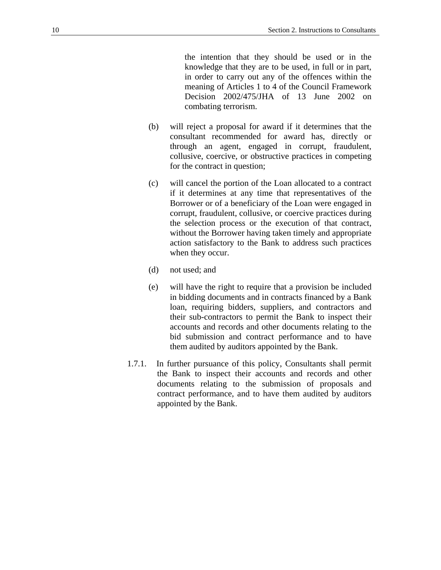the intention that they should be used or in the knowledge that they are to be used, in full or in part, in order to carry out any of the offences within the meaning of Articles 1 to 4 of the Council Framework Decision 2002/475/JHA of 13 June 2002 on combating terrorism.

- (b) will reject a proposal for award if it determines that the consultant recommended for award has, directly or through an agent, engaged in corrupt, fraudulent, collusive, coercive, or obstructive practices in competing for the contract in question;
- (c) will cancel the portion of the Loan allocated to a contract if it determines at any time that representatives of the Borrower or of a beneficiary of the Loan were engaged in corrupt, fraudulent, collusive, or coercive practices during the selection process or the execution of that contract, without the Borrower having taken timely and appropriate action satisfactory to the Bank to address such practices when they occur.
- (d) not used; and
- (e) will have the right to require that a provision be included in bidding documents and in contracts financed by a Bank loan, requiring bidders, suppliers, and contractors and their sub-contractors to permit the Bank to inspect their accounts and records and other documents relating to the bid submission and contract performance and to have them audited by auditors appointed by the Bank.
- 1.7.1. In further pursuance of this policy, Consultants shall permit the Bank to inspect their accounts and records and other documents relating to the submission of proposals and contract performance, and to have them audited by auditors appointed by the Bank.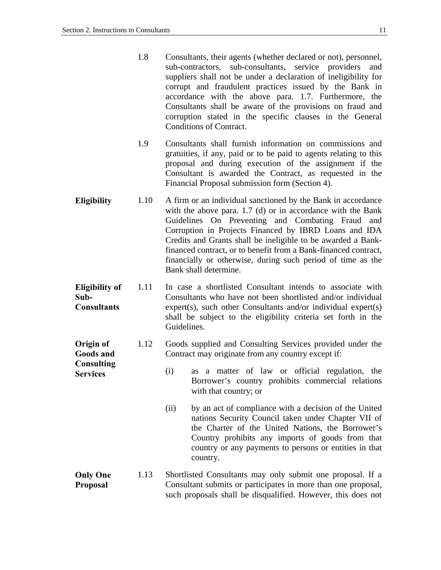**Consulting Services** 

- <span id="page-12-0"></span>1.8 Consultants, their agents (whether declared or not), personnel, sub-contractors, sub-consultants, service providers and suppliers shall not be under a declaration of ineligibility for corrupt and fraudulent practices issued by the Bank in accordance with the above para. 1.7. Furthermore, the Consultants shall be aware of the provisions on fraud and corruption stated in the specific clauses in the General Conditions of Contract.
- 1.9 Consultants shall furnish information on commissions and gratuities, if any, paid or to be paid to agents relating to this proposal and during execution of the assignment if the Consultant is awarded the Contract, as requested in the Financial Proposal submission form (Section 4).
- **Eligibility** 1.10 A firm or an individual sanctioned by the Bank in accordance with the above para. 1.7 (d) or in accordance with the Bank Guidelines On Preventing and Combating Fraud and Corruption in Projects Financed by IBRD Loans and IDA Credits and Grants shall be ineligible to be awarded a Bankfinanced contract, or to benefit from a Bank-financed contract, financially or otherwise, during such period of time as the Bank shall determine.
- **Eligibility of Sub-Consultants**  1.11 In case a shortlisted Consultant intends to associate with Consultants who have not been shortlisted and/or individual expert(s), such other Consultants and/or individual expert(s) shall be subject to the eligibility criteria set forth in the Guidelines.
- **Origin of Goods and**  1.12 Goods supplied and Consulting Services provided under the Contract may originate from any country except if:
	- (i) as a matter of law or official regulation, the Borrower's country prohibits commercial relations with that country; or
		- (ii) by an act of compliance with a decision of the United nations Security Council taken under Chapter VII of the Charter of the United Nations, the Borrower's Country prohibits any imports of goods from that country or any payments to persons or entities in that country.
- **Only One Proposal**  1.13 Shortlisted Consultants may only submit one proposal. If a Consultant submits or participates in more than one proposal, such proposals shall be disqualified. However, this does not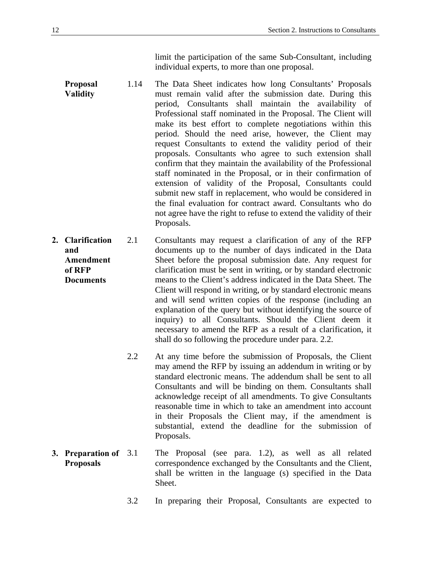limit the participation of the same Sub-Consultant, including individual experts, to more than one proposal.

- <span id="page-13-0"></span>**Proposal Validity**  1.14 The Data Sheet indicates how long Consultants' Proposals must remain valid after the submission date. During this period, Consultants shall maintain the availability of Professional staff nominated in the Proposal. The Client will make its best effort to complete negotiations within this period. Should the need arise, however, the Client may request Consultants to extend the validity period of their proposals. Consultants who agree to such extension shall confirm that they maintain the availability of the Professional staff nominated in the Proposal, or in their confirmation of extension of validity of the Proposal, Consultants could submit new staff in replacement, who would be considered in the final evaluation for contract award. Consultants who do not agree have the right to refuse to extend the validity of their Proposals.
- **2. Clarification and Amendment of RFP Documents**  2.1 Consultants may request a clarification of any of the RFP documents up to the number of days indicated in the Data Sheet before the proposal submission date. Any request for clarification must be sent in writing, or by standard electronic means to the Client's address indicated in the Data Sheet. The Client will respond in writing, or by standard electronic means and will send written copies of the response (including an explanation of the query but without identifying the source of inquiry) to all Consultants. Should the Client deem it necessary to amend the RFP as a result of a clarification, it shall do so following the procedure under para. 2.2.
	- 2.2 At any time before the submission of Proposals, the Client may amend the RFP by issuing an addendum in writing or by standard electronic means. The addendum shall be sent to all Consultants and will be binding on them. Consultants shall acknowledge receipt of all amendments. To give Consultants reasonable time in which to take an amendment into account in their Proposals the Client may, if the amendment is substantial, extend the deadline for the submission of Proposals.
- **3. Preparation of Proposals**  The Proposal (see para. 1.2), as well as all related correspondence exchanged by the Consultants and the Client, shall be written in the language (s) specified in the Data Sheet.
	- 3.2 In preparing their Proposal, Consultants are expected to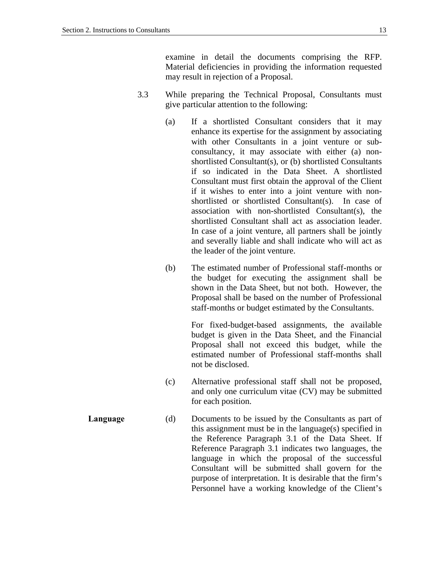examine in detail the documents comprising the RFP. Material deficiencies in providing the information requested may result in rejection of a Proposal.

- 3.3 While preparing the Technical Proposal, Consultants must give particular attention to the following:
	- (a) If a shortlisted Consultant considers that it may enhance its expertise for the assignment by associating with other Consultants in a joint venture or subconsultancy, it may associate with either (a) nonshortlisted Consultant(s), or (b) shortlisted Consultants if so indicated in the Data Sheet. A shortlisted Consultant must first obtain the approval of the Client if it wishes to enter into a joint venture with nonshortlisted or shortlisted Consultant(s). In case of association with non-shortlisted Consultant(s), the shortlisted Consultant shall act as association leader. In case of a joint venture, all partners shall be jointly and severally liable and shall indicate who will act as the leader of the joint venture.
	- (b) The estimated number of Professional staff-months or the budget for executing the assignment shall be shown in the Data Sheet, but not both. However, the Proposal shall be based on the number of Professional staff-months or budget estimated by the Consultants.

For fixed-budget-based assignments, the available budget is given in the Data Sheet, and the Financial Proposal shall not exceed this budget, while the estimated number of Professional staff-months shall not be disclosed.

- (c) Alternative professional staff shall not be proposed, and only one curriculum vitae (CV) may be submitted for each position.
- **Language** (d) Documents to be issued by the Consultants as part of this assignment must be in the language(s) specified in the Reference Paragraph 3.1 of the Data Sheet. If Reference Paragraph 3.1 indicates two languages, the language in which the proposal of the successful Consultant will be submitted shall govern for the purpose of interpretation. It is desirable that the firm's Personnel have a working knowledge of the Client's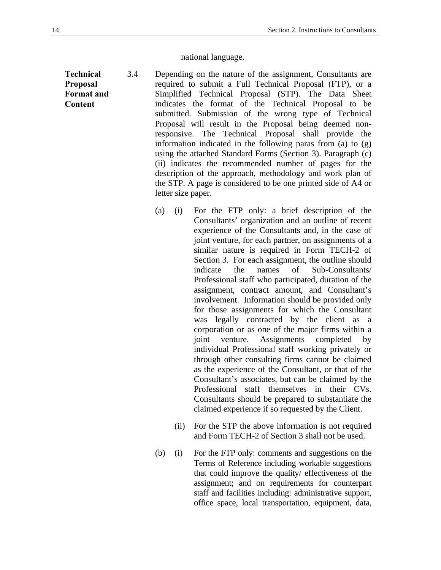#### national language.

- <span id="page-15-0"></span>**Technical Proposal Format and Content**  3.4 Depending on the nature of the assignment, Consultants are required to submit a Full Technical Proposal (FTP), or a Simplified Technical Proposal (STP). The Data Sheet indicates the format of the Technical Proposal to be submitted. Submission of the wrong type of Technical Proposal will result in the Proposal being deemed nonresponsive. The Technical Proposal shall provide the information indicated in the following paras from (a) to (g) using the attached Standard Forms (Section 3). Paragraph (c) (ii) indicates the recommended number of pages for the description of the approach, methodology and work plan of the STP. A page is considered to be one printed side of A4 or letter size paper.
	- (a) (i) For the FTP only: a brief description of the Consultants' organization and an outline of recent experience of the Consultants and, in the case of joint venture, for each partner, on assignments of a similar nature is required in Form TECH-2 of Section 3. For each assignment, the outline should indicate the names of Sub-Consultants/ Professional staff who participated, duration of the assignment, contract amount, and Consultant's involvement. Information should be provided only for those assignments for which the Consultant was legally contracted by the client as a corporation or as one of the major firms within a joint venture. Assignments completed by individual Professional staff working privately or through other consulting firms cannot be claimed as the experience of the Consultant, or that of the Consultant's associates, but can be claimed by the Professional staff themselves in their CVs. Consultants should be prepared to substantiate the claimed experience if so requested by the Client.
		- (ii) For the STP the above information is not required and Form TECH-2 of Section 3 shall not be used.
	- (b) (i) For the FTP only: comments and suggestions on the Terms of Reference including workable suggestions that could improve the quality/ effectiveness of the assignment; and on requirements for counterpart staff and facilities including: administrative support, office space, local transportation, equipment, data,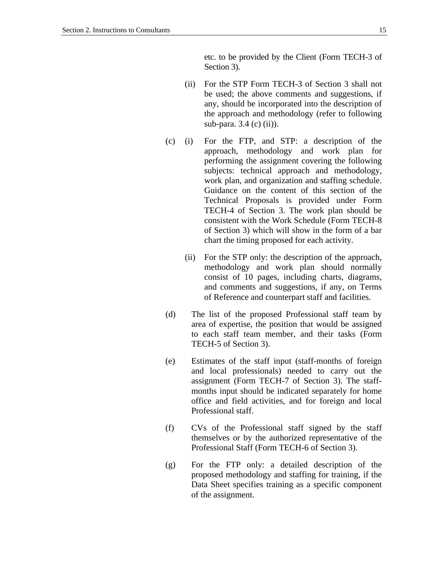etc. to be provided by the Client (Form TECH-3 of Section 3).

- (ii) For the STP Form TECH-3 of Section 3 shall not be used; the above comments and suggestions, if any, should be incorporated into the description of the approach and methodology (refer to following sub-para. 3.4 (c) (ii)).
- (c) (i) For the FTP, and STP: a description of the approach, methodology and work plan for performing the assignment covering the following subjects: technical approach and methodology, work plan, and organization and staffing schedule. Guidance on the content of this section of the Technical Proposals is provided under Form TECH-4 of Section 3. The work plan should be consistent with the Work Schedule (Form TECH-8 of Section 3) which will show in the form of a bar chart the timing proposed for each activity.
	- (ii) For the STP only: the description of the approach, methodology and work plan should normally consist of 10 pages, including charts, diagrams, and comments and suggestions, if any, on Terms of Reference and counterpart staff and facilities.
- (d) The list of the proposed Professional staff team by area of expertise, the position that would be assigned to each staff team member, and their tasks (Form TECH-5 of Section 3).
- (e) Estimates of the staff input (staff*-*months of foreign and local professionals) needed to carry out the assignment (Form TECH-7 of Section 3). The staffmonths input should be indicated separately for home office and field activities, and for foreign and local Professional staff.
- (f) CVs of the Professional staff signed by the staff themselves or by the authorized representative of the Professional Staff (Form TECH-6 of Section 3).
- (g) For the FTP only: a detailed description of the proposed methodology and staffing for training, if the Data Sheet specifies training as a specific component of the assignment.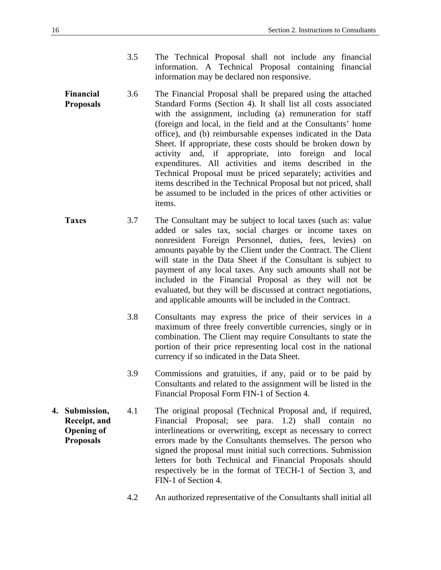- 3.5 The Technical Proposal shall not include any financial information. A Technical Proposal containing financial information may be declared non responsive.
- <span id="page-17-0"></span>**Financial Proposals**  3.6 The Financial Proposal shall be prepared using the attached Standard Forms (Section 4). It shall list all costs associated with the assignment, including (a) remuneration for staff (foreign and local, in the field and at the Consultants' home office), and (b) reimbursable expenses indicated in the Data Sheet. If appropriate, these costs should be broken down by activity and, if appropriate, into foreign and local expenditures. All activities and items described in the Technical Proposal must be priced separately; activities and items described in the Technical Proposal but not priced, shall be assumed to be included in the prices of other activities or items.
- **Taxes** 3.7 The Consultant may be subject to local taxes (such as: value added or sales tax, social charges or income taxes on nonresident Foreign Personnel, duties, fees, levies) on amounts payable by the Client under the Contract. The Client will state in the Data Sheet if the Consultant is subject to payment of any local taxes. Any such amounts shall not be included in the Financial Proposal as they will not be evaluated, but they will be discussed at contract negotiations, and applicable amounts will be included in the Contract.
	- 3.8 Consultants may express the price of their services in a maximum of three freely convertible currencies, singly or in combination. The Client may require Consultants to state the portion of their price representing local cost in the national currency if so indicated in the Data Sheet.
	- 3.9 Commissions and gratuities, if any, paid or to be paid by Consultants and related to the assignment will be listed in the Financial Proposal Form FIN-1 of Section 4.
- **4. Submission, Receipt, and Opening of Proposals**  4.1 The original proposal (Technical Proposal and, if required, Financial Proposal; see para. 1.2) shall contain no interlineations or overwriting, except as necessary to correct errors made by the Consultants themselves. The person who signed the proposal must initial such corrections. Submission letters for both Technical and Financial Proposals should respectively be in the format of TECH-1 of Section 3, and FIN-1 of Section 4.
	- 4.2 An authorized representative of the Consultants shall initial all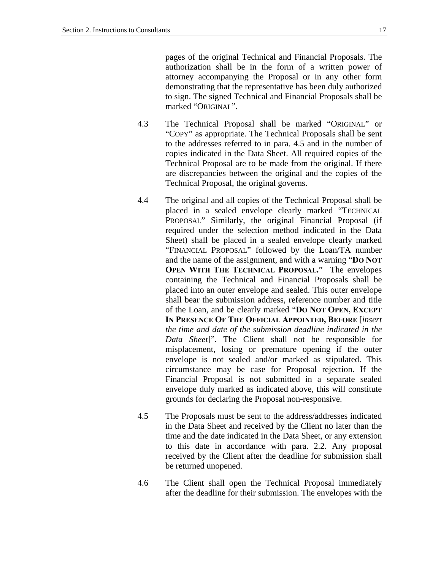pages of the original Technical and Financial Proposals. The authorization shall be in the form of a written power of attorney accompanying the Proposal or in any other form demonstrating that the representative has been duly authorized to sign. The signed Technical and Financial Proposals shall be marked "ORIGINAL".

- 4.3 The Technical Proposal shall be marked "ORIGINAL" or "COPY" as appropriate. The Technical Proposals shall be sent to the addresses referred to in para. 4.5 and in the number of copies indicated in the Data Sheet. All required copies of the Technical Proposal are to be made from the original. If there are discrepancies between the original and the copies of the Technical Proposal, the original governs.
- 4.4 The original and all copies of the Technical Proposal shall be placed in a sealed envelope clearly marked "TECHNICAL PROPOSAL" Similarly, the original Financial Proposal (if required under the selection method indicated in the Data Sheet) shall be placed in a sealed envelope clearly marked "FINANCIAL PROPOSAL" followed by the Loan/TA number and the name of the assignment, and with a warning "**DO NOT OPEN WITH THE TECHNICAL PROPOSAL.**" The envelopes containing the Technical and Financial Proposals shall be placed into an outer envelope and sealed. This outer envelope shall bear the submission address, reference number and title of the Loan, and be clearly marked "**DO NOT OPEN, EXCEPT IN PRESENCE OF THE OFFICIAL APPOINTED, BEFORE** [*insert the time and date of the submission deadline indicated in the Data Sheet*]". The Client shall not be responsible for misplacement, losing or premature opening if the outer envelope is not sealed and/or marked as stipulated. This circumstance may be case for Proposal rejection. If the Financial Proposal is not submitted in a separate sealed envelope duly marked as indicated above, this will constitute grounds for declaring the Proposal non-responsive.
- 4.5 The Proposals must be sent to the address/addresses indicated in the Data Sheet and received by the Client no later than the time and the date indicated in the Data Sheet, or any extension to this date in accordance with para. 2.2. Any proposal received by the Client after the deadline for submission shall be returned unopened.
- 4.6 The Client shall open the Technical Proposal immediately after the deadline for their submission. The envelopes with the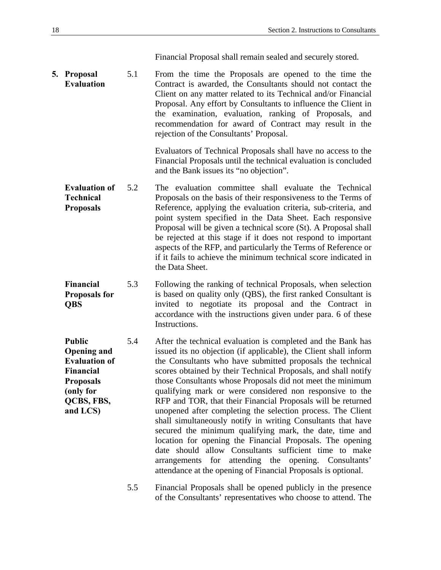Financial Proposal shall remain sealed and securely stored.

<span id="page-19-0"></span>**5. Proposal Evaluation**  5.1 From the time the Proposals are opened to the time the Contract is awarded, the Consultants should not contact the Client on any matter related to its Technical and/or Financial Proposal. Any effort by Consultants to influence the Client in the examination, evaluation, ranking of Proposals, and recommendation for award of Contract may result in the rejection of the Consultants' Proposal.

> Evaluators of Technical Proposals shall have no access to the Financial Proposals until the technical evaluation is concluded and the Bank issues its "no objection".

- **Evaluation of Technical Proposals**  5.2 The evaluation committee shall evaluate the Technical Proposals on the basis of their responsiveness to the Terms of Reference, applying the evaluation criteria, sub-criteria, and point system specified in the Data Sheet. Each responsive Proposal will be given a technical score (St). A Proposal shall be rejected at this stage if it does not respond to important aspects of the RFP, and particularly the Terms of Reference or if it fails to achieve the minimum technical score indicated in the Data Sheet.
- **Financial Proposals for QBS**  5.3 Following the ranking of technical Proposals, when selection is based on quality only (QBS), the first ranked Consultant is invited to negotiate its proposal and the Contract in accordance with the instructions given under para. 6 of these Instructions.

**Public Opening and Evaluation of Financial Proposals (only for QCBS, FBS, and LCS)**  5.4 After the technical evaluation is completed and the Bank has issued its no objection (if applicable), the Client shall inform the Consultants who have submitted proposals the technical scores obtained by their Technical Proposals, and shall notify those Consultants whose Proposals did not meet the minimum qualifying mark or were considered non responsive to the RFP and TOR, that their Financial Proposals will be returned unopened after completing the selection process. The Client shall simultaneously notify in writing Consultants that have secured the minimum qualifying mark, the date, time and location for opening the Financial Proposals. The opening date should allow Consultants sufficient time to make arrangements for attending the opening. Consultants' attendance at the opening of Financial Proposals is optional.

> 5.5 Financial Proposals shall be opened publicly in the presence of the Consultants' representatives who choose to attend. The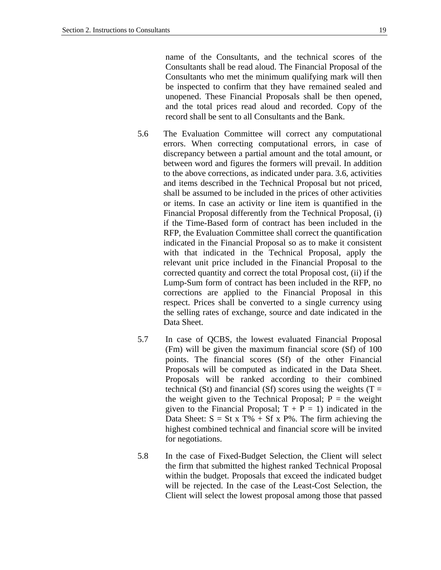name of the Consultants, and the technical scores of the Consultants shall be read aloud. The Financial Proposal of the Consultants who met the minimum qualifying mark will then be inspected to confirm that they have remained sealed and unopened. These Financial Proposals shall be then opened, and the total prices read aloud and recorded. Copy of the record shall be sent to all Consultants and the Bank.

- 5.6 The Evaluation Committee will correct any computational errors. When correcting computational errors, in case of discrepancy between a partial amount and the total amount, or between word and figures the formers will prevail. In addition to the above corrections, as indicated under para. 3.6, activities and items described in the Technical Proposal but not priced, shall be assumed to be included in the prices of other activities or items. In case an activity or line item is quantified in the Financial Proposal differently from the Technical Proposal, (i) if the Time-Based form of contract has been included in the RFP, the Evaluation Committee shall correct the quantification indicated in the Financial Proposal so as to make it consistent with that indicated in the Technical Proposal, apply the relevant unit price included in the Financial Proposal to the corrected quantity and correct the total Proposal cost, (ii) if the Lump-Sum form of contract has been included in the RFP, no corrections are applied to the Financial Proposal in this respect. Prices shall be converted to a single currency using the selling rates of exchange, source and date indicated in the Data Sheet.
- 5.7 In case of QCBS*,* the lowest evaluated Financial Proposal (Fm) will be given the maximum financial score (Sf) of 100 points. The financial scores (Sf) of the other Financial Proposals will be computed as indicated in the Data Sheet. Proposals will be ranked according to their combined technical (St) and financial (Sf) scores using the weights ( $T =$ the weight given to the Technical Proposal;  $P =$  the weight given to the Financial Proposal;  $T + P = 1$ ) indicated in the Data Sheet:  $S = St x T\% + Sf x P\%$ . The firm achieving the highest combined technical and financial score will be invited for negotiations.
- 5.8 In the case of Fixed-Budget Selection, the Client will select the firm that submitted the highest ranked Technical Proposal within the budget. Proposals that exceed the indicated budget will be rejected. In the case of the Least-Cost Selection, the Client will select the lowest proposal among those that passed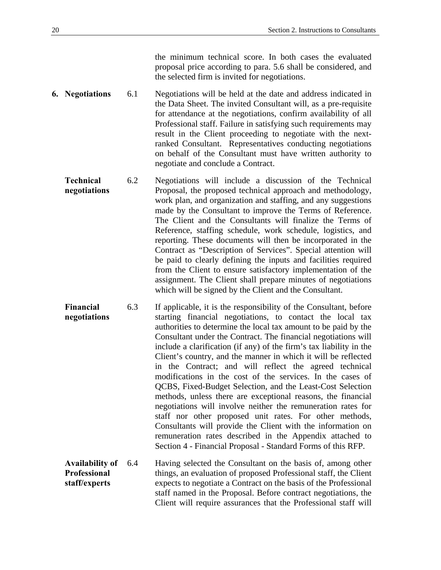the minimum technical score. In both cases the evaluated proposal price according to para. 5.6 shall be considered, and the selected firm is invited for negotiations.

- <span id="page-21-0"></span>**6. Negotiations** 6.1 Negotiations will be held at the date and address indicated in the Data Sheet. The invited Consultant will, as a pre-requisite for attendance at the negotiations, confirm availability of all Professional staff. Failure in satisfying such requirements may result in the Client proceeding to negotiate with the nextranked Consultant. Representatives conducting negotiations on behalf of the Consultant must have written authority to negotiate and conclude a Contract.
	- **Technical negotiations**  6.2 Negotiations will include a discussion of the Technical Proposal, the proposed technical approach and methodology, work plan, and organization and staffing, and any suggestions made by the Consultant to improve the Terms of Reference. The Client and the Consultants will finalize the Terms of Reference, staffing schedule, work schedule, logistics, and reporting. These documents will then be incorporated in the Contract as "Description of Services". Special attention will be paid to clearly defining the inputs and facilities required from the Client to ensure satisfactory implementation of the assignment. The Client shall prepare minutes of negotiations which will be signed by the Client and the Consultant.
	- **Financial negotiations**  6.3 If applicable, it is the responsibility of the Consultant, before starting financial negotiations, to contact the local tax authorities to determine the local tax amount to be paid by the Consultant under the Contract. The financial negotiations will include a clarification (if any) of the firm's tax liability in the Client's country, and the manner in which it will be reflected in the Contract; and will reflect the agreed technical modifications in the cost of the services. In the cases of QCBS, Fixed-Budget Selection, and the Least-Cost Selection methods, unless there are exceptional reasons, the financial negotiations will involve neither the remuneration rates for staff nor other proposed unit rates. For other methods, Consultants will provide the Client with the information on remuneration rates described in the Appendix attached to Section 4 - Financial Proposal - Standard Forms of this RFP.

**Availability of Professional staff/experts**  6.4 Having selected the Consultant on the basis of, among other things, an evaluation of proposed Professional staff, the Client expects to negotiate a Contract on the basis of the Professional staff named in the Proposal. Before contract negotiations, the Client will require assurances that the Professional staff will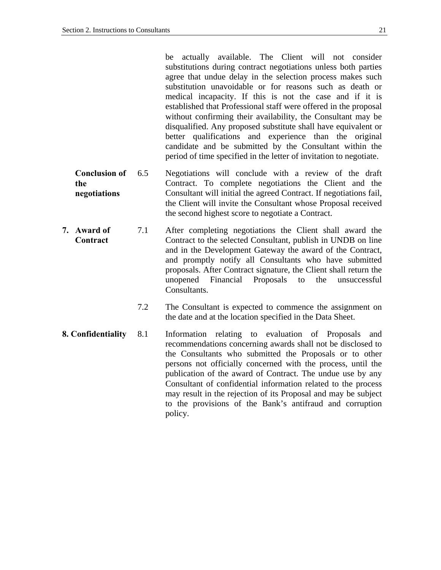<span id="page-22-0"></span>

|    |                                             |     | be actually available. The Client will not consider<br>substitutions during contract negotiations unless both parties<br>agree that undue delay in the selection process makes such<br>substitution unavoidable or for reasons such as death or<br>medical incapacity. If this is not the case and if it is<br>established that Professional staff were offered in the proposal<br>without confirming their availability, the Consultant may be<br>disqualified. Any proposed substitute shall have equivalent or<br>better qualifications and experience than the original<br>candidate and be submitted by the Consultant within the<br>period of time specified in the letter of invitation to negotiate. |
|----|---------------------------------------------|-----|--------------------------------------------------------------------------------------------------------------------------------------------------------------------------------------------------------------------------------------------------------------------------------------------------------------------------------------------------------------------------------------------------------------------------------------------------------------------------------------------------------------------------------------------------------------------------------------------------------------------------------------------------------------------------------------------------------------|
|    | <b>Conclusion of</b><br>the<br>negotiations | 6.5 | Negotiations will conclude with a review of the draft<br>Contract. To complete negotiations the Client and the<br>Consultant will initial the agreed Contract. If negotiations fail,<br>the Client will invite the Consultant whose Proposal received<br>the second highest score to negotiate a Contract.                                                                                                                                                                                                                                                                                                                                                                                                   |
| 7. | Award of<br>Contract                        | 7.1 | After completing negotiations the Client shall award the<br>Contract to the selected Consultant, publish in UNDB on line<br>and in the Development Gateway the award of the Contract,<br>and promptly notify all Consultants who have submitted<br>proposals. After Contract signature, the Client shall return the<br>unopened<br>Financial<br>the<br>Proposals<br>unsuccessful<br>to<br>Consultants.                                                                                                                                                                                                                                                                                                       |
|    |                                             | 7.2 | The Consultant is expected to commence the assignment on<br>the date and at the location specified in the Data Sheet.                                                                                                                                                                                                                                                                                                                                                                                                                                                                                                                                                                                        |
|    | 8. Confidentiality                          | 8.1 | Information relating to evaluation of Proposals<br>and<br>recommendations concerning awards shall not be disclosed to<br>the Consultants who submitted the Proposals or to other<br>persons not officially concerned with the process, until the<br>publication of the award of Contract. The undue use by any<br>Consultant of confidential information related to the process<br>may result in the rejection of its Proposal and may be subject<br>to the provisions of the Bank's antifraud and corruption<br>policy.                                                                                                                                                                                     |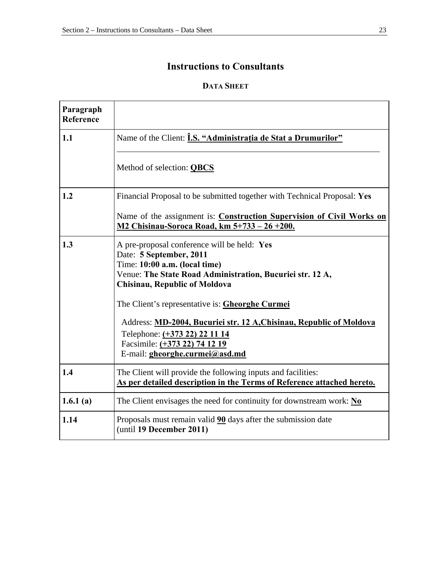#### **Instructions to Consultants**

#### **DATA SHEET**

| Paragraph<br><b>Reference</b> |                                                                                                                                                                                                                                                                                                                                                                                                                                                   |
|-------------------------------|---------------------------------------------------------------------------------------------------------------------------------------------------------------------------------------------------------------------------------------------------------------------------------------------------------------------------------------------------------------------------------------------------------------------------------------------------|
| 1.1                           | Name of the Client: <i>i.S.</i> "Administratia de Stat a Drumurilor"                                                                                                                                                                                                                                                                                                                                                                              |
|                               | Method of selection: <b>QBCS</b>                                                                                                                                                                                                                                                                                                                                                                                                                  |
| 1.2                           | Financial Proposal to be submitted together with Technical Proposal: Yes                                                                                                                                                                                                                                                                                                                                                                          |
|                               | Name of the assignment is: Construction Supervision of Civil Works on<br>M2 Chisinau-Soroca Road, km 5+733 - 26 + 200.                                                                                                                                                                                                                                                                                                                            |
| 1.3                           | A pre-proposal conference will be held: Yes<br>Date: 5 September, 2011<br>Time: 10:00 a.m. (local time)<br>Venue: The State Road Administration, Bucuriei str. 12 A,<br><b>Chisinau, Republic of Moldova</b><br>The Client's representative is: <b>Gheorghe Curmei</b><br>Address: MD-2004, Bucuriei str. 12 A, Chisinau, Republic of Moldova<br>Telephone: (+373 22) 22 11 14<br>Facsimile: (+373 22) 74 12 19<br>E-mail: gheorghe.curmei@asd.md |
| 1.4                           | The Client will provide the following inputs and facilities:<br>As per detailed description in the Terms of Reference attached hereto.                                                                                                                                                                                                                                                                                                            |
| 1.6.1(a)                      | The Client envisages the need for continuity for downstream work: $N0$                                                                                                                                                                                                                                                                                                                                                                            |
| 1.14                          | Proposals must remain valid 90 days after the submission date<br>(until 19 December 2011)                                                                                                                                                                                                                                                                                                                                                         |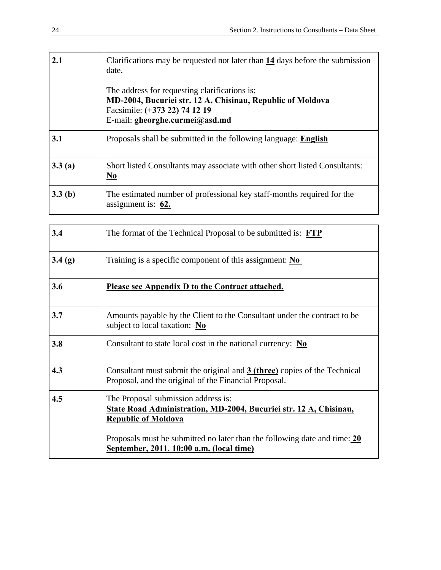| 2.1    | Clarifications may be requested not later than 14 days before the submission<br>date.<br>The address for requesting clarifications is: |
|--------|----------------------------------------------------------------------------------------------------------------------------------------|
|        | MD-2004, Bucuriei str. 12 A, Chisinau, Republic of Moldova<br>Facsimile: (+373 22) 74 12 19<br>E-mail: gheorghe.curmei@asd.md          |
| 3.1    | Proposals shall be submitted in the following language: English                                                                        |
| 3.3(a) | Short listed Consultants may associate with other short listed Consultants:<br>$\underline{\mathbf{N}\mathbf{0}}$                      |
| 3.3(b) | The estimated number of professional key staff-months required for the<br>assignment is: $62$ .                                        |

| 3.4    | The format of the Technical Proposal to be submitted is: FTP                                                                                  |
|--------|-----------------------------------------------------------------------------------------------------------------------------------------------|
| 3.4(g) | Training is a specific component of this assignment: $\overline{No}$                                                                          |
| 3.6    | Please see Appendix D to the Contract attached.                                                                                               |
| 3.7    | Amounts payable by the Client to the Consultant under the contract to be<br>subject to local taxation: No                                     |
| 3.8    | Consultant to state local cost in the national currency: $\mathbf{N}\mathbf{o}$                                                               |
| 4.3    | Consultant must submit the original and 3 (three) copies of the Technical<br>Proposal, and the original of the Financial Proposal.            |
| 4.5    | The Proposal submission address is:<br><b>State Road Administration, MD-2004, Bucuriei str. 12 A, Chisinau,</b><br><b>Republic of Moldova</b> |
|        | Proposals must be submitted no later than the following date and time: 20<br>September, 2011, 10:00 a.m. (local time)                         |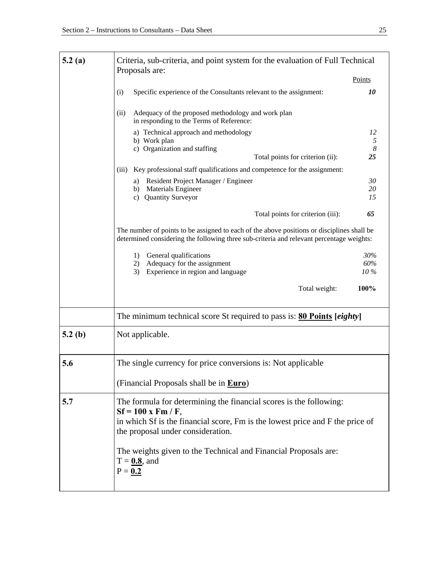| 5.2(a) | Criteria, sub-criteria, and point system for the evaluation of Full Technical                                                                                                                                    |                        |  |  |
|--------|------------------------------------------------------------------------------------------------------------------------------------------------------------------------------------------------------------------|------------------------|--|--|
|        | Proposals are:                                                                                                                                                                                                   | Points                 |  |  |
|        | Specific experience of the Consultants relevant to the assignment:<br>(i)                                                                                                                                        | 10                     |  |  |
|        | (ii)<br>Adequacy of the proposed methodology and work plan<br>in responding to the Terms of Reference:                                                                                                           |                        |  |  |
|        | a) Technical approach and methodology<br>b) Work plan                                                                                                                                                            | 12<br>5                |  |  |
|        | c) Organization and staffing<br>Total points for criterion (ii):                                                                                                                                                 | $\boldsymbol{8}$<br>25 |  |  |
|        | Key professional staff qualifications and competence for the assignment:<br>(iii)                                                                                                                                |                        |  |  |
|        | Resident Project Manager / Engineer<br>a)                                                                                                                                                                        | 30                     |  |  |
|        | Materials Engineer<br>b)<br><b>Quantity Surveyor</b><br>c)                                                                                                                                                       | 20<br>15               |  |  |
|        |                                                                                                                                                                                                                  |                        |  |  |
|        | Total points for criterion (iii):                                                                                                                                                                                | 65                     |  |  |
|        | The number of points to be assigned to each of the above positions or disciplines shall be<br>determined considering the following three sub-criteria and relevant percentage weights:                           |                        |  |  |
|        | General qualifications<br>1)                                                                                                                                                                                     | 30%                    |  |  |
|        | Adequacy for the assignment<br>2)<br>Experience in region and language<br>3)                                                                                                                                     | 60%<br>10%             |  |  |
|        |                                                                                                                                                                                                                  |                        |  |  |
|        | Total weight:                                                                                                                                                                                                    | 100%                   |  |  |
|        | The minimum technical score St required to pass is: <b>80 Points</b> [ <i>eighty</i> ]                                                                                                                           |                        |  |  |
| 5.2(b) | Not applicable.                                                                                                                                                                                                  |                        |  |  |
| 5.6    |                                                                                                                                                                                                                  |                        |  |  |
|        | The single currency for price conversions is: Not applicable                                                                                                                                                     |                        |  |  |
|        | (Financial Proposals shall be in <b>Euro</b> )                                                                                                                                                                   |                        |  |  |
| 5.7    | The formula for determining the financial scores is the following:<br>$Sf = 100$ x Fm / F,<br>in which Sf is the financial score, Fm is the lowest price and F the price of<br>the proposal under consideration. |                        |  |  |
|        | The weights given to the Technical and Financial Proposals are:<br>$T = 0.8$ , and<br>$P = 0.2$                                                                                                                  |                        |  |  |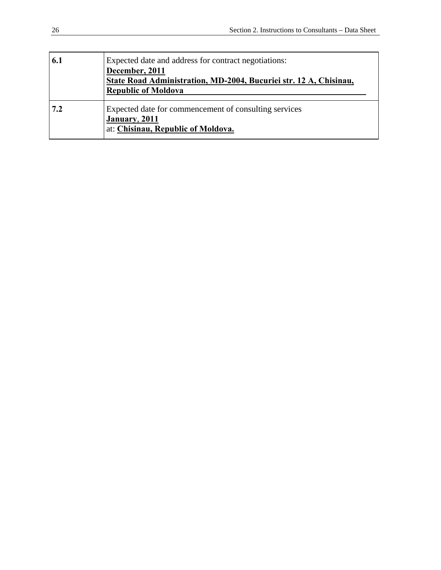| 6.1 | Expected date and address for contract negotiations:<br>December, 2011<br>State Road Administration, MD-2004, Bucuriei str. 12 A, Chisinau,<br><b>Republic of Moldova</b> |
|-----|---------------------------------------------------------------------------------------------------------------------------------------------------------------------------|
| 7.2 | Expected date for commencement of consulting services<br>January, 2011<br>at: Chisinau, Republic of Moldova.                                                              |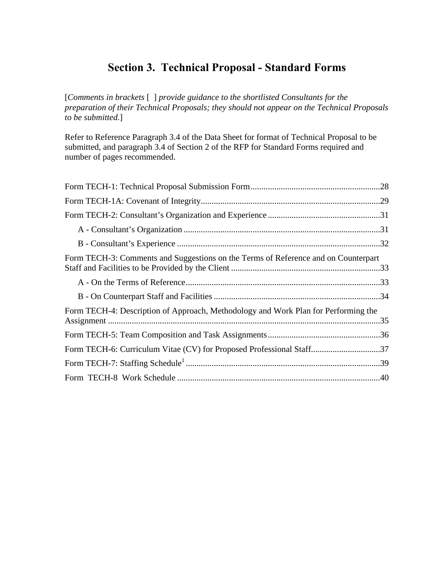# **Section 3. Technical Proposal - Standard Forms**

[*Comments in brackets* [ ] *provide guidance to the shortlisted Consultants for the preparation of their Technical Proposals; they should not appear on the Technical Proposals to be submitted.*]

Refer to Reference Paragraph 3.4 of the Data Sheet for format of Technical Proposal to be submitted, and paragraph 3.4 of Section 2 of the RFP for Standard Forms required and number of pages recommended.

| Form TECH-3: Comments and Suggestions on the Terms of Reference and on Counterpart |  |
|------------------------------------------------------------------------------------|--|
|                                                                                    |  |
|                                                                                    |  |
| Form TECH-4: Description of Approach, Methodology and Work Plan for Performing the |  |
|                                                                                    |  |
| Form TECH-6: Curriculum Vitae (CV) for Proposed Professional Staff37               |  |
|                                                                                    |  |
|                                                                                    |  |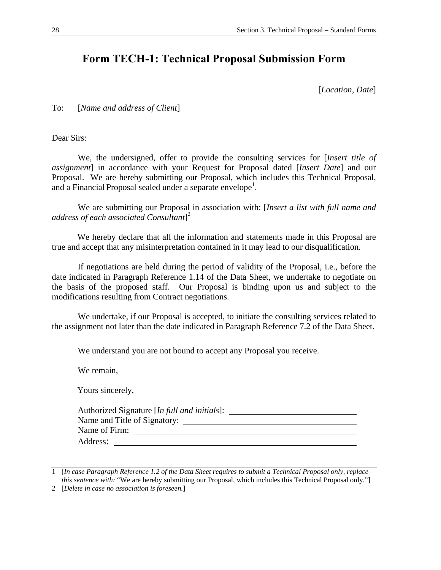### <span id="page-29-0"></span>**Form TECH-1: Technical Proposal Submission Form**

[*Location, Date*]

To: [*Name and address of Client*]

Dear Sirs:

 We, the undersigned, offer to provide the consulting services for [*Insert title of assignment*] in accordance with your Request for Proposal dated [*Insert Date*] and our Proposal. We are hereby submitting our Proposal, which includes this Technical Proposal, and a Financial Proposal sealed under a separate envelope<sup>1</sup>.

 We are submitting our Proposal in association with: [*Insert a list with full name and address of each associated Consultant*] 2

We hereby declare that all the information and statements made in this Proposal are true and accept that any misinterpretation contained in it may lead to our disqualification.

 If negotiations are held during the period of validity of the Proposal, i.e., before the date indicated in Paragraph Reference 1.14 of the Data Sheet, we undertake to negotiate on the basis of the proposed staff. Our Proposal is binding upon us and subject to the modifications resulting from Contract negotiations.

 We undertake, if our Proposal is accepted, to initiate the consulting services related to the assignment not later than the date indicated in Paragraph Reference 7.2 of the Data Sheet.

We understand you are not bound to accept any Proposal you receive.

We remain,

Yours sincerely,

<sup>1 [</sup>*In case Paragraph Reference 1.2 of the Data Sheet requires to submit a Technical Proposal only, replace this sentence with:* "We are hereby submitting our Proposal, which includes this Technical Proposal only."]

<sup>2 [</sup>*Delete in case no association is foreseen.*]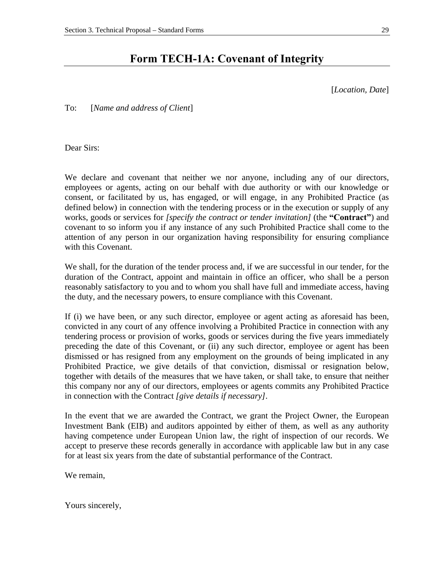# **Form TECH-1A: Covenant of Integrity**

[*Location, Date*]

<span id="page-30-0"></span>To: [*Name and address of Client*]

Dear Sirs:

We declare and covenant that neither we nor anyone, including any of our directors, employees or agents, acting on our behalf with due authority or with our knowledge or consent, or facilitated by us, has engaged, or will engage, in any Prohibited Practice (as defined below) in connection with the tendering process or in the execution or supply of any works, goods or services for *[specify the contract or tender invitation]* (the **"Contract"**) and covenant to so inform you if any instance of any such Prohibited Practice shall come to the attention of any person in our organization having responsibility for ensuring compliance with this Covenant.

We shall, for the duration of the tender process and, if we are successful in our tender, for the duration of the Contract, appoint and maintain in office an officer, who shall be a person reasonably satisfactory to you and to whom you shall have full and immediate access, having the duty, and the necessary powers, to ensure compliance with this Covenant.

If (i) we have been, or any such director, employee or agent acting as aforesaid has been, convicted in any court of any offence involving a Prohibited Practice in connection with any tendering process or provision of works, goods or services during the five years immediately preceding the date of this Covenant, or (ii) any such director, employee or agent has been dismissed or has resigned from any employment on the grounds of being implicated in any Prohibited Practice, we give details of that conviction, dismissal or resignation below, together with details of the measures that we have taken, or shall take, to ensure that neither this company nor any of our directors, employees or agents commits any Prohibited Practice in connection with the Contract *[give details if necessary]*.

In the event that we are awarded the Contract, we grant the Project Owner, the European Investment Bank (EIB) and auditors appointed by either of them, as well as any authority having competence under European Union law, the right of inspection of our records. We accept to preserve these records generally in accordance with applicable law but in any case for at least six years from the date of substantial performance of the Contract.

We remain,

Yours sincerely,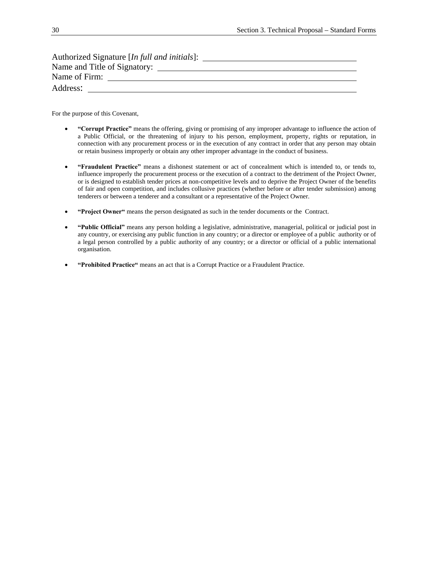| Authorized Signature [In full and initials]: |  |
|----------------------------------------------|--|
| Name and Title of Signatory:                 |  |
| Name of Firm:                                |  |
| Address:                                     |  |
|                                              |  |

For the purpose of this Covenant,

- **"Corrupt Practice"** means the offering, giving or promising of any improper advantage to influence the action of a Public Official, or the threatening of injury to his person, employment, property, rights or reputation, in connection with any procurement process or in the execution of any contract in order that any person may obtain or retain business improperly or obtain any other improper advantage in the conduct of business.
- **"Fraudulent Practice"** means a dishonest statement or act of concealment which is intended to, or tends to, influence improperly the procurement process or the execution of a contract to the detriment of the Project Owner, or is designed to establish tender prices at non-competitive levels and to deprive the Project Owner of the benefits of fair and open competition, and includes collusive practices (whether before or after tender submission) among tenderers or between a tenderer and a consultant or a representative of the Project Owner.
- **"Project Owner"** means the person designated as such in the tender documents or the Contract.
- **"Public Official"** means any person holding a legislative, administrative, managerial, political or judicial post in any country, or exercising any public function in any country; or a director or employee of a public authority or of a legal person controlled by a public authority of any country; or a director or official of a public international organisation.
- **"Prohibited Practice"** means an act that is a Corrupt Practice or a Fraudulent Practice.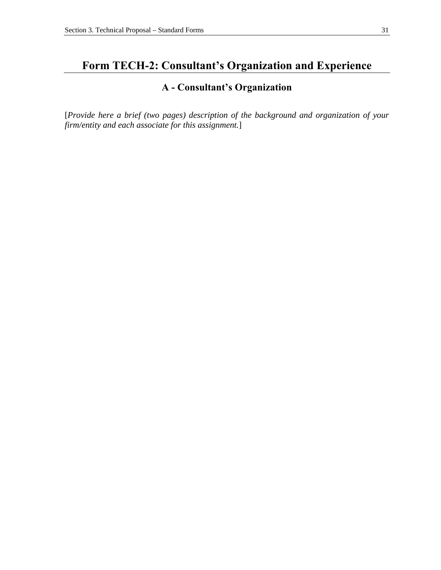# <span id="page-32-0"></span>**Form TECH-2: Consultant's Organization and Experience**

#### **A - Consultant's Organization**

[*Provide here a brief (two pages) description of the background and organization of your firm/entity and each associate for this assignment.*]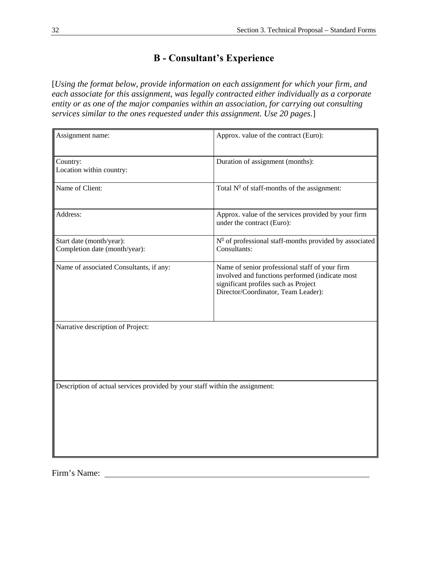### **B - Consultant's Experience**

<span id="page-33-0"></span>[*Using the format below, provide information on each assignment for which your firm, and each associate for this assignment, was legally contracted either individually as a corporate entity or as one of the major companies within an association, for carrying out consulting services similar to the ones requested under this assignment. Use 20 pages.*]

| Assignment name:                                                             | Approx. value of the contract (Euro):                                                                                                                                            |
|------------------------------------------------------------------------------|----------------------------------------------------------------------------------------------------------------------------------------------------------------------------------|
| Country:<br>Location within country:                                         | Duration of assignment (months):                                                                                                                                                 |
| Name of Client:                                                              | Total $N^{\circ}$ of staff-months of the assignment:                                                                                                                             |
| Address:                                                                     | Approx. value of the services provided by your firm<br>under the contract (Euro):                                                                                                |
| Start date (month/year):<br>Completion date (month/year):                    | $No$ of professional staff-months provided by associated<br>Consultants:                                                                                                         |
| Name of associated Consultants, if any:                                      | Name of senior professional staff of your firm<br>involved and functions performed (indicate most<br>significant profiles such as Project<br>Director/Coordinator, Team Leader): |
| Narrative description of Project:                                            |                                                                                                                                                                                  |
| Description of actual services provided by your staff within the assignment: |                                                                                                                                                                                  |

Firm's Name: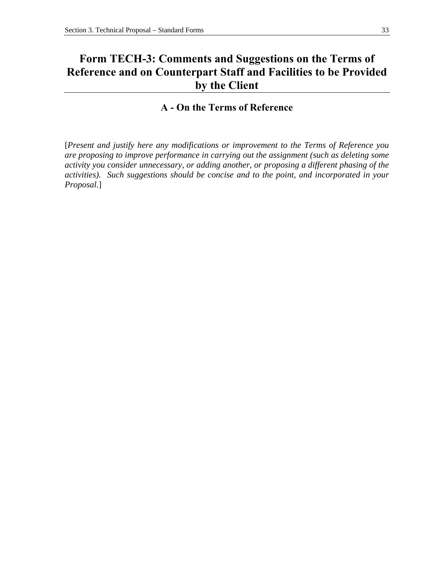# <span id="page-34-0"></span>**Form TECH-3: Comments and Suggestions on the Terms of Reference and on Counterpart Staff and Facilities to be Provided by the Client**

#### **A - On the Terms of Reference**

[*Present and justify here any modifications or improvement to the Terms of Reference you are proposing to improve performance in carrying out the assignment (such as deleting some activity you consider unnecessary, or adding another, or proposing a different phasing of the activities). Such suggestions should be concise and to the point, and incorporated in your Proposal.*]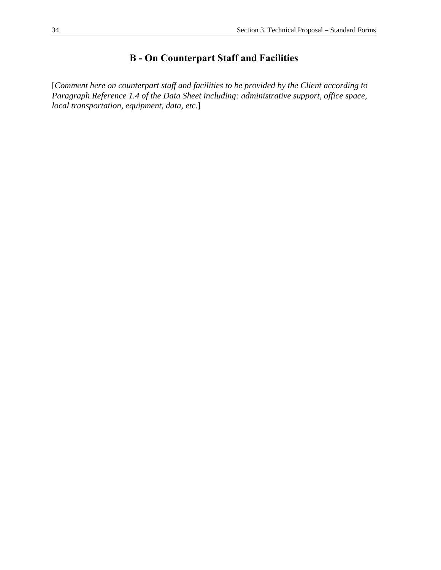# **B - On Counterpart Staff and Facilities**

<span id="page-35-0"></span>[*Comment here on counterpart staff and facilities to be provided by the Client according to Paragraph Reference 1.4 of the Data Sheet including: administrative support, office space, local transportation, equipment, data, etc.*]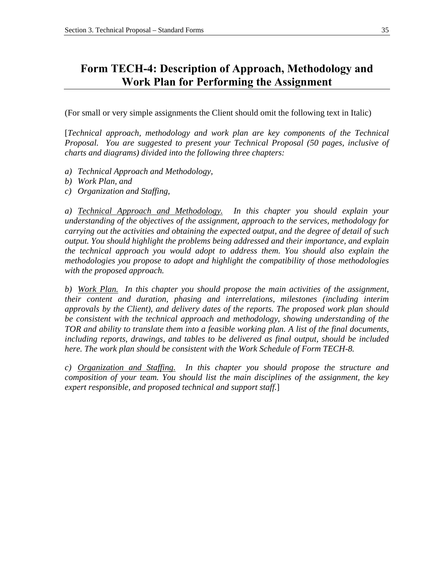# **Form TECH-4: Description of Approach, Methodology and Work Plan for Performing the Assignment**

(For small or very simple assignments the Client should omit the following text in Italic)

[*Technical approach, methodology and work plan are key components of the Technical Proposal. You are suggested to present your Technical Proposal (50 pages, inclusive of charts and diagrams) divided into the following three chapters:* 

- *a) Technical Approach and Methodology,*
- *b) Work Plan, and*
- *c) Organization and Staffing,*

*a) Technical Approach and Methodology. In this chapter you should explain your understanding of the objectives of the assignment, approach to the services, methodology for carrying out the activities and obtaining the expected output, and the degree of detail of such output. You should highlight the problems being addressed and their importance, and explain the technical approach you would adopt to address them. You should also explain the methodologies you propose to adopt and highlight the compatibility of those methodologies with the proposed approach.* 

*b) Work Plan. In this chapter you should propose the main activities of the assignment, their content and duration, phasing and interrelations, milestones (including interim approvals by the Client), and delivery dates of the reports. The proposed work plan should be consistent with the technical approach and methodology, showing understanding of the TOR and ability to translate them into a feasible working plan. A list of the final documents, including reports, drawings, and tables to be delivered as final output, should be included here. The work plan should be consistent with the Work Schedule of Form TECH-8.* 

*c) Organization and Staffing. In this chapter you should propose the structure and composition of your team. You should list the main disciplines of the assignment, the key expert responsible, and proposed technical and support staff.*]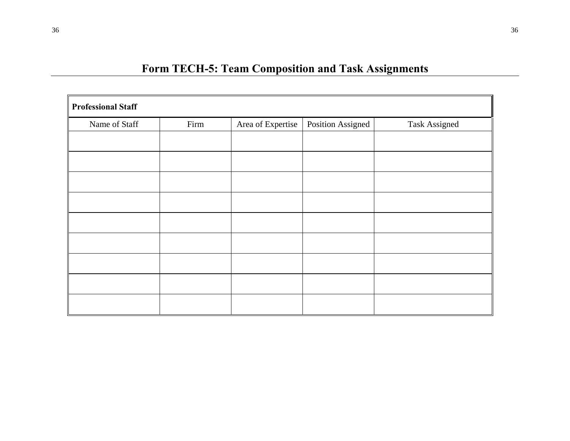| <b>Professional Staff</b> |      |                   |                   |                      |
|---------------------------|------|-------------------|-------------------|----------------------|
| Name of Staff             | Firm | Area of Expertise | Position Assigned | <b>Task Assigned</b> |
|                           |      |                   |                   |                      |
|                           |      |                   |                   |                      |
|                           |      |                   |                   |                      |
|                           |      |                   |                   |                      |
|                           |      |                   |                   |                      |
|                           |      |                   |                   |                      |
|                           |      |                   |                   |                      |
|                           |      |                   |                   |                      |
|                           |      |                   |                   |                      |
|                           |      |                   |                   |                      |
|                           |      |                   |                   |                      |
|                           |      |                   |                   |                      |
|                           |      |                   |                   |                      |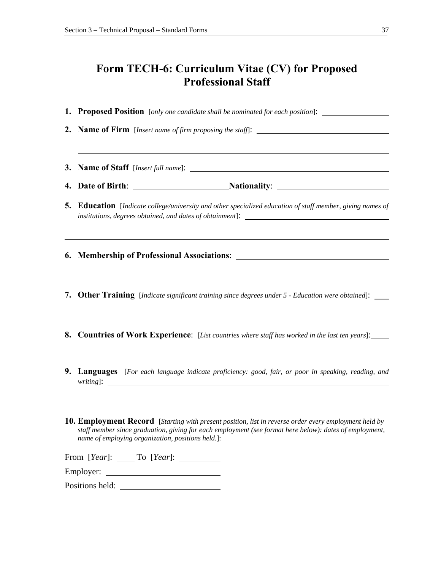# **Form TECH-6: Curriculum Vitae (CV) for Proposed Professional Staff**

**1. Proposed Position** [*only one candidate shall be nominated for each position*]:

**2. Name of Firm** [*Insert name of firm proposing the staff*]: **3. Name of Staff** [*Insert full name*]: **4.** Date of Birth: <u>Nationality:</u> Nationality: 2014 **5. Education** [*Indicate college/university and other specialized education of staff member, giving names of institutions, degrees obtained, and dates of obtainment*]: **6. Membership of Professional Associations**: **7. Other Training** [*Indicate significant training since degrees under 5 - Education were obtained*]: **8. Countries of Work Experience**: [*List countries where staff has worked in the last ten years*]: **9. Languages** [*For each language indicate proficiency: good, fair, or poor in speaking, reading, and writing*]:

**10. Employment Record** [*Starting with present position, list in reverse order every employment held by staff member since graduation, giving for each employment (see format here below): dates of employment, name of employing organization, positions held.*]:

| From [Year]: | To [Year]: |  |
|--------------|------------|--|
|              |            |  |

Employer:

Positions held: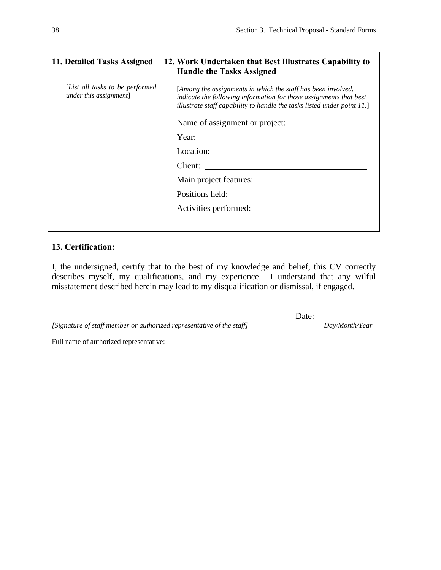| 11. Detailed Tasks Assigned                                | 12. Work Undertaken that Best Illustrates Capability to<br><b>Handle the Tasks Assigned</b>                                                                                                                   |
|------------------------------------------------------------|---------------------------------------------------------------------------------------------------------------------------------------------------------------------------------------------------------------|
| [List all tasks to be performed]<br>under this assignment] | [Among the assignments in which the staff has been involved,<br>indicate the following information for those assignments that best<br>illustrate staff capability to handle the tasks listed under point 11.] |
|                                                            | Name of assignment or project:                                                                                                                                                                                |
|                                                            | Year: $\qquad \qquad$                                                                                                                                                                                         |
|                                                            |                                                                                                                                                                                                               |
|                                                            |                                                                                                                                                                                                               |
|                                                            |                                                                                                                                                                                                               |
|                                                            |                                                                                                                                                                                                               |
|                                                            | Activities performed:                                                                                                                                                                                         |
|                                                            |                                                                                                                                                                                                               |

# **13. Certification:**

I, the undersigned, certify that to the best of my knowledge and belief, this CV correctly describes myself, my qualifications, and my experience. I understand that any wilful misstatement described herein may lead to my disqualification or dismissal, if engaged.

|                                                                       | Date: |                |
|-----------------------------------------------------------------------|-------|----------------|
| [Signature of staff member or authorized representative of the staff] |       | Day/Month/Year |
| Full name of authorized representative:                               |       |                |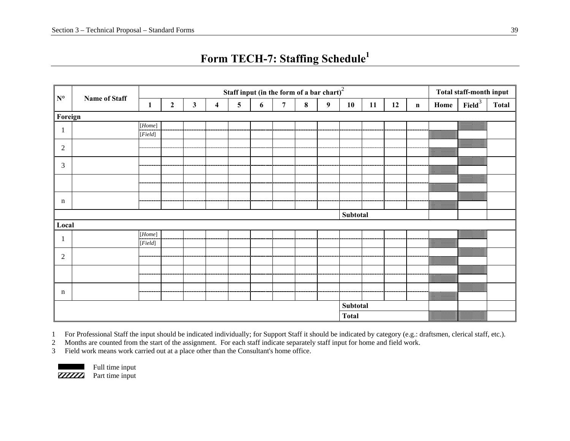| $\mathbf{N}^{\mathsf{o}}$ |                      |                                                                                                                                                                                                                                                                                                                                                                                                                                                                                                                                                                                                                                                                                                                                                                                                 | Staff input (in the form of a bar $\overline{chart}$ ) <sup>2</sup> |              |                         |   |   |                |          |                  |              |    | Total staff-month input |             |      |                    |              |
|---------------------------|----------------------|-------------------------------------------------------------------------------------------------------------------------------------------------------------------------------------------------------------------------------------------------------------------------------------------------------------------------------------------------------------------------------------------------------------------------------------------------------------------------------------------------------------------------------------------------------------------------------------------------------------------------------------------------------------------------------------------------------------------------------------------------------------------------------------------------|---------------------------------------------------------------------|--------------|-------------------------|---|---|----------------|----------|------------------|--------------|----|-------------------------|-------------|------|--------------------|--------------|
|                           | <b>Name of Staff</b> | 1                                                                                                                                                                                                                                                                                                                                                                                                                                                                                                                                                                                                                                                                                                                                                                                               | $\boldsymbol{2}$                                                    | $\mathbf{3}$ | $\overline{\mathbf{4}}$ | 5 | 6 | $\overline{7}$ | $\bf{8}$ | $\boldsymbol{9}$ | 10           | 11 | 12                      | $\mathbf n$ | Home | Field <sup>3</sup> | <b>Total</b> |
| Foreign                   |                      |                                                                                                                                                                                                                                                                                                                                                                                                                                                                                                                                                                                                                                                                                                                                                                                                 |                                                                     |              |                         |   |   |                |          |                  |              |    |                         |             |      |                    |              |
| -1                        |                      | $[Home] % \begin{minipage}[b]{0.5\linewidth} \centering \includegraphics[width=\textwidth]{figures/h1} \caption{The 3D (top) and 4D (bottom) of the 3D (bottom) of the 3D (bottom) of the 3D (bottom) of the 3D (bottom) of the 3D (bottom) of the 3D (bottom) of the 3D (bottom) of the 3D (bottom) of the 3D (bottom) of the 3D (bottom) of the 3D (bottom) of the 3D (bottom) of the 3D (bottom) of the 3D (bottom) of the 3D (bottom) of the 3D (bottom) of the 3D (bottom) of the 3D (bottom) of the 3D (bottom) of the 3D (bottom) of the 3D (bottom)$                                                                                                                                                                                                                                    |                                                                     |              |                         |   |   |                |          |                  |              |    |                         |             |      |                    |              |
|                           |                      | [Field]                                                                                                                                                                                                                                                                                                                                                                                                                                                                                                                                                                                                                                                                                                                                                                                         |                                                                     |              |                         |   |   |                |          |                  |              |    |                         |             |      |                    |              |
| $\sqrt{2}$                |                      |                                                                                                                                                                                                                                                                                                                                                                                                                                                                                                                                                                                                                                                                                                                                                                                                 |                                                                     |              |                         |   |   |                |          |                  |              |    |                         |             |      |                    |              |
|                           |                      |                                                                                                                                                                                                                                                                                                                                                                                                                                                                                                                                                                                                                                                                                                                                                                                                 |                                                                     |              |                         |   |   |                |          |                  |              |    |                         |             |      |                    |              |
| $\mathfrak{Z}$            |                      |                                                                                                                                                                                                                                                                                                                                                                                                                                                                                                                                                                                                                                                                                                                                                                                                 |                                                                     |              |                         |   |   |                |          |                  |              |    |                         |             |      |                    |              |
|                           |                      |                                                                                                                                                                                                                                                                                                                                                                                                                                                                                                                                                                                                                                                                                                                                                                                                 |                                                                     |              |                         |   |   |                |          |                  |              |    |                         |             |      |                    |              |
|                           |                      |                                                                                                                                                                                                                                                                                                                                                                                                                                                                                                                                                                                                                                                                                                                                                                                                 |                                                                     |              |                         |   |   |                |          |                  |              |    |                         |             |      |                    |              |
|                           |                      |                                                                                                                                                                                                                                                                                                                                                                                                                                                                                                                                                                                                                                                                                                                                                                                                 |                                                                     |              |                         |   |   |                |          |                  |              |    |                         |             |      |                    |              |
| $\mathbf n$               |                      |                                                                                                                                                                                                                                                                                                                                                                                                                                                                                                                                                                                                                                                                                                                                                                                                 |                                                                     |              |                         |   |   |                |          |                  |              |    |                         |             |      |                    |              |
|                           |                      |                                                                                                                                                                                                                                                                                                                                                                                                                                                                                                                                                                                                                                                                                                                                                                                                 |                                                                     |              |                         |   |   |                |          |                  | Subtotal     |    |                         |             |      |                    |              |
| Local                     |                      |                                                                                                                                                                                                                                                                                                                                                                                                                                                                                                                                                                                                                                                                                                                                                                                                 |                                                                     |              |                         |   |   |                |          |                  |              |    |                         |             |      |                    |              |
|                           |                      | $[Home] % \begin{minipage}[b]{0.5\linewidth} \centering \centerline{\includegraphics[width=0.5\linewidth]{images/Transmission.jpg} \centerline{\includegraphics[width=0.5\linewidth]{images/Transmission.jpg} \centerline{\includegraphics[width=0.5\linewidth]{images/Transmission.jpg} \centerline{\includegraphics[width=0.5\linewidth]{images/Transmission.jpg} \centerline{\includegraphics[width=0.5\linewidth]{images/Transmission.jpg} \centerline \includegraphics[width=0.5\linewidth]{images/Transmission.jpg} \centerline{\includegraphics[width=0.5\linewidth]{images/Transmission.jpg} \centerline \includegraphics[width=0.5\linewidth]{images/Transmission.jpg} \centerline \includegraphics[width=0.5\linewidth]{images/Transmission.jpg} \centerline \includegraphics[width=$ |                                                                     |              |                         |   |   |                |          |                  |              |    |                         |             |      |                    |              |
|                           |                      | [Field]                                                                                                                                                                                                                                                                                                                                                                                                                                                                                                                                                                                                                                                                                                                                                                                         |                                                                     |              |                         |   |   |                |          |                  |              |    |                         |             |      |                    |              |
| $\overline{2}$            |                      |                                                                                                                                                                                                                                                                                                                                                                                                                                                                                                                                                                                                                                                                                                                                                                                                 |                                                                     |              |                         |   |   |                |          |                  |              |    |                         |             |      |                    |              |
|                           |                      |                                                                                                                                                                                                                                                                                                                                                                                                                                                                                                                                                                                                                                                                                                                                                                                                 |                                                                     |              |                         |   |   |                |          |                  |              |    |                         |             |      |                    |              |
|                           |                      |                                                                                                                                                                                                                                                                                                                                                                                                                                                                                                                                                                                                                                                                                                                                                                                                 |                                                                     |              |                         |   |   |                |          |                  |              |    |                         |             |      |                    |              |
|                           |                      |                                                                                                                                                                                                                                                                                                                                                                                                                                                                                                                                                                                                                                                                                                                                                                                                 |                                                                     |              |                         |   |   |                |          |                  |              |    |                         |             |      |                    |              |
| n                         |                      |                                                                                                                                                                                                                                                                                                                                                                                                                                                                                                                                                                                                                                                                                                                                                                                                 |                                                                     |              |                         |   |   |                |          |                  |              |    |                         |             |      | ▥                  |              |
|                           |                      |                                                                                                                                                                                                                                                                                                                                                                                                                                                                                                                                                                                                                                                                                                                                                                                                 |                                                                     |              |                         |   |   |                |          |                  |              |    |                         |             |      |                    |              |
|                           |                      |                                                                                                                                                                                                                                                                                                                                                                                                                                                                                                                                                                                                                                                                                                                                                                                                 |                                                                     |              |                         |   |   |                |          |                  | Subtotal     |    |                         |             |      |                    |              |
|                           |                      |                                                                                                                                                                                                                                                                                                                                                                                                                                                                                                                                                                                                                                                                                                                                                                                                 |                                                                     |              |                         |   |   |                |          |                  | <b>Total</b> |    |                         |             |      |                    |              |

# **Form TECH-7: Staffing Schedule<sup>1</sup>**

1 For Professional Staff the input should be indicated individually; for Support Staff it should be indicated by category (e.g.: draftsmen, clerical staff, etc.).

2 Months are counted from the start of the assignment. For each staff indicate separately staff input for home and field work.

3 Field work means work carried out at a place other than the Consultant's home office.



Full time input<br>**ZZZZZZ** Part time input Part time input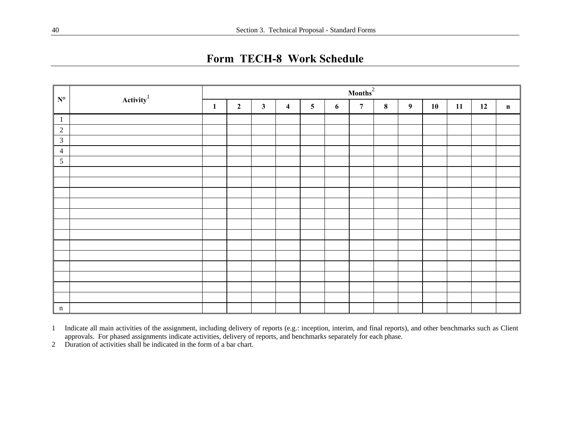**Form TECH-8 Work Schedule** 

|                           |                 |              | $\text{Months}^2$ |              |                         |                         |   |                |         |                  |    |    |    |              |
|---------------------------|-----------------|--------------|-------------------|--------------|-------------------------|-------------------------|---|----------------|---------|------------------|----|----|----|--------------|
| $\mathbf{N}^{\mathsf{o}}$ | Activity $^{1}$ | $\mathbf{1}$ | $\overline{2}$    | $\mathbf{3}$ | $\overline{\mathbf{4}}$ | $\overline{\mathbf{5}}$ | 6 | $\overline{7}$ | $\bf 8$ | $\boldsymbol{9}$ | 10 | 11 | 12 | $\mathbf{n}$ |
| $\mathbf{1}$              |                 |              |                   |              |                         |                         |   |                |         |                  |    |    |    |              |
| 2                         |                 |              |                   |              |                         |                         |   |                |         |                  |    |    |    |              |
| $\mathfrak{Z}$            |                 |              |                   |              |                         |                         |   |                |         |                  |    |    |    |              |
| $\overline{4}$            |                 |              |                   |              |                         |                         |   |                |         |                  |    |    |    |              |
| $\mathfrak{S}$            |                 |              |                   |              |                         |                         |   |                |         |                  |    |    |    |              |
|                           |                 |              |                   |              |                         |                         |   |                |         |                  |    |    |    |              |
|                           |                 |              |                   |              |                         |                         |   |                |         |                  |    |    |    |              |
|                           |                 |              |                   |              |                         |                         |   |                |         |                  |    |    |    |              |
|                           |                 |              |                   |              |                         |                         |   |                |         |                  |    |    |    |              |
|                           |                 |              |                   |              |                         |                         |   |                |         |                  |    |    |    |              |
|                           |                 |              |                   |              |                         |                         |   |                |         |                  |    |    |    |              |
|                           |                 |              |                   |              |                         |                         |   |                |         |                  |    |    |    |              |
|                           |                 |              |                   |              |                         |                         |   |                |         |                  |    |    |    |              |
|                           |                 |              |                   |              |                         |                         |   |                |         |                  |    |    |    |              |
|                           |                 |              |                   |              |                         |                         |   |                |         |                  |    |    |    |              |
|                           |                 |              |                   |              |                         |                         |   |                |         |                  |    |    |    |              |
|                           |                 |              |                   |              |                         |                         |   |                |         |                  |    |    |    |              |
|                           |                 |              |                   |              |                         |                         |   |                |         |                  |    |    |    |              |
| $\mathbf n$               |                 |              |                   |              |                         |                         |   |                |         |                  |    |    |    |              |

1 Indicate all main activities of the assignment, including delivery of reports (e.g.: inception, interim, and final reports), and other benchmarks such as Client approvals. For phased assignments indicate activities, delivery of reports, and benchmarks separately for each phase.

2 Duration of activities shall be indicated in the form of a bar chart.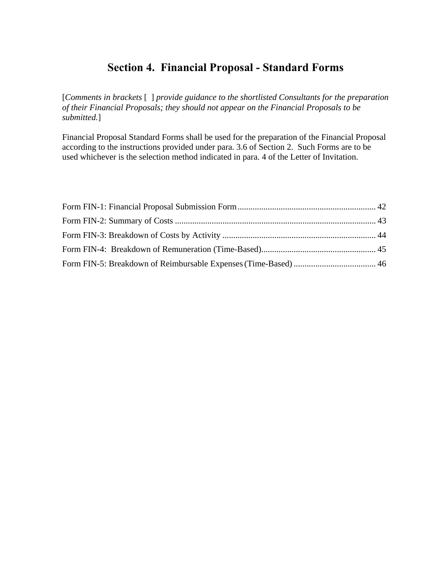# **Section 4. Financial Proposal - Standard Forms**

[*Comments in brackets* [ ] *provide guidance to the shortlisted Consultants for the preparation of their Financial Proposals; they should not appear on the Financial Proposals to be submitted.*]

Financial Proposal Standard Forms shall be used for the preparation of the Financial Proposal according to the instructions provided under para. 3.6 of Section 2. Such Forms are to be used whichever is the selection method indicated in para. 4 of the Letter of Invitation.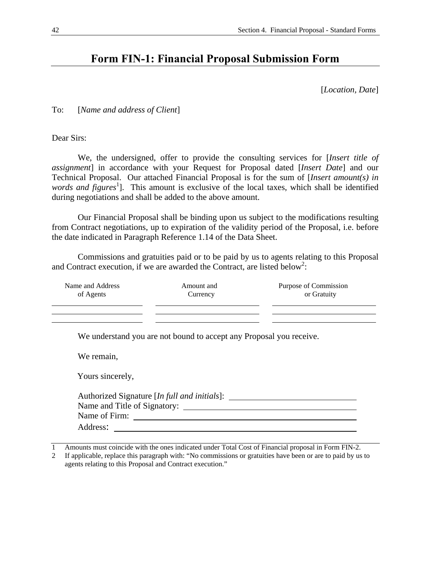# <span id="page-43-0"></span>**Form FIN-1: Financial Proposal Submission Form**

[*Location, Date*]

To: [*Name and address of Client*]

Dear Sirs:

 We, the undersigned, offer to provide the consulting services for [*Insert title of assignment*] in accordance with your Request for Proposal dated [*Insert Date*] and our Technical Proposal. Our attached Financial Proposal is for the sum of [*Insert amount(s) in*  words and figures<sup>1</sup>]. This amount is exclusive of the local taxes, which shall be identified during negotiations and shall be added to the above amount.

 Our Financial Proposal shall be binding upon us subject to the modifications resulting from Contract negotiations, up to expiration of the validity period of the Proposal, i.e. before the date indicated in Paragraph Reference 1.14 of the Data Sheet.

 Commissions and gratuities paid or to be paid by us to agents relating to this Proposal and Contract execution, if we are awarded the Contract, are listed below<sup>2</sup>:

| Name and Address<br>of Agents | Amount and<br>Currency                                              | Purpose of Commission<br>or Gratuity |
|-------------------------------|---------------------------------------------------------------------|--------------------------------------|
|                               | We understand you are not bound to accept any Proposal you receive. |                                      |
| We remain,                    |                                                                     |                                      |
| Yours sincerely,              |                                                                     |                                      |
|                               | Authorized Signature [In full and initials]:                        |                                      |
|                               |                                                                     |                                      |
|                               | Name of Firm:                                                       |                                      |
| Address:                      |                                                                     |                                      |

1 Amounts must coincide with the ones indicated under Total Cost of Financial proposal in Form FIN-2.

2 If applicable, replace this paragraph with: "No commissions or gratuities have been or are to paid by us to agents relating to this Proposal and Contract execution."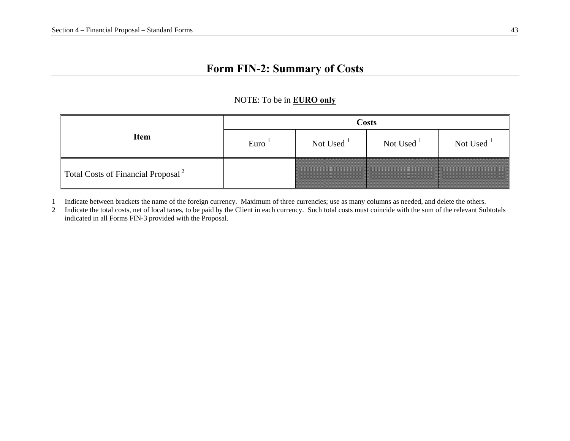# **Form FIN-2: Summary of Costs**

## NOTE: To be in **EURO only**

|                                                | <b>Costs</b> |              |              |              |  |  |  |
|------------------------------------------------|--------------|--------------|--------------|--------------|--|--|--|
| Item                                           | Euro         | Not Used $1$ | Not Used $1$ | Not Used $1$ |  |  |  |
| Total Costs of Financial Proposal <sup>2</sup> |              |              |              |              |  |  |  |

1 Indicate between brackets the name of the foreign currency. Maximum of three currencies; use as many columns as needed, and delete the others.

<span id="page-44-0"></span>2 Indicate the total costs, net of local taxes, to be paid by the Client in each currency. Such total costs must coincide with the sum of the relevant Subtotals indicated in all Forms FIN-3 provided with the Proposal.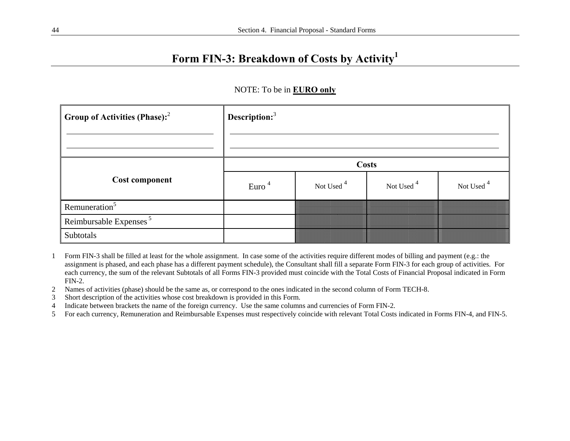# **Form FIN-3: Breakdown of Costs by Activity<sup>1</sup>**

| <b>Group of Activities (Phase):</b> <sup>2</sup> | Description: $3$               |                       |                       |                       |  |  |  |  |
|--------------------------------------------------|--------------------------------|-----------------------|-----------------------|-----------------------|--|--|--|--|
|                                                  |                                |                       |                       |                       |  |  |  |  |
|                                                  | <b>Costs</b>                   |                       |                       |                       |  |  |  |  |
| <b>Cost component</b>                            | Euro <sup><math>4</math></sup> | Not Used <sup>4</sup> | Not Used <sup>4</sup> | Not Used <sup>4</sup> |  |  |  |  |
| Remuneration <sup>5</sup>                        |                                |                       |                       |                       |  |  |  |  |
| Reimbursable Expenses <sup>5</sup>               |                                |                       |                       |                       |  |  |  |  |
| Subtotals                                        |                                |                       |                       |                       |  |  |  |  |

#### NOTE: To be in **EURO only**

- 1 Form FIN-3 shall be filled at least for the whole assignment. In case some of the activities require different modes of billing and payment (e.g.: the assignment is phased, and each phase has a different payment schedule), the Consultant shall fill a separate Form FIN-3 for each group of activities. For each currency, the sum of the relevant Subtotals of all Forms FIN-3 provided must coincide with the Total Costs of Financial Proposal indicated in Form FIN-2.
- 2 Names of activities (phase) should be the same as, or correspond to the ones indicated in the second column of Form TECH-8.
- 3 Short description of the activities whose cost breakdown is provided in this Form.
- 4 Indicate between brackets the name of the foreign currency. Use the same columns and currencies of Form FIN-2.
- <span id="page-45-0"></span>5 For each currency, Remuneration and Reimbursable Expenses must respectively coincide with relevant Total Costs indicated in Forms FIN-4, and FIN-5.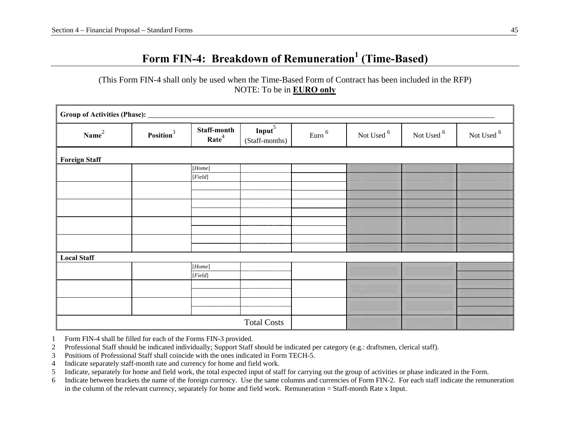# **Form FIN-4: Breakdown of Remuneration1 (Time-Based)**

(This Form FIN-4 shall only be used when the Time-Based Form of Contract has been included in the RFP) NOTE: To be in **EURO only**

| Group of Activities (Phase): _ |                       |                                                                                                                                                                                                                                                                                                                                                                                                                                                                                                                                                              |                                      |                   |                       |                       |                       |
|--------------------------------|-----------------------|--------------------------------------------------------------------------------------------------------------------------------------------------------------------------------------------------------------------------------------------------------------------------------------------------------------------------------------------------------------------------------------------------------------------------------------------------------------------------------------------------------------------------------------------------------------|--------------------------------------|-------------------|-----------------------|-----------------------|-----------------------|
| Name <sup>2</sup>              | Position <sup>3</sup> | Staff-month<br>Rate <sup>4</sup>                                                                                                                                                                                                                                                                                                                                                                                                                                                                                                                             | Input <sup>5</sup><br>(Staff-months) | Euro <sup>6</sup> | Not Used <sup>6</sup> | Not Used <sup>6</sup> | Not Used <sup>6</sup> |
| <b>Foreign Staff</b>           |                       |                                                                                                                                                                                                                                                                                                                                                                                                                                                                                                                                                              |                                      |                   |                       |                       |                       |
|                                |                       | [Home]                                                                                                                                                                                                                                                                                                                                                                                                                                                                                                                                                       |                                      |                   |                       |                       |                       |
|                                |                       | $[Field]% \centering \subfloat[\centering]{{\includegraphics[scale=0.2]{img10.png} }}% \qquad \subfloat[\centering]{{\includegraphics[scale=0.2]{img11.png} }}% \caption{The 3D maps of the estimators in our classification example (panel left).}% \label{fig:3D maps}%$                                                                                                                                                                                                                                                                                   |                                      |                   |                       |                       |                       |
|                                |                       |                                                                                                                                                                                                                                                                                                                                                                                                                                                                                                                                                              |                                      |                   |                       |                       |                       |
|                                |                       |                                                                                                                                                                                                                                                                                                                                                                                                                                                                                                                                                              |                                      |                   |                       |                       |                       |
|                                |                       |                                                                                                                                                                                                                                                                                                                                                                                                                                                                                                                                                              |                                      |                   |                       |                       |                       |
|                                |                       |                                                                                                                                                                                                                                                                                                                                                                                                                                                                                                                                                              |                                      |                   |                       |                       |                       |
|                                |                       |                                                                                                                                                                                                                                                                                                                                                                                                                                                                                                                                                              |                                      |                   |                       |                       |                       |
|                                |                       |                                                                                                                                                                                                                                                                                                                                                                                                                                                                                                                                                              |                                      |                   |                       |                       |                       |
|                                |                       |                                                                                                                                                                                                                                                                                                                                                                                                                                                                                                                                                              |                                      |                   |                       |                       |                       |
|                                |                       |                                                                                                                                                                                                                                                                                                                                                                                                                                                                                                                                                              |                                      |                   |                       |                       |                       |
| <b>Local Staff</b>             |                       |                                                                                                                                                                                                                                                                                                                                                                                                                                                                                                                                                              |                                      |                   |                       |                       |                       |
|                                |                       | $[Home] % \begin{minipage}[b]{0.5\linewidth} \centering \includegraphics[width=\textwidth]{figures/h1} \caption{The 3D (top) and 4D (bottom) of the 3D (bottom) of the 3D (bottom) of the 3D (bottom) of the 3D (bottom) of the 3D (bottom) of the 3D (bottom) of the 3D (bottom) of the 3D (bottom) of the 3D (bottom) of the 3D (bottom) of the 3D (bottom) of the 3D (bottom) of the 3D (bottom) of the 3D (bottom) of the 3D (bottom) of the 3D (bottom) of the 3D (bottom) of the 3D (bottom) of the 3D (bottom) of the 3D (bottom) of the 3D (bottom)$ |                                      |                   |                       |                       |                       |
|                                |                       | $[Field]% \centering \subfloat[\centering]{{\includegraphics[scale=0.2]{img10.png} }}% \qquad \subfloat[\centering]{{\includegraphics[scale=0.2]{img11.png} }}% \caption{The 3D maps of the estimators in our classification example (panel left).}% \label{fig:3D maps}%$                                                                                                                                                                                                                                                                                   |                                      |                   |                       |                       |                       |
|                                |                       |                                                                                                                                                                                                                                                                                                                                                                                                                                                                                                                                                              |                                      |                   |                       |                       |                       |
|                                |                       |                                                                                                                                                                                                                                                                                                                                                                                                                                                                                                                                                              |                                      |                   |                       |                       |                       |
|                                |                       |                                                                                                                                                                                                                                                                                                                                                                                                                                                                                                                                                              |                                      |                   |                       |                       |                       |
|                                |                       |                                                                                                                                                                                                                                                                                                                                                                                                                                                                                                                                                              |                                      |                   |                       |                       |                       |
|                                |                       |                                                                                                                                                                                                                                                                                                                                                                                                                                                                                                                                                              | <b>Total Costs</b>                   |                   |                       |                       |                       |

1 Form FIN-4 shall be filled for each of the Forms FIN-3 provided.

2 Professional Staff should be indicated individually; Support Staff should be indicated per category (e.g.: draftsmen, clerical staff).

3 Positions of Professional Staff shall coincide with the ones indicated in Form TECH-5.

4 Indicate separately staff-month rate and currency for home and field work.

5 Indicate, separately for home and field work, the total expected input of staff for carrying out the group of activities or phase indicated in the Form.

<span id="page-46-0"></span>6 Indicate between brackets the name of the foreign currency. Use the same columns and currencies of Form FIN-2. For each staff indicate the remuneration in the column of the relevant currency, separately for home and field work. Remuneration = Staff-month Rate x Input.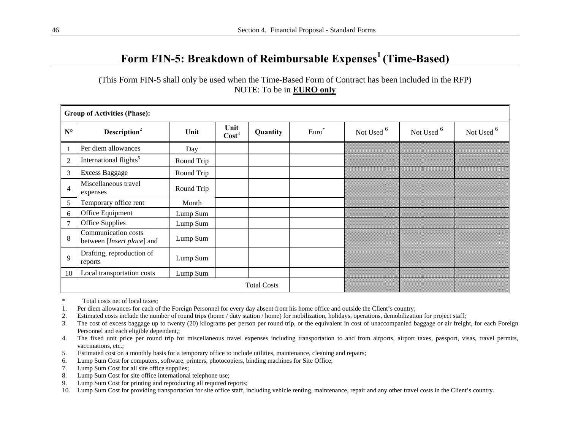# **Form FIN-5: Breakdown of Reimbursable Expenses1 (Time-Based)**

(This Form FIN-5 shall only be used when the Time-Based Form of Contract has been included in the RFP) NOTE: To be in **EURO only**

|                | <b>Group of Activities (Phase):</b>               |            |                           |                    |         |                       |                       |                       |  |  |  |
|----------------|---------------------------------------------------|------------|---------------------------|--------------------|---------|-----------------------|-----------------------|-----------------------|--|--|--|
| $N^{\circ}$    | Description <sup>2</sup>                          | Unit       | Unit<br>Cost <sup>3</sup> | Quantity           | $Euro*$ | Not Used <sup>6</sup> | Not Used <sup>6</sup> | Not Used <sup>6</sup> |  |  |  |
| $\mathbf{1}$   | Per diem allowances                               | Day        |                           |                    |         |                       |                       |                       |  |  |  |
| $\overline{2}$ | International flights <sup>5</sup>                | Round Trip |                           |                    |         |                       |                       |                       |  |  |  |
| 3              | <b>Excess Baggage</b>                             | Round Trip |                           |                    |         |                       |                       |                       |  |  |  |
| $\overline{4}$ | Miscellaneous travel<br>expenses                  | Round Trip |                           |                    |         |                       |                       |                       |  |  |  |
| 5              | Temporary office rent                             | Month      |                           |                    |         |                       |                       |                       |  |  |  |
| 6              | Office Equipment                                  | Lump Sum   |                           |                    |         |                       |                       |                       |  |  |  |
| $\overline{7}$ | <b>Office Supplies</b>                            | Lump Sum   |                           |                    |         |                       |                       |                       |  |  |  |
| 8              | Communication costs<br>between [Insert place] and | Lump Sum   |                           |                    |         |                       |                       |                       |  |  |  |
| 9              | Drafting, reproduction of<br>reports              | Lump Sum   |                           |                    |         |                       |                       |                       |  |  |  |
| 10             | Local transportation costs                        | Lump Sum   |                           |                    |         |                       |                       |                       |  |  |  |
|                |                                                   |            |                           | <b>Total Costs</b> |         |                       |                       |                       |  |  |  |

\* Total costs net of local taxes;

1. Per diem allowances for each of the Foreign Personnel for every day absent from his home office and outside the Client's country;

- 2. Estimated costs include the number of round trips (home / duty station / home) for mobilization, holidays, operations, demobilization for project staff;
- 3. The cost of excess baggage up to twenty (20) kilograms per person per round trip, or the equivalent in cost of unaccompanied baggage or air freight, for each Foreign Personnel and each eligible dependent,;

4. The fixed unit price per round trip for miscellaneous travel expenses including transportation to and from airports, airport taxes, passport, visas, travel permits, vaccinations, etc.;

- 5. Estimated cost on a monthly basis for a temporary office to include utilities, maintenance, cleaning and repairs;
- 6. Lump Sum Cost for computers, software, printers, photocopiers, binding machines for Site Office;
- 7. Lump Sum Cost for all site office supplies;
- 8. Lump Sum Cost for site office international telephone use;
- 9. Lump Sum Cost for printing and reproducing all required reports;

<span id="page-47-0"></span>10. Lump Sum Cost for providing transportation for site office staff, including vehicle renting, maintenance, repair and any other travel costs in the Client's country.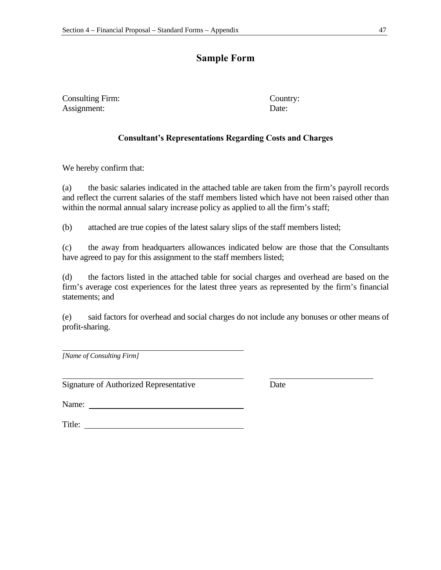# **Sample Form**

Consulting Firm: Country: Assignment: Date:

### **Consultant's Representations Regarding Costs and Charges**

We hereby confirm that:

(a) the basic salaries indicated in the attached table are taken from the firm's payroll records and reflect the current salaries of the staff members listed which have not been raised other than within the normal annual salary increase policy as applied to all the firm's staff;

(b) attached are true copies of the latest salary slips of the staff members listed;

(c) the away from headquarters allowances indicated below are those that the Consultants have agreed to pay for this assignment to the staff members listed;

(d) the factors listed in the attached table for social charges and overhead are based on the firm's average cost experiences for the latest three years as represented by the firm's financial statements; and

(e) said factors for overhead and social charges do not include any bonuses or other means of profit-sharing.

*[Name of Consulting Firm]*

Signature of Authorized Representative Date

Name:

Title: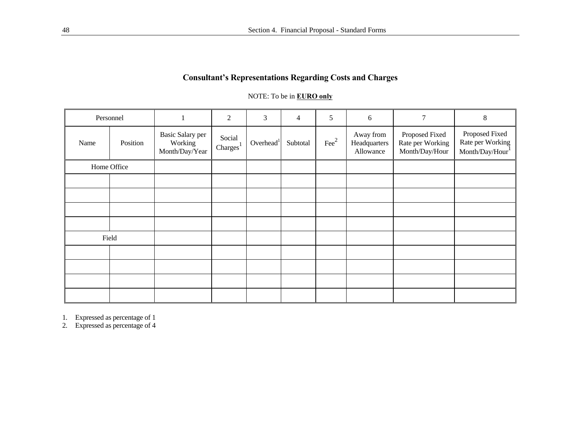# **Consultant's Representations Regarding Costs and Charges**

### NOTE: To be in **EURO only**

| Personnel   |          |                                               | $\overline{2}$                 | 3                     | $\overline{4}$ | 5              | 6                                      | 7                                                    | $8\,$                                                |
|-------------|----------|-----------------------------------------------|--------------------------------|-----------------------|----------------|----------------|----------------------------------------|------------------------------------------------------|------------------------------------------------------|
| Name        | Position | Basic Salary per<br>Working<br>Month/Day/Year | Social<br>Charges <sup>1</sup> | Overhead <sup>1</sup> | Subtotal       | $\text{Fee}^2$ | Away from<br>Headquarters<br>Allowance | Proposed Fixed<br>Rate per Working<br>Month/Day/Hour | Proposed Fixed<br>Rate per Working<br>Month/Day/Hour |
| Home Office |          |                                               |                                |                       |                |                |                                        |                                                      |                                                      |
|             |          |                                               |                                |                       |                |                |                                        |                                                      |                                                      |
|             |          |                                               |                                |                       |                |                |                                        |                                                      |                                                      |
|             |          |                                               |                                |                       |                |                |                                        |                                                      |                                                      |
|             |          |                                               |                                |                       |                |                |                                        |                                                      |                                                      |
| Field       |          |                                               |                                |                       |                |                |                                        |                                                      |                                                      |
|             |          |                                               |                                |                       |                |                |                                        |                                                      |                                                      |
|             |          |                                               |                                |                       |                |                |                                        |                                                      |                                                      |
|             |          |                                               |                                |                       |                |                |                                        |                                                      |                                                      |
|             |          |                                               |                                |                       |                |                |                                        |                                                      |                                                      |

1. Expressed as percentage of 1

2. Expressed as percentage of 4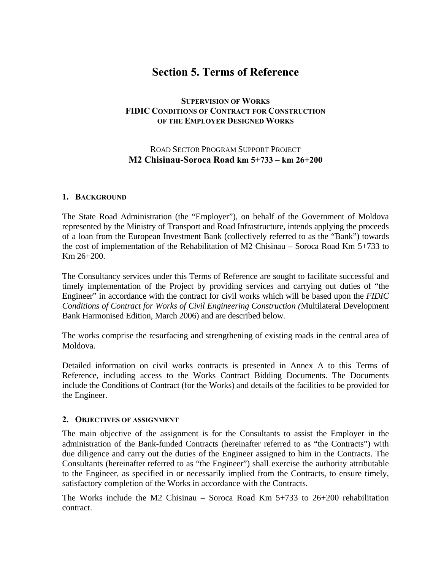# **Section 5. Terms of Reference**

## **SUPERVISION OF WORKS FIDIC CONDITIONS OF CONTRACT FOR CONSTRUCTION OF THE EMPLOYER DESIGNED WORKS**

# ROAD SECTOR PROGRAM SUPPORT PROJECT **M2 Chisinau-Soroca Road km 5+733 – km 26+200**

#### **1. BACKGROUND**

The State Road Administration (the "Employer"), on behalf of the Government of Moldova represented by the Ministry of Transport and Road Infrastructure, intends applying the proceeds of a loan from the European Investment Bank (collectively referred to as the "Bank") towards the cost of implementation of the Rehabilitation of M2 Chisinau – Soroca Road Km 5+733 to Km 26+200.

The Consultancy services under this Terms of Reference are sought to facilitate successful and timely implementation of the Project by providing services and carrying out duties of "the Engineer" in accordance with the contract for civil works which will be based upon the *FIDIC Conditions of Contract for Works of Civil Engineering Construction (*Multilateral Development Bank Harmonised Edition, March 2006) and are described below.

The works comprise the resurfacing and strengthening of existing roads in the central area of Moldova.

Detailed information on civil works contracts is presented in Annex A to this Terms of Reference, including access to the Works Contract Bidding Documents. The Documents include the Conditions of Contract (for the Works) and details of the facilities to be provided for the Engineer.

#### **2. OBJECTIVES OF ASSIGNMENT**

The main objective of the assignment is for the Consultants to assist the Employer in the administration of the Bank-funded Contracts (hereinafter referred to as "the Contracts") with due diligence and carry out the duties of the Engineer assigned to him in the Contracts. The Consultants (hereinafter referred to as "the Engineer") shall exercise the authority attributable to the Engineer, as specified in or necessarily implied from the Contracts, to ensure timely, satisfactory completion of the Works in accordance with the Contracts.

The Works include the M2 Chisinau – Soroca Road Km  $5+733$  to 26+200 rehabilitation contract.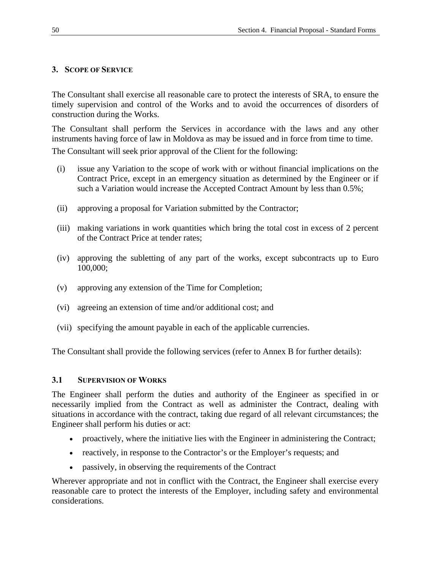# **3. SCOPE OF SERVICE**

The Consultant shall exercise all reasonable care to protect the interests of SRA, to ensure the timely supervision and control of the Works and to avoid the occurrences of disorders of construction during the Works.

The Consultant shall perform the Services in accordance with the laws and any other instruments having force of law in Moldova as may be issued and in force from time to time.

The Consultant will seek prior approval of the Client for the following:

- (i) issue any Variation to the scope of work with or without financial implications on the Contract Price, except in an emergency situation as determined by the Engineer or if such a Variation would increase the Accepted Contract Amount by less than 0.5%;
- (ii) approving a proposal for Variation submitted by the Contractor;
- (iii) making variations in work quantities which bring the total cost in excess of 2 percent of the Contract Price at tender rates;
- (iv) approving the subletting of any part of the works, except subcontracts up to Euro 100,000;
- (v) approving any extension of the Time for Completion;
- (vi) agreeing an extension of time and/or additional cost; and
- (vii) specifying the amount payable in each of the applicable currencies.

The Consultant shall provide the following services (refer to Annex B for further details):

#### **3.1 SUPERVISION OF WORKS**

The Engineer shall perform the duties and authority of the Engineer as specified in or necessarily implied from the Contract as well as administer the Contract, dealing with situations in accordance with the contract, taking due regard of all relevant circumstances; the Engineer shall perform his duties or act:

- proactively, where the initiative lies with the Engineer in administering the Contract;
- reactively, in response to the Contractor's or the Employer's requests; and
- passively, in observing the requirements of the Contract

Wherever appropriate and not in conflict with the Contract, the Engineer shall exercise every reasonable care to protect the interests of the Employer, including safety and environmental considerations.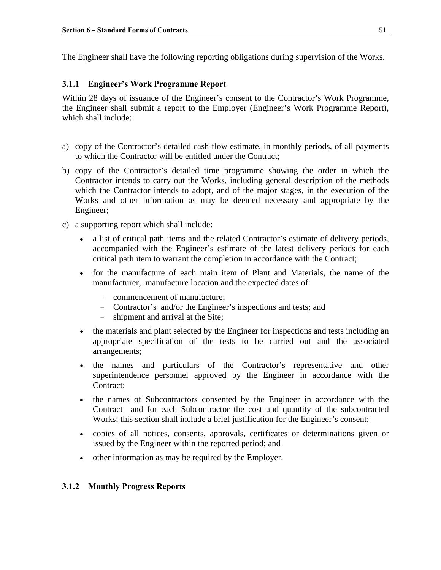The Engineer shall have the following reporting obligations during supervision of the Works.

### **3.1.1 Engineer's Work Programme Report**

Within 28 days of issuance of the Engineer's consent to the Contractor's Work Programme, the Engineer shall submit a report to the Employer (Engineer's Work Programme Report), which shall include:

- a) copy of the Contractor's detailed cash flow estimate, in monthly periods, of all payments to which the Contractor will be entitled under the Contract;
- b) copy of the Contractor's detailed time programme showing the order in which the Contractor intends to carry out the Works, including general description of the methods which the Contractor intends to adopt, and of the major stages, in the execution of the Works and other information as may be deemed necessary and appropriate by the Engineer;
- c) a supporting report which shall include:
	- a list of critical path items and the related Contractor's estimate of delivery periods, accompanied with the Engineer's estimate of the latest delivery periods for each critical path item to warrant the completion in accordance with the Contract;
	- for the manufacture of each main item of Plant and Materials, the name of the manufacturer, manufacture location and the expected dates of:
		- − commencement of manufacture;
		- − Contractor's and/or the Engineer's inspections and tests; and
		- shipment and arrival at the Site;
	- the materials and plant selected by the Engineer for inspections and tests including an appropriate specification of the tests to be carried out and the associated arrangements;
	- the names and particulars of the Contractor's representative and other superintendence personnel approved by the Engineer in accordance with the Contract;
	- the names of Subcontractors consented by the Engineer in accordance with the Contract and for each Subcontractor the cost and quantity of the subcontracted Works; this section shall include a brief justification for the Engineer's consent;
	- copies of all notices, consents, approvals, certificates or determinations given or issued by the Engineer within the reported period; and
	- other information as may be required by the Employer.

#### **3.1.2 Monthly Progress Reports**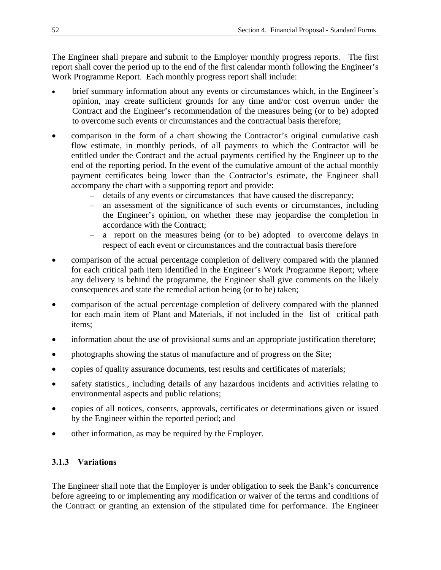The Engineer shall prepare and submit to the Employer monthly progress reports. The first report shall cover the period up to the end of the first calendar month following the Engineer's Work Programme Report. Each monthly progress report shall include:

- brief summary information about any events or circumstances which, in the Engineer's opinion, may create sufficient grounds for any time and/or cost overrun under the Contract and the Engineer's recommendation of the measures being (or to be) adopted to overcome such events or circumstances and the contractual basis therefore;
- comparison in the form of a chart showing the Contractor's original cumulative cash flow estimate, in monthly periods, of all payments to which the Contractor will be entitled under the Contract and the actual payments certified by the Engineer up to the end of the reporting period. In the event of the cumulative amount of the actual monthly payment certificates being lower than the Contractor's estimate, the Engineer shall accompany the chart with a supporting report and provide:
	- − details of any events or circumstances that have caused the discrepancy;
	- − an assessment of the significance of such events or circumstances, including the Engineer's opinion, on whether these may jeopardise the completion in accordance with the Contract;
	- − a report on the measures being (or to be) adopted to overcome delays in respect of each event or circumstances and the contractual basis therefore
- comparison of the actual percentage completion of delivery compared with the planned for each critical path item identified in the Engineer's Work Programme Report; where any delivery is behind the programme, the Engineer shall give comments on the likely consequences and state the remedial action being (or to be) taken;
- comparison of the actual percentage completion of delivery compared with the planned for each main item of Plant and Materials, if not included in the list of critical path items;
- information about the use of provisional sums and an appropriate justification therefore;
- photographs showing the status of manufacture and of progress on the Site;
- copies of quality assurance documents, test results and certificates of materials;
- safety statistics., including details of any hazardous incidents and activities relating to environmental aspects and public relations;
- copies of all notices, consents, approvals, certificates or determinations given or issued by the Engineer within the reported period; and
- other information, as may be required by the Employer.

# **3.1.3 Variations**

The Engineer shall note that the Employer is under obligation to seek the Bank's concurrence before agreeing to or implementing any modification or waiver of the terms and conditions of the Contract or granting an extension of the stipulated time for performance. The Engineer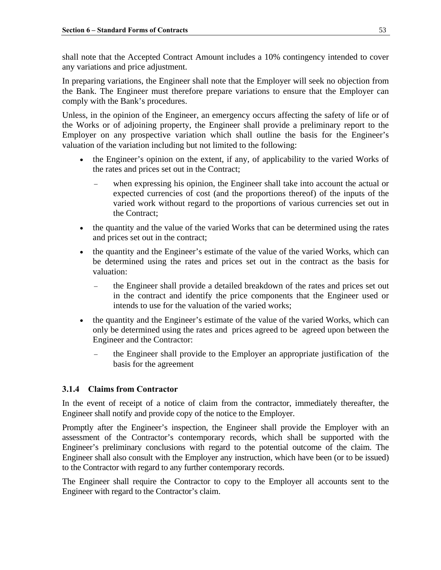shall note that the Accepted Contract Amount includes a 10% contingency intended to cover any variations and price adjustment.

In preparing variations, the Engineer shall note that the Employer will seek no objection from the Bank. The Engineer must therefore prepare variations to ensure that the Employer can comply with the Bank's procedures.

Unless, in the opinion of the Engineer, an emergency occurs affecting the safety of life or of the Works or of adjoining property, the Engineer shall provide a preliminary report to the Employer on any prospective variation which shall outline the basis for the Engineer's valuation of the variation including but not limited to the following:

- the Engineer's opinion on the extent, if any, of applicability to the varied Works of the rates and prices set out in the Contract;
	- when expressing his opinion, the Engineer shall take into account the actual or expected currencies of cost (and the proportions thereof) of the inputs of the varied work without regard to the proportions of various currencies set out in the Contract;
- the quantity and the value of the varied Works that can be determined using the rates and prices set out in the contract;
- the quantity and the Engineer's estimate of the value of the varied Works, which can be determined using the rates and prices set out in the contract as the basis for valuation:
	- the Engineer shall provide a detailed breakdown of the rates and prices set out in the contract and identify the price components that the Engineer used or intends to use for the valuation of the varied works;
- the quantity and the Engineer's estimate of the value of the varied Works, which can only be determined using the rates and prices agreed to be agreed upon between the Engineer and the Contractor:
	- the Engineer shall provide to the Employer an appropriate justification of the basis for the agreement

## **3.1.4 Claims from Contractor**

In the event of receipt of a notice of claim from the contractor, immediately thereafter, the Engineer shall notify and provide copy of the notice to the Employer.

Promptly after the Engineer's inspection, the Engineer shall provide the Employer with an assessment of the Contractor's contemporary records, which shall be supported with the Engineer's preliminary conclusions with regard to the potential outcome of the claim. The Engineer shall also consult with the Employer any instruction, which have been (or to be issued) to the Contractor with regard to any further contemporary records.

The Engineer shall require the Contractor to copy to the Employer all accounts sent to the Engineer with regard to the Contractor's claim.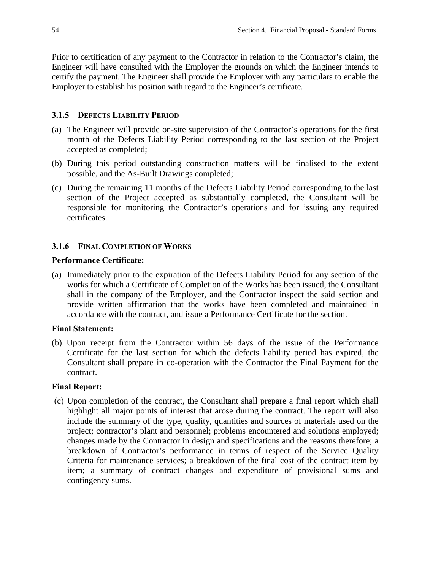Prior to certification of any payment to the Contractor in relation to the Contractor's claim, the Engineer will have consulted with the Employer the grounds on which the Engineer intends to certify the payment. The Engineer shall provide the Employer with any particulars to enable the Employer to establish his position with regard to the Engineer's certificate.

## **3.1.5 DEFECTS LIABILITY PERIOD**

- (a) The Engineer will provide on-site supervision of the Contractor's operations for the first month of the Defects Liability Period corresponding to the last section of the Project accepted as completed;
- (b) During this period outstanding construction matters will be finalised to the extent possible, and the As-Built Drawings completed;
- (c) During the remaining 11 months of the Defects Liability Period corresponding to the last section of the Project accepted as substantially completed, the Consultant will be responsible for monitoring the Contractor's operations and for issuing any required certificates.

### **3.1.6 FINAL COMPLETION OF WORKS**

#### **Performance Certificate:**

(a) Immediately prior to the expiration of the Defects Liability Period for any section of the works for which a Certificate of Completion of the Works has been issued, the Consultant shall in the company of the Employer, and the Contractor inspect the said section and provide written affirmation that the works have been completed and maintained in accordance with the contract, and issue a Performance Certificate for the section.

#### **Final Statement:**

(b) Upon receipt from the Contractor within 56 days of the issue of the Performance Certificate for the last section for which the defects liability period has expired, the Consultant shall prepare in co-operation with the Contractor the Final Payment for the contract.

#### **Final Report:**

(c) Upon completion of the contract, the Consultant shall prepare a final report which shall highlight all major points of interest that arose during the contract. The report will also include the summary of the type, quality, quantities and sources of materials used on the project; contractor's plant and personnel; problems encountered and solutions employed; changes made by the Contractor in design and specifications and the reasons therefore; a breakdown of Contractor's performance in terms of respect of the Service Quality Criteria for maintenance services; a breakdown of the final cost of the contract item by item; a summary of contract changes and expenditure of provisional sums and contingency sums.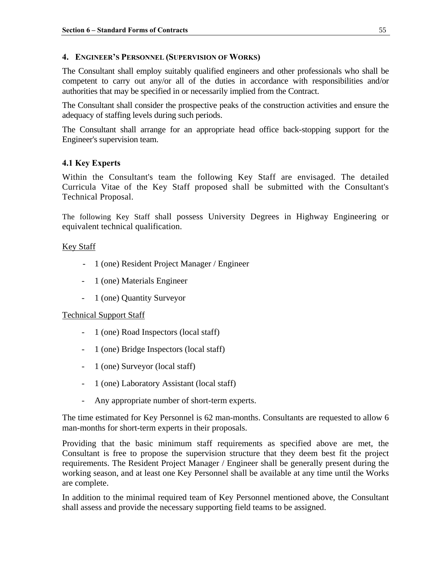#### **4. ENGINEER'S PERSONNEL (SUPERVISION OF WORKS)**

The Consultant shall employ suitably qualified engineers and other professionals who shall be competent to carry out any/or all of the duties in accordance with responsibilities and/or authorities that may be specified in or necessarily implied from the Contract.

The Consultant shall consider the prospective peaks of the construction activities and ensure the adequacy of staffing levels during such periods.

The Consultant shall arrange for an appropriate head office back-stopping support for the Engineer's supervision team.

# **4.1 Key Experts**

Within the Consultant's team the following Key Staff are envisaged. The detailed Curricula Vitae of the Key Staff proposed shall be submitted with the Consultant's Technical Proposal.

The following Key Staff shall possess University Degrees in Highway Engineering or equivalent technical qualification.

### Key Staff

- 1 (one) Resident Project Manager / Engineer
- 1 (one) Materials Engineer
- 1 (one) Quantity Surveyor

## Technical Support Staff

- 1 (one) Road Inspectors (local staff)
- 1 (one) Bridge Inspectors (local staff)
- 1 (one) Surveyor (local staff)
- 1 (one) Laboratory Assistant (local staff)
- Any appropriate number of short-term experts.

The time estimated for Key Personnel is 62 man-months. Consultants are requested to allow 6 man-months for short-term experts in their proposals.

Providing that the basic minimum staff requirements as specified above are met, the Consultant is free to propose the supervision structure that they deem best fit the project requirements. The Resident Project Manager / Engineer shall be generally present during the working season, and at least one Key Personnel shall be available at any time until the Works are complete.

In addition to the minimal required team of Key Personnel mentioned above, the Consultant shall assess and provide the necessary supporting field teams to be assigned.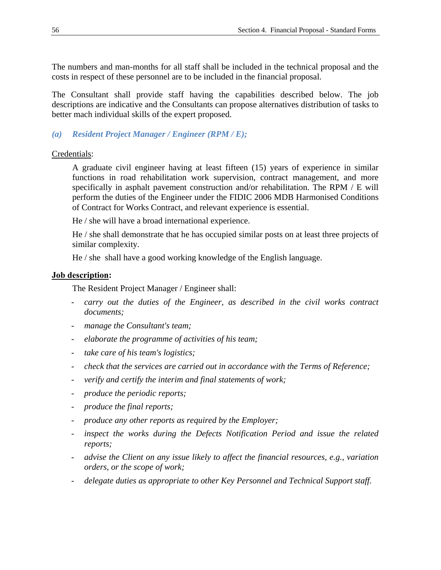The numbers and man-months for all staff shall be included in the technical proposal and the costs in respect of these personnel are to be included in the financial proposal.

The Consultant shall provide staff having the capabilities described below. The job descriptions are indicative and the Consultants can propose alternatives distribution of tasks to better mach individual skills of the expert proposed.

# *(a) Resident Project Manager / Engineer (RPM / E);*

Credentials:

 A graduate civil engineer having at least fifteen (15) years of experience in similar functions in road rehabilitation work supervision, contract management, and more specifically in asphalt pavement construction and/or rehabilitation. The RPM / E will perform the duties of the Engineer under the FIDIC 2006 MDB Harmonised Conditions of Contract for Works Contract, and relevant experience is essential.

He / she will have a broad international experience.

 He / she shall demonstrate that he has occupied similar posts on at least three projects of similar complexity.

He / she shall have a good working knowledge of the English language.

### **Job description:**

The Resident Project Manager / Engineer shall:

- carry out the duties of the Engineer, as described in the civil works contract *documents;*
- *manage the Consultant's team;*
- *elaborate the programme of activities of his team;*
- *take care of his team's logistics;*
- *check that the services are carried out in accordance with the Terms of Reference;*
- verify and certify the interim and final statements of work;
- *produce the periodic reports;*
- *produce the final reports;*
- *produce any other reports as required by the Employer;*
- inspect the works during the Defects Notification Period and issue the related *reports;*
- *advise the Client on any issue likely to affect the financial resources, e.g., variation orders, or the scope of work;*
- *delegate duties as appropriate to other Key Personnel and Technical Support staff.*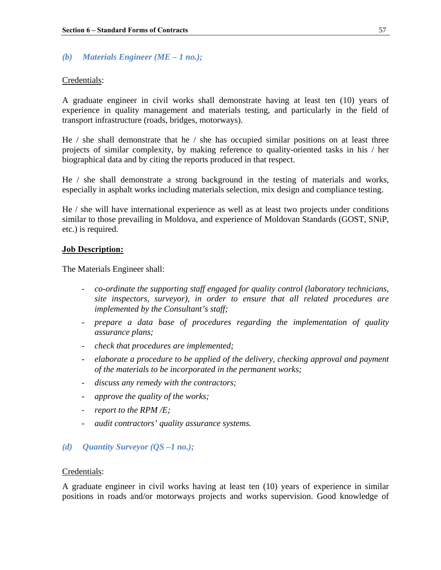#### *(b) Materials Engineer (ME – 1 no.);*

#### Credentials:

A graduate engineer in civil works shall demonstrate having at least ten (10) years of experience in quality management and materials testing, and particularly in the field of transport infrastructure (roads, bridges, motorways).

He / she shall demonstrate that he / she has occupied similar positions on at least three projects of similar complexity, by making reference to quality-oriented tasks in his / her biographical data and by citing the reports produced in that respect.

He / she shall demonstrate a strong background in the testing of materials and works, especially in asphalt works including materials selection, mix design and compliance testing.

He / she will have international experience as well as at least two projects under conditions similar to those prevailing in Moldova, and experience of Moldovan Standards (GOST, SNiP, etc.) is required.

#### **Job Description:**

The Materials Engineer shall:

- *co-ordinate the supporting staff engaged for quality control (laboratory technicians, site inspectors, surveyor), in order to ensure that all related procedures are implemented by the Consultant's staff;*
- *prepare a data base of procedures regarding the implementation of quality assurance plans;*
- *check that procedures are implemented;*
- *elaborate a procedure to be applied of the delivery, checking approval and payment of the materials to be incorporated in the permanent works;*
- *discuss any remedy with the contractors;*
- *approve the quality of the works;*
- *report to the RPM /E;*
- *audit contractors' quality assurance systems.*

#### *(d) Quantity Surveyor (QS –1 no.);*

#### Credentials:

A graduate engineer in civil works having at least ten (10) years of experience in similar positions in roads and/or motorways projects and works supervision. Good knowledge of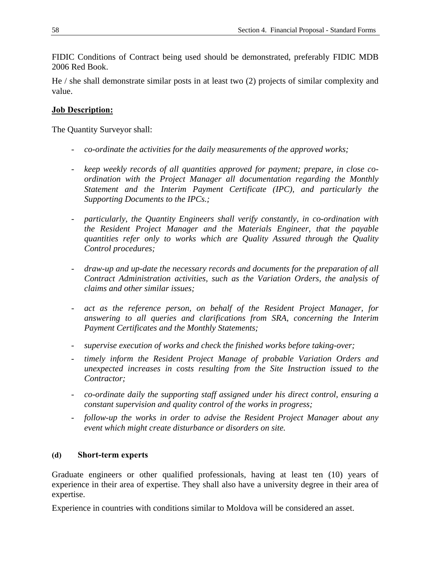FIDIC Conditions of Contract being used should be demonstrated, preferably FIDIC MDB 2006 Red Book.

He / she shall demonstrate similar posts in at least two (2) projects of similar complexity and value.

## **Job Description:**

The Quantity Surveyor shall:

- *co-ordinate the activities for the daily measurements of the approved works;*
- *keep weekly records of all quantities approved for payment; prepare, in close coordination with the Project Manager all documentation regarding the Monthly Statement and the Interim Payment Certificate (IPC), and particularly the Supporting Documents to the IPCs.;*
- *particularly, the Quantity Engineers shall verify constantly, in co-ordination with the Resident Project Manager and the Materials Engineer, that the payable quantities refer only to works which are Quality Assured through the Quality Control procedures;*
- *draw-up and up-date the necessary records and documents for the preparation of all Contract Administration activities, such as the Variation Orders, the analysis of claims and other similar issues;*
- act as the reference person, on behalf of the Resident Project Manager, for *answering to all queries and clarifications from SRA, concerning the Interim Payment Certificates and the Monthly Statements;*
- supervise execution of works and check the finished works before taking-over;
- timely inform the Resident Project Manage of probable Variation Orders and *unexpected increases in costs resulting from the Site Instruction issued to the Contractor;*
- *co-ordinate daily the supporting staff assigned under his direct control, ensuring a constant supervision and quality control of the works in progress;*
- *follow-up the works in order to advise the Resident Project Manager about any event which might create disturbance or disorders on site.*

#### **(d) Short-term experts**

Graduate engineers or other qualified professionals, having at least ten (10) years of experience in their area of expertise. They shall also have a university degree in their area of expertise.

Experience in countries with conditions similar to Moldova will be considered an asset.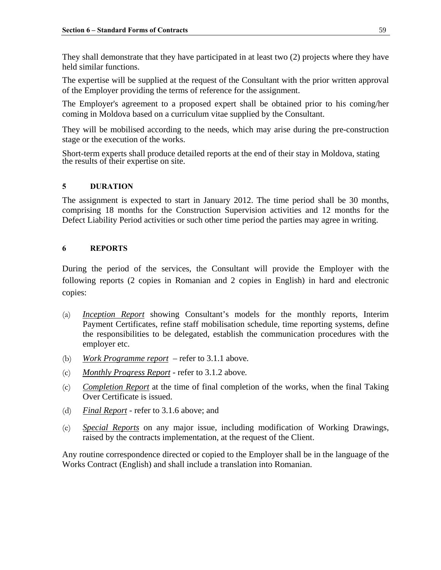They shall demonstrate that they have participated in at least two (2) projects where they have held similar functions.

The expertise will be supplied at the request of the Consultant with the prior written approval of the Employer providing the terms of reference for the assignment.

The Employer's agreement to a proposed expert shall be obtained prior to his coming/her coming in Moldova based on a curriculum vitae supplied by the Consultant.

They will be mobilised according to the needs, which may arise during the pre-construction stage or the execution of the works.

Short-term experts shall produce detailed reports at the end of their stay in Moldova, stating the results of their expertise on site.

### **5 DURATION**

The assignment is expected to start in January 2012. The time period shall be 30 months, comprising 18 months for the Construction Supervision activities and 12 months for the Defect Liability Period activities or such other time period the parties may agree in writing.

#### **6 REPORTS**

During the period of the services, the Consultant will provide the Employer with the following reports (2 copies in Romanian and 2 copies in English) in hard and electronic copies:

- (a) *Inception Report* showing Consultant's models for the monthly reports, Interim Payment Certificates, refine staff mobilisation schedule, time reporting systems, define the responsibilities to be delegated, establish the communication procedures with the employer etc.
- (b) *Work Programme report* refer to 3.1.1 above*.*
- (c) *Monthly Progress Report* refer to 3.1.2 above*.*
- (c) *Completion Report* at the time of final completion of the works, when the final Taking Over Certificate is issued.
- (d) *Final Report* refer to 3.1.6 above; and
- (e) *Special Reports* on any major issue, including modification of Working Drawings, raised by the contracts implementation, at the request of the Client.

Any routine correspondence directed or copied to the Employer shall be in the language of the Works Contract (English) and shall include a translation into Romanian.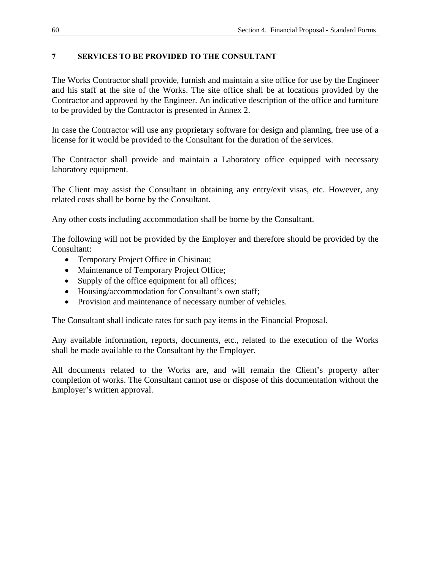## **7 SERVICES TO BE PROVIDED TO THE CONSULTANT**

The Works Contractor shall provide, furnish and maintain a site office for use by the Engineer and his staff at the site of the Works. The site office shall be at locations provided by the Contractor and approved by the Engineer. An indicative description of the office and furniture to be provided by the Contractor is presented in Annex 2.

In case the Contractor will use any proprietary software for design and planning, free use of a license for it would be provided to the Consultant for the duration of the services.

The Contractor shall provide and maintain a Laboratory office equipped with necessary laboratory equipment.

The Client may assist the Consultant in obtaining any entry/exit visas, etc. However, any related costs shall be borne by the Consultant.

Any other costs including accommodation shall be borne by the Consultant.

The following will not be provided by the Employer and therefore should be provided by the Consultant:

- Temporary Project Office in Chisinau;
- Maintenance of Temporary Project Office;
- Supply of the office equipment for all offices;
- Housing/accommodation for Consultant's own staff;
- Provision and maintenance of necessary number of vehicles.

The Consultant shall indicate rates for such pay items in the Financial Proposal.

Any available information, reports, documents, etc., related to the execution of the Works shall be made available to the Consultant by the Employer.

All documents related to the Works are, and will remain the Client's property after completion of works. The Consultant cannot use or dispose of this documentation without the Employer's written approval.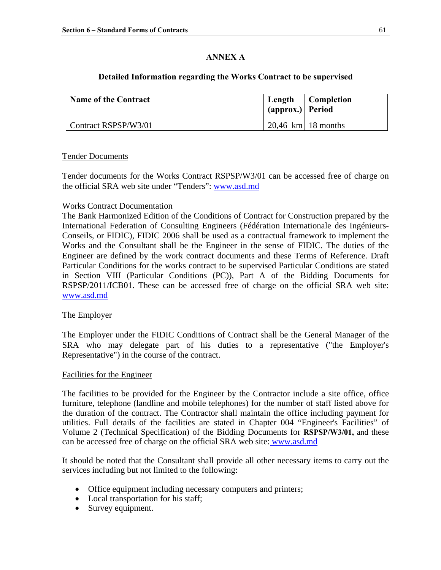# **ANNEX A**

# **Detailed Information regarding the Works Contract to be supervised**

| <b>Name of the Contract</b> | $ $ (approx.) Period | Length   Completion  |
|-----------------------------|----------------------|----------------------|
| Contract RSPSP/W3/01        |                      | $20.46$ km 18 months |

#### Tender Documents

Tender documents for the Works Contract RSPSP/W3/01 can be accessed free of charge on the official SRA web site under "Tenders": [www.asd.md](http://www.asd.md/)

#### Works Contract Documentation

The Bank Harmonized Edition of the Conditions of Contract for Construction prepared by the International Federation of Consulting Engineers (Fédération Internationale des Ingénieurs-Conseils, or FIDIC), FIDIC 2006 shall be used as a contractual framework to implement the Works and the Consultant shall be the Engineer in the sense of FIDIC. The duties of the Engineer are defined by the work contract documents and these Terms of Reference. Draft Particular Conditions for the works contract to be supervised Particular Conditions are stated in Section VIII (Particular Conditions (PC)), Part A of the Bidding Documents for RSPSP/2011/ICB01. These can be accessed free of charge on the official SRA web site: www.asd.md

#### The Employer

The Employer under the FIDIC Conditions of Contract shall be the General Manager of the SRA who may delegate part of his duties to a representative ("the Employer's Representative") in the course of the contract.

#### Facilities for the Engineer

The facilities to be provided for the Engineer by the Contractor include a site office, office furniture, telephone (landline and mobile telephones) for the number of staff listed above for the duration of the contract. The Contractor shall maintain the office including payment for utilities. Full details of the facilities are stated in Chapter 004 "Engineer's Facilities" of Volume 2 (Technical Specification) of the Bidding Documents for **RSPSP/W3/01,** and these can be accessed free of charge on the official SRA web site: [www.asd.md](http://www.asd.md/)

It should be noted that the Consultant shall provide all other necessary items to carry out the services including but not limited to the following:

- Office equipment including necessary computers and printers;
- Local transportation for his staff;
- Survey equipment.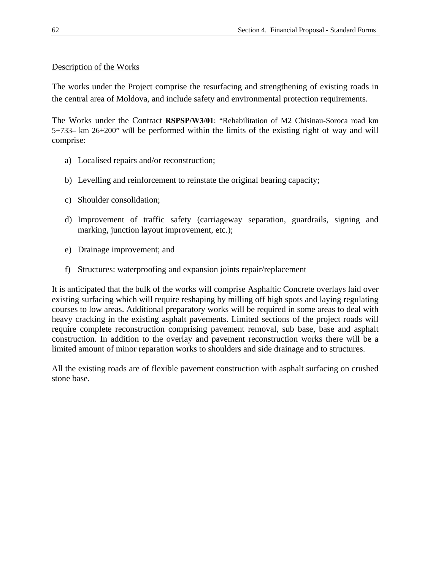### Description of the Works

The works under the Project comprise the resurfacing and strengthening of existing roads in the central area of Moldova, and include safety and environmental protection requirements.

The Works under the Contract **RSPSP/W3/01**: "Rehabilitation of M2 Chisinau-Soroca road km 5+733– km 26+200" will be performed within the limits of the existing right of way and will comprise:

- a) Localised repairs and/or reconstruction;
- b) Levelling and reinforcement to reinstate the original bearing capacity;
- c) Shoulder consolidation;
- d) Improvement of traffic safety (carriageway separation, guardrails, signing and marking, junction layout improvement, etc.);
- e) Drainage improvement; and
- f) Structures: waterproofing and expansion joints repair/replacement

It is anticipated that the bulk of the works will comprise Asphaltic Concrete overlays laid over existing surfacing which will require reshaping by milling off high spots and laying regulating courses to low areas. Additional preparatory works will be required in some areas to deal with heavy cracking in the existing asphalt pavements. Limited sections of the project roads will require complete reconstruction comprising pavement removal, sub base, base and asphalt construction. In addition to the overlay and pavement reconstruction works there will be a limited amount of minor reparation works to shoulders and side drainage and to structures.

All the existing roads are of flexible pavement construction with asphalt surfacing on crushed stone base.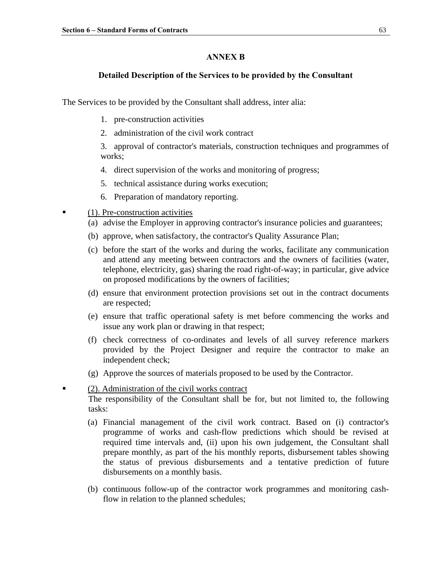#### **ANNEX B**

#### **Detailed Description of the Services to be provided by the Consultant**

The Services to be provided by the Consultant shall address, inter alia:

- 1. pre-construction activities
- 2. administration of the civil work contract

3. approval of contractor's materials, construction techniques and programmes of works;

- 4. direct supervision of the works and monitoring of progress;
- 5. technical assistance during works execution;
- 6. Preparation of mandatory reporting.
- $\blacksquare$  (1). Pre-construction activities
	- (a) advise the Employer in approving contractor's insurance policies and guarantees;
	- (b) approve, when satisfactory, the contractor's Quality Assurance Plan;
	- (c) before the start of the works and during the works, facilitate any communication and attend any meeting between contractors and the owners of facilities (water, telephone, electricity, gas) sharing the road right-of-way; in particular, give advice on proposed modifications by the owners of facilities;
	- (d) ensure that environment protection provisions set out in the contract documents are respected;
	- (e) ensure that traffic operational safety is met before commencing the works and issue any work plan or drawing in that respect;
	- (f) check correctness of co-ordinates and levels of all survey reference markers provided by the Project Designer and require the contractor to make an independent check;
	- (g) Approve the sources of materials proposed to be used by the Contractor.
- **•** (2). Administration of the civil works contract The responsibility of the Consultant shall be for, but not limited to, the following tasks:
	- (a) Financial management of the civil work contract. Based on (i) contractor's programme of works and cash-flow predictions which should be revised at required time intervals and, (ii) upon his own judgement, the Consultant shall prepare monthly, as part of the his monthly reports, disbursement tables showing the status of previous disbursements and a tentative prediction of future disbursements on a monthly basis.
	- (b) continuous follow-up of the contractor work programmes and monitoring cashflow in relation to the planned schedules;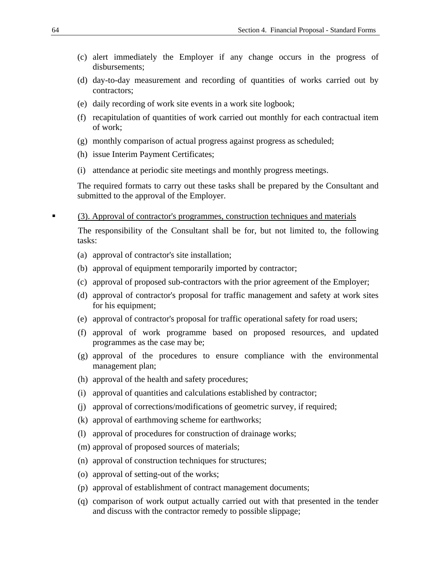- (c) alert immediately the Employer if any change occurs in the progress of disbursements;
- (d) day-to-day measurement and recording of quantities of works carried out by contractors;
- (e) daily recording of work site events in a work site logbook;
- (f) recapitulation of quantities of work carried out monthly for each contractual item of work;
- (g) monthly comparison of actual progress against progress as scheduled;
- (h) issue Interim Payment Certificates;
- (i) attendance at periodic site meetings and monthly progress meetings.

The required formats to carry out these tasks shall be prepared by the Consultant and submitted to the approval of the Employer.

(3). Approval of contractor's programmes, construction techniques and materials

The responsibility of the Consultant shall be for, but not limited to, the following tasks:

- (a) approval of contractor's site installation;
- (b) approval of equipment temporarily imported by contractor;
- (c) approval of proposed sub-contractors with the prior agreement of the Employer;
- (d) approval of contractor's proposal for traffic management and safety at work sites for his equipment;
- (e) approval of contractor's proposal for traffic operational safety for road users;
- (f) approval of work programme based on proposed resources, and updated programmes as the case may be;
- (g) approval of the procedures to ensure compliance with the environmental management plan;
- (h) approval of the health and safety procedures;
- (i) approval of quantities and calculations established by contractor;
- (j) approval of corrections/modifications of geometric survey, if required;
- (k) approval of earthmoving scheme for earthworks;
- (l) approval of procedures for construction of drainage works;
- (m) approval of proposed sources of materials;
- (n) approval of construction techniques for structures;
- (o) approval of setting-out of the works;
- (p) approval of establishment of contract management documents;
- (q) comparison of work output actually carried out with that presented in the tender and discuss with the contractor remedy to possible slippage;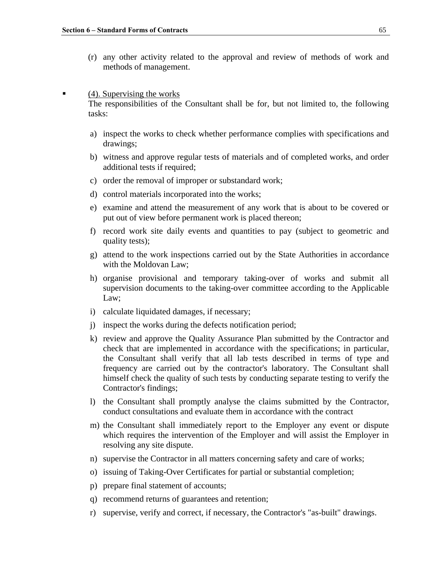(r) any other activity related to the approval and review of methods of work and methods of management.

#### (4). Supervising the works

The responsibilities of the Consultant shall be for, but not limited to, the following tasks:

- a) inspect the works to check whether performance complies with specifications and drawings;
- b) witness and approve regular tests of materials and of completed works, and order additional tests if required;
- c) order the removal of improper or substandard work;
- d) control materials incorporated into the works;
- e) examine and attend the measurement of any work that is about to be covered or put out of view before permanent work is placed thereon;
- f) record work site daily events and quantities to pay (subject to geometric and quality tests);
- g) attend to the work inspections carried out by the State Authorities in accordance with the Moldovan Law;
- h) organise provisional and temporary taking-over of works and submit all supervision documents to the taking-over committee according to the Applicable Law;
- i) calculate liquidated damages, if necessary;
- j) inspect the works during the defects notification period;
- k) review and approve the Quality Assurance Plan submitted by the Contractor and check that are implemented in accordance with the specifications; in particular, the Consultant shall verify that all lab tests described in terms of type and frequency are carried out by the contractor's laboratory. The Consultant shall himself check the quality of such tests by conducting separate testing to verify the Contractor's findings;
- l) the Consultant shall promptly analyse the claims submitted by the Contractor, conduct consultations and evaluate them in accordance with the contract
- m) the Consultant shall immediately report to the Employer any event or dispute which requires the intervention of the Employer and will assist the Employer in resolving any site dispute.
- n) supervise the Contractor in all matters concerning safety and care of works;
- o) issuing of Taking-Over Certificates for partial or substantial completion;
- p) prepare final statement of accounts;
- q) recommend returns of guarantees and retention;
- r) supervise, verify and correct, if necessary, the Contractor's "as-built" drawings.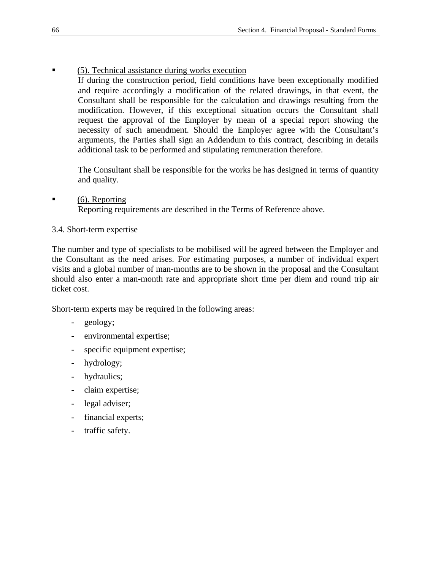- (5). Technical assistance during works execution
	- If during the construction period, field conditions have been exceptionally modified and require accordingly a modification of the related drawings, in that event, the Consultant shall be responsible for the calculation and drawings resulting from the modification. However, if this exceptional situation occurs the Consultant shall request the approval of the Employer by mean of a special report showing the necessity of such amendment. Should the Employer agree with the Consultant's arguments, the Parties shall sign an Addendum to this contract, describing in details additional task to be performed and stipulating remuneration therefore.

The Consultant shall be responsible for the works he has designed in terms of quantity and quality.

- (6). Reporting Reporting requirements are described in the Terms of Reference above.
- 3.4. Short-term expertise

The number and type of specialists to be mobilised will be agreed between the Employer and the Consultant as the need arises. For estimating purposes, a number of individual expert visits and a global number of man-months are to be shown in the proposal and the Consultant should also enter a man-month rate and appropriate short time per diem and round trip air ticket cost.

Short-term experts may be required in the following areas:

- geology;
- environmental expertise;
- specific equipment expertise;
- hydrology;
- hydraulics;
- claim expertise;
- legal adviser;
- financial experts;
- traffic safety.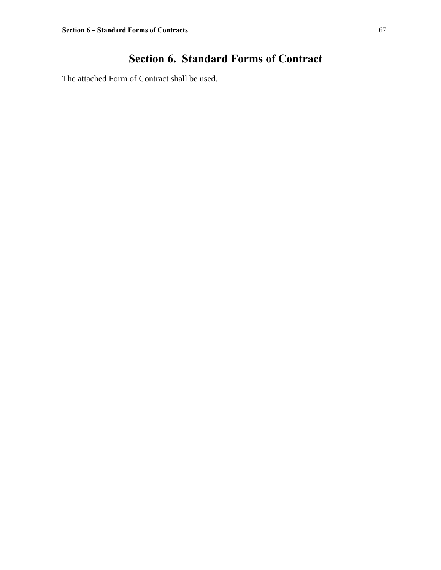# **Section 6. Standard Forms of Contract**

The attached Form of Contract shall be used.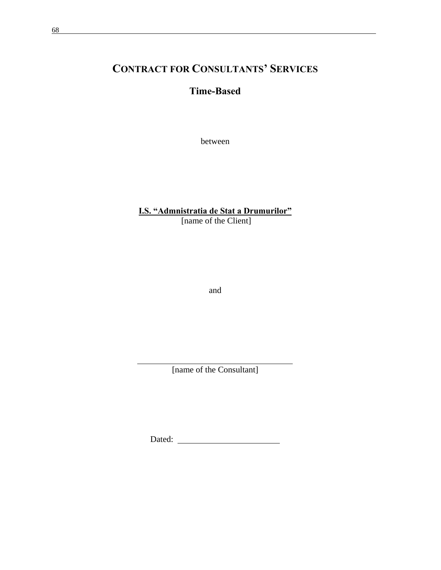# **CONTRACT FOR CONSULTANTS' SERVICES**

# **Time-Based**

between

# **I.S. "Admnistratia de Stat a Drumurilor"**

[name of the Client]

and

[name of the Consultant]

Dated: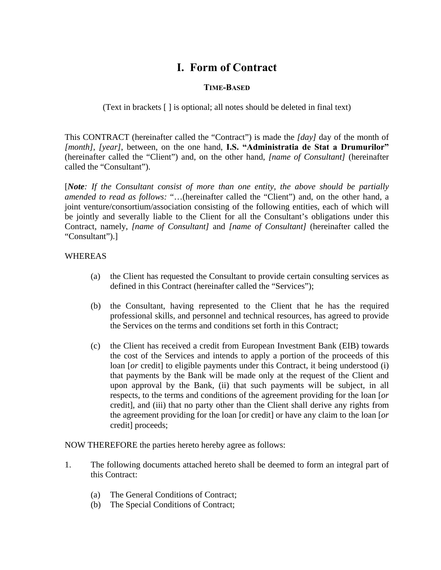# **I. Form of Contract**

# **TIME-BASED**

(Text in brackets [ ] is optional; all notes should be deleted in final text)

This CONTRACT (hereinafter called the "Contract") is made the *[day]* day of the month of *[month]*, *[year]*, between, on the one hand, **I.S. "Administratia de Stat a Drumurilor"** (hereinafter called the "Client") and, on the other hand, *[name of Consultant]* (hereinafter called the "Consultant").

[*Note: If the Consultant consist of more than one entity, the above should be partially amended to read as follows:* "…(hereinafter called the "Client") and, on the other hand, a joint venture/consortium/association consisting of the following entities, each of which will be jointly and severally liable to the Client for all the Consultant's obligations under this Contract, namely, *[name of Consultant]* and *[name of Consultant]* (hereinafter called the "Consultant").]

## WHEREAS

- (a) the Client has requested the Consultant to provide certain consulting services as defined in this Contract (hereinafter called the "Services");
- (b) the Consultant, having represented to the Client that he has the required professional skills, and personnel and technical resources, has agreed to provide the Services on the terms and conditions set forth in this Contract;
- (c) the Client has received a credit from European Investment Bank (EIB) towards the cost of the Services and intends to apply a portion of the proceeds of this loan [*or* credit] to eligible payments under this Contract, it being understood (i) that payments by the Bank will be made only at the request of the Client and upon approval by the Bank, (ii) that such payments will be subject, in all respects, to the terms and conditions of the agreement providing for the loan [*or* credit], and (iii) that no party other than the Client shall derive any rights from the agreement providing for the loan [or credit] or have any claim to the loan [*or* credit] proceeds;

NOW THEREFORE the parties hereto hereby agree as follows:

- 1. The following documents attached hereto shall be deemed to form an integral part of this Contract:
	- (a) The General Conditions of Contract;
	- (b) The Special Conditions of Contract;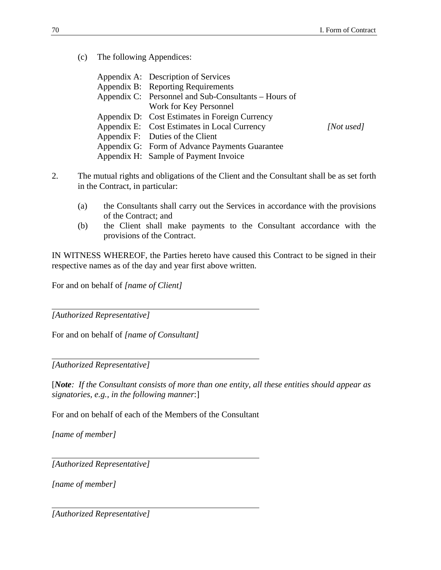(c) The following Appendices:

|                                                      | Appendix A: Description of Services            |            |
|------------------------------------------------------|------------------------------------------------|------------|
|                                                      | Appendix B: Reporting Requirements             |            |
| Appendix C: Personnel and Sub-Consultants – Hours of |                                                |            |
|                                                      | Work for Key Personnel                         |            |
|                                                      | Appendix D: Cost Estimates in Foreign Currency |            |
|                                                      | Appendix E: Cost Estimates in Local Currency   | [Not used] |
|                                                      | Appendix F: Duties of the Client               |            |
|                                                      | Appendix G: Form of Advance Payments Guarantee |            |
|                                                      | Appendix H: Sample of Payment Invoice          |            |

- 2. The mutual rights and obligations of the Client and the Consultant shall be as set forth in the Contract, in particular:
	- (a) the Consultants shall carry out the Services in accordance with the provisions of the Contract; and
	- (b) the Client shall make payments to the Consultant accordance with the provisions of the Contract.

IN WITNESS WHEREOF, the Parties hereto have caused this Contract to be signed in their respective names as of the day and year first above written.

For and on behalf of *[name of Client]*

*[Authorized Representative]*

For and on behalf of *[name of Consultant]*

*[Authorized Representative]*

[*Note: If the Consultant consists of more than one entity, all these entities should appear as signatories, e.g., in the following manner*:]

For and on behalf of each of the Members of the Consultant

*[name of member]*

*[Authorized Representative]*

*[name of member]*

*[Authorized Representative]*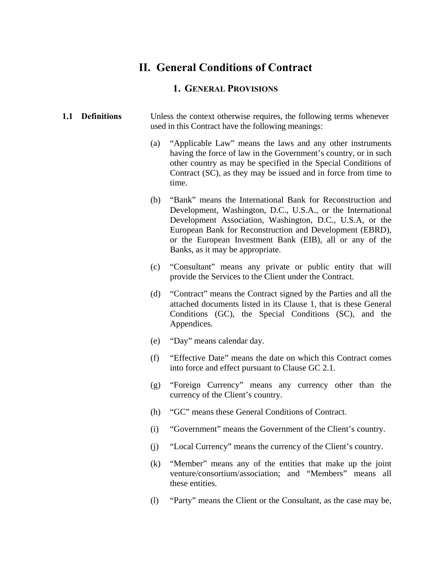### **II. General Conditions of Contract**

### **1. GENERAL PROVISIONS**

#### **1.1 Definitions** Unless the context otherwise requires, the following terms whenever used in this Contract have the following meanings:

- (a) "Applicable Law" means the laws and any other instruments having the force of law in the Government's country, or in such other country as may be specified in the Special Conditions of Contract (SC), as they may be issued and in force from time to time.
- (b) "Bank" means the International Bank for Reconstruction and Development, Washington, D.C., U.S.A., or the International Development Association, Washington, D.C., U.S.A, or the European Bank for Reconstruction and Development (EBRD), or the European Investment Bank (EIB), all or any of the Banks, as it may be appropriate.
- (c) "Consultant" means any private or public entity that will provide the Services to the Client under the Contract.
- (d) "Contract" means the Contract signed by the Parties and all the attached documents listed in its Clause 1, that is these General Conditions (GC), the Special Conditions (SC), and the Appendices.
- (e) "Day" means calendar day.
- (f) "Effective Date" means the date on which this Contract comes into force and effect pursuant to Clause GC 2.1.
- (g) "Foreign Currency" means any currency other than the currency of the Client's country.
- (h) "GC" means these General Conditions of Contract.
- (i) "Government" means the Government of the Client's country.
- (j) "Local Currency" means the currency of the Client's country.
- (k) "Member" means any of the entities that make up the joint venture/consortium/association; and "Members" means all these entities.
- (l) "Party" means the Client or the Consultant, as the case may be,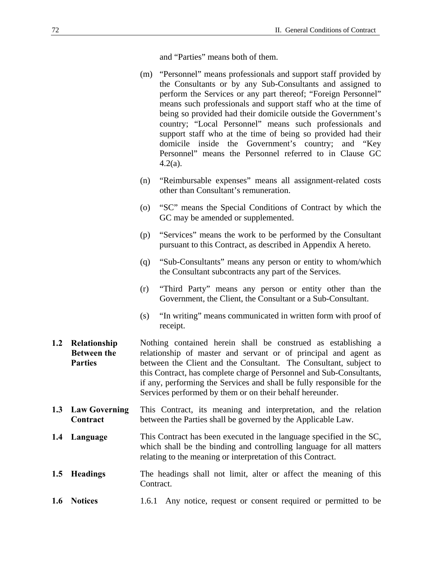and "Parties" means both of them.

- (m) "Personnel" means professionals and support staff provided by the Consultants or by any Sub-Consultants and assigned to perform the Services or any part thereof; "Foreign Personnel" means such professionals and support staff who at the time of being so provided had their domicile outside the Government's country; "Local Personnel" means such professionals and support staff who at the time of being so provided had their domicile inside the Government's country; and "Key Personnel" means the Personnel referred to in Clause GC 4.2(a).
- (n) "Reimbursable expenses" means all assignment-related costs other than Consultant's remuneration.
- (o) "SC" means the Special Conditions of Contract by which the GC may be amended or supplemented.
- (p) "Services" means the work to be performed by the Consultant pursuant to this Contract, as described in Appendix A hereto.
- (q) "Sub-Consultants" means any person or entity to whom/which the Consultant subcontracts any part of the Services.
- (r) "Third Party" means any person or entity other than the Government, the Client, the Consultant or a Sub-Consultant.
- (s) "In writing" means communicated in written form with proof of receipt.
- **1.2 Relationship Between the Parties**  Nothing contained herein shall be construed as establishing a relationship of master and servant or of principal and agent as between the Client and the Consultant. The Consultant, subject to this Contract, has complete charge of Personnel and Sub-Consultants, if any, performing the Services and shall be fully responsible for the Services performed by them or on their behalf hereunder.
- **1.3 Law Governing Contract**  This Contract, its meaning and interpretation, and the relation between the Parties shall be governed by the Applicable Law.
- **1.4 Language** This Contract has been executed in the language specified in the SC, which shall be the binding and controlling language for all matters relating to the meaning or interpretation of this Contract.
- **1.5 Headings** The headings shall not limit, alter or affect the meaning of this Contract.
- **1.6 Notices** 1.6.1 Any notice, request or consent required or permitted to be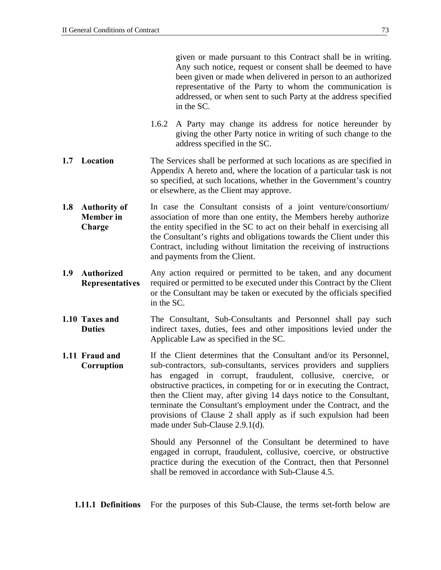given or made pursuant to this Contract shall be in writing. Any such notice, request or consent shall be deemed to have been given or made when delivered in person to an authorized representative of the Party to whom the communication is addressed, or when sent to such Party at the address specified in the SC.

- 1.6.2 A Party may change its address for notice hereunder by giving the other Party notice in writing of such change to the address specified in the SC.
- **1.7** Location The Services shall be performed at such locations as are specified in Appendix A hereto and, where the location of a particular task is not so specified, at such locations, whether in the Government's country or elsewhere, as the Client may approve.
- **1.8 Authority of Member in Charge**  In case the Consultant consists of a joint venture/consortium/ association of more than one entity, the Members hereby authorize the entity specified in the SC to act on their behalf in exercising all the Consultant's rights and obligations towards the Client under this Contract, including without limitation the receiving of instructions and payments from the Client.
- **1.9 Authorized Representatives**  Any action required or permitted to be taken, and any document required or permitted to be executed under this Contract by the Client or the Consultant may be taken or executed by the officials specified in the SC.
- **1.10 Taxes and Duties**  The Consultant, Sub-Consultants and Personnel shall pay such indirect taxes, duties, fees and other impositions levied under the Applicable Law as specified in the SC.
- **1.11 Fraud and Corruption** If the Client determines that the Consultant and/or its Personnel, sub-contractors, sub-consultants, services providers and suppliers has engaged in corrupt, fraudulent, collusive, coercive, or obstructive practices, in competing for or in executing the Contract, then the Client may, after giving 14 days notice to the Consultant, terminate the Consultant's employment under the Contract, and the provisions of Clause 2 shall apply as if such expulsion had been made under Sub-Clause 2.9.1(d).

Should any Personnel of the Consultant be determined to have engaged in corrupt, fraudulent, collusive, coercive, or obstructive practice during the execution of the Contract, then that Personnel shall be removed in accordance with Sub-Clause 4.5.

**1.11.1 Definitions** For the purposes of this Sub-Clause, the terms set-forth below are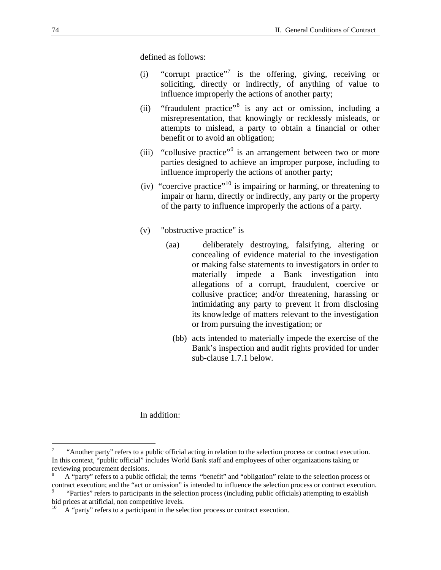<span id="page-75-0"></span>defined as follows:

- (i) "corrupt practice"<sup>[7](#page-75-0)</sup> is the offering, giving, receiving or soliciting, directly or indirectly, of anything of value to influence improperly the actions of another party;
- (ii) "fraudulent practice"<sup>[8](#page-75-0)</sup> is any act or omission, including a misrepresentation, that knowingly or recklessly misleads, or attempts to mislead, a party to obtain a financial or other benefit or to avoid an obligation;
- (iii) "collusive practice"<sup>[9](#page-75-0)</sup> is an arrangement between two or more parties designed to achieve an improper purpose, including to influence improperly the actions of another party;
- (iv) "coercive practice"<sup>[10](#page-75-0)</sup> is impairing or harming, or threatening to impair or harm, directly or indirectly, any party or the property of the party to influence improperly the actions of a party.
- (v) "obstructive practice" is
	- (aa) deliberately destroying, falsifying, altering or concealing of evidence material to the investigation or making false statements to investigators in order to materially impede a Bank investigation into allegations of a corrupt, fraudulent, coercive or collusive practice; and/or threatening, harassing or intimidating any party to prevent it from disclosing its knowledge of matters relevant to the investigation or from pursuing the investigation; or
		- (bb) acts intended to materially impede the exercise of the Bank's inspection and audit rights provided for under sub-clause 1.7.1 below.

#### In addition:

1

<sup>7</sup> "Another party" refers to a public official acting in relation to the selection process or contract execution. In this context, "public official" includes World Bank staff and employees of other organizations taking or reviewing procurement decisions.

<sup>8</sup> A "party" refers to a public official; the terms "benefit" and "obligation" relate to the selection process or contract execution; and the "act or omission" is intended to influence the selection process or contract execution.

 <sup>&</sup>quot;Parties" refers to participants in the selection process (including public officials) attempting to establish bid prices at artificial, non competitive levels.

A "party" refers to a participant in the selection process or contract execution.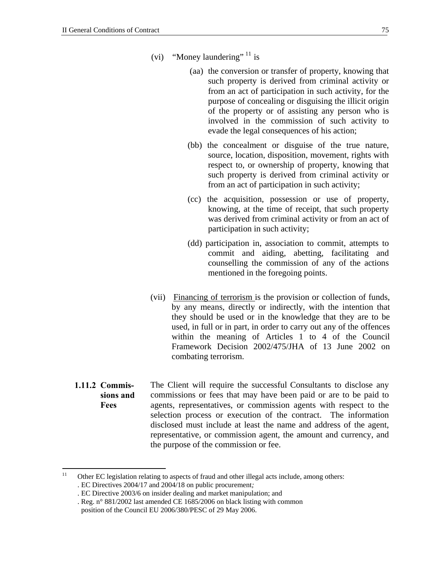- <span id="page-76-0"></span>(vi) "Money laundering"<sup>[11](#page-76-0)</sup> is
	- (aa) the conversion or transfer of property, knowing that such property is derived from criminal activity or from an act of participation in such activity, for the purpose of concealing or disguising the illicit origin of the property or of assisting any person who is involved in the commission of such activity to evade the legal consequences of his action;
	- (bb) the concealment or disguise of the true nature, source, location, disposition, movement, rights with respect to, or ownership of property, knowing that such property is derived from criminal activity or from an act of participation in such activity;
	- (cc) the acquisition, possession or use of property, knowing, at the time of receipt, that such property was derived from criminal activity or from an act of participation in such activity;
	- (dd) participation in, association to commit, attempts to commit and aiding, abetting, facilitating and counselling the commission of any of the actions mentioned in the foregoing points.
- (vii) Financing of terrorism is the provision or collection of funds, by any means, directly or indirectly, with the intention that they should be used or in the knowledge that they are to be used, in full or in part, in order to carry out any of the offences within the meaning of Articles 1 to 4 of the Council Framework Decision 2002/475/JHA of 13 June 2002 on combating terrorism.
- **1.11.2 Commissions and Fees**  The Client will require the successful Consultants to disclose any commissions or fees that may have been paid or are to be paid to agents, representatives, or commission agents with respect to the selection process or execution of the contract. The information disclosed must include at least the name and address of the agent, representative, or commission agent, the amount and currency, and the purpose of the commission or fee.

 $11$ Other EC legislation relating to aspects of fraud and other illegal acts include, among others: . EC Directives 2004/17 and 2004/18 on public procurement*;* 

<sup>.</sup> EC Directive 2003/6 on insider dealing and market manipulation; and

<sup>.</sup> Reg. n° 881/2002 last amended CE 1685/2006 on black listing with common position of the Council EU 2006/380/PESC of 29 May 2006.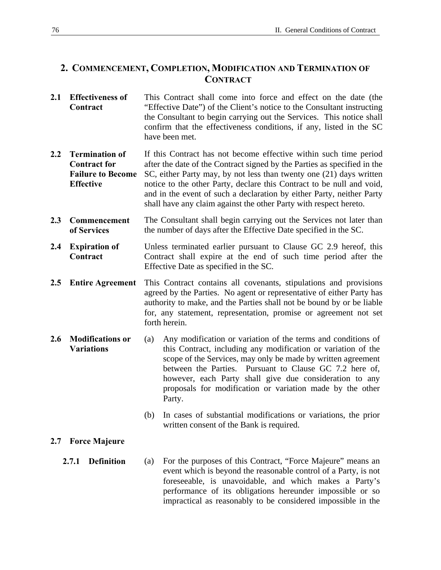### **2. COMMENCEMENT, COMPLETION, MODIFICATION AND TERMINATION OF CONTRACT**

- **2.1 Effectiveness of Contract**  This Contract shall come into force and effect on the date (the "Effective Date") of the Client's notice to the Consultant instructing the Consultant to begin carrying out the Services. This notice shall confirm that the effectiveness conditions, if any, listed in the SC have been met.
- **2.2 Termination of Contract for Failure to Become Effective**  If this Contract has not become effective within such time period after the date of the Contract signed by the Parties as specified in the SC, either Party may, by not less than twenty one (21) days written notice to the other Party, declare this Contract to be null and void, and in the event of such a declaration by either Party, neither Party shall have any claim against the other Party with respect hereto.
- **2.3 Commencement of Services**  The Consultant shall begin carrying out the Services not later than the number of days after the Effective Date specified in the SC.
- **2.4 Expiration of Contract**  Unless terminated earlier pursuant to Clause GC 2.9 hereof, this Contract shall expire at the end of such time period after the Effective Date as specified in the SC.
- **2.5 Entire Agreement** This Contract contains all covenants, stipulations and provisions agreed by the Parties. No agent or representative of either Party has authority to make, and the Parties shall not be bound by or be liable for, any statement, representation, promise or agreement not set forth herein.
- **2.6 Modifications or Variations**  (a) Any modification or variation of the terms and conditions of this Contract, including any modification or variation of the scope of the Services, may only be made by written agreement between the Parties. Pursuant to Clause GC 7.2 here of, however, each Party shall give due consideration to any proposals for modification or variation made by the other Party.
	- (b) In cases of substantial modifications or variations, the prior written consent of the Bank is required.

### **2.7 Force Majeure**

**2.7.1 Definition** (a) For the purposes of this Contract, "Force Majeure" means an event which is beyond the reasonable control of a Party, is not foreseeable, is unavoidable, and which makes a Party's performance of its obligations hereunder impossible or so impractical as reasonably to be considered impossible in the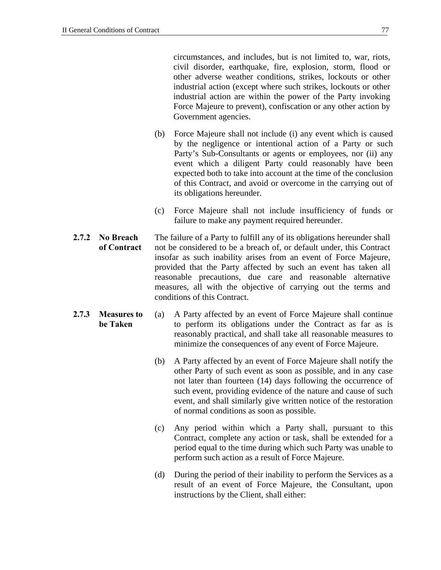circumstances, and includes, but is not limited to, war, riots, civil disorder, earthquake, fire, explosion, storm, flood or other adverse weather conditions, strikes, lockouts or other industrial action (except where such strikes, lockouts or other industrial action are within the power of the Party invoking Force Majeure to prevent), confiscation or any other action by Government agencies.

- (b) Force Majeure shall not include (i) any event which is caused by the negligence or intentional action of a Party or such Party's Sub-Consultants or agents or employees, nor (ii) any event which a diligent Party could reasonably have been expected both to take into account at the time of the conclusion of this Contract, and avoid or overcome in the carrying out of its obligations hereunder.
- (c) Force Majeure shall not include insufficiency of funds or failure to make any payment required hereunder.
- **2.7.2 No Breach of Contract** The failure of a Party to fulfill any of its obligations hereunder shall not be considered to be a breach of, or default under, this Contract insofar as such inability arises from an event of Force Majeure, provided that the Party affected by such an event has taken all reasonable precautions, due care and reasonable alternative measures, all with the objective of carrying out the terms and conditions of this Contract.
- **2.7.3 Measures to be Taken**  (a) A Party affected by an event of Force Majeure shall continue to perform its obligations under the Contract as far as is reasonably practical, and shall take all reasonable measures to minimize the consequences of any event of Force Majeure.
	- (b) A Party affected by an event of Force Majeure shall notify the other Party of such event as soon as possible, and in any case not later than fourteen (14) days following the occurrence of such event, providing evidence of the nature and cause of such event, and shall similarly give written notice of the restoration of normal conditions as soon as possible.
	- (c) Any period within which a Party shall, pursuant to this Contract, complete any action or task, shall be extended for a period equal to the time during which such Party was unable to perform such action as a result of Force Majeure.
	- (d) During the period of their inability to perform the Services as a result of an event of Force Majeure, the Consultant, upon instructions by the Client, shall either: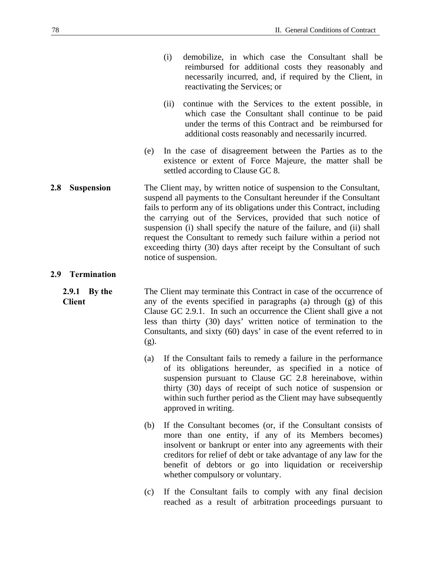- (i) demobilize, in which case the Consultant shall be reimbursed for additional costs they reasonably and necessarily incurred, and, if required by the Client, in reactivating the Services; or
- (ii) continue with the Services to the extent possible, in which case the Consultant shall continue to be paid under the terms of this Contract and be reimbursed for additional costs reasonably and necessarily incurred.
- (e) In the case of disagreement between the Parties as to the existence or extent of Force Majeure, the matter shall be settled according to Clause GC 8.
- **2.8 Suspension** The Client may, by written notice of suspension to the Consultant, suspend all payments to the Consultant hereunder if the Consultant fails to perform any of its obligations under this Contract, including the carrying out of the Services, provided that such notice of suspension (i) shall specify the nature of the failure, and (ii) shall request the Consultant to remedy such failure within a period not exceeding thirty (30) days after receipt by the Consultant of such notice of suspension.

#### **2.9 Termination**

**2.9.1 By the Client**  The Client may terminate this Contract in case of the occurrence of any of the events specified in paragraphs (a) through (g) of this Clause GC 2.9.1. In such an occurrence the Client shall give a not less than thirty (30) days' written notice of termination to the Consultants, and sixty (60) days' in case of the event referred to in (g).

- (a) If the Consultant fails to remedy a failure in the performance of its obligations hereunder, as specified in a notice of suspension pursuant to Clause GC 2.8 hereinabove, within thirty (30) days of receipt of such notice of suspension or within such further period as the Client may have subsequently approved in writing.
- (b) If the Consultant becomes (or, if the Consultant consists of more than one entity, if any of its Members becomes) insolvent or bankrupt or enter into any agreements with their creditors for relief of debt or take advantage of any law for the benefit of debtors or go into liquidation or receivership whether compulsory or voluntary.
- (c) If the Consultant fails to comply with any final decision reached as a result of arbitration proceedings pursuant to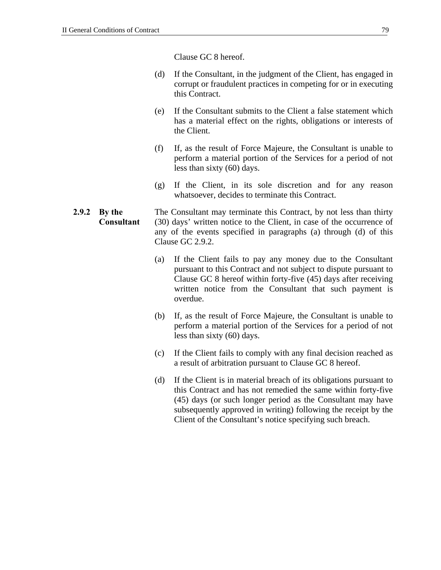Clause GC 8 hereof.

- (d) If the Consultant, in the judgment of the Client, has engaged in corrupt or fraudulent practices in competing for or in executing this Contract.
- (e) If the Consultant submits to the Client a false statement which has a material effect on the rights, obligations or interests of the Client.
- (f) If, as the result of Force Majeure, the Consultant is unable to perform a material portion of the Services for a period of not less than sixty (60) days.
- (g) If the Client, in its sole discretion and for any reason whatsoever, decides to terminate this Contract.

#### **2.9.2 By the Consultant**  The Consultant may terminate this Contract, by not less than thirty (30) days' written notice to the Client, in case of the occurrence of any of the events specified in paragraphs (a) through (d) of this Clause GC 2.9.2.

- (a) If the Client fails to pay any money due to the Consultant pursuant to this Contract and not subject to dispute pursuant to Clause GC 8 hereof within forty-five (45) days after receiving written notice from the Consultant that such payment is overdue.
- (b) If, as the result of Force Majeure, the Consultant is unable to perform a material portion of the Services for a period of not less than sixty (60) days.
- (c) If the Client fails to comply with any final decision reached as a result of arbitration pursuant to Clause GC 8 hereof.
- (d) If the Client is in material breach of its obligations pursuant to this Contract and has not remedied the same within forty-five (45) days (or such longer period as the Consultant may have subsequently approved in writing) following the receipt by the Client of the Consultant's notice specifying such breach.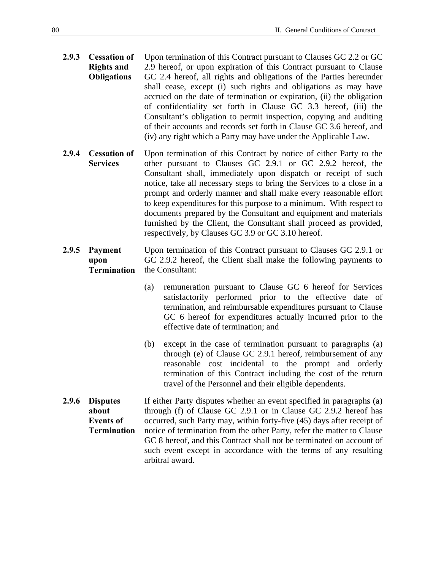- **2.9.3 Cessation of Rights and Obligations**  Upon termination of this Contract pursuant to Clauses GC 2.2 or GC 2.9 hereof, or upon expiration of this Contract pursuant to Clause GC 2.4 hereof, all rights and obligations of the Parties hereunder shall cease, except (i) such rights and obligations as may have accrued on the date of termination or expiration, (ii) the obligation of confidentiality set forth in Clause GC 3.3 hereof, (iii) the Consultant's obligation to permit inspection, copying and auditing of their accounts and records set forth in Clause GC 3.6 hereof, and (iv) any right which a Party may have under the Applicable Law.
- **2.9.4 Cessation of Services**  Upon termination of this Contract by notice of either Party to the other pursuant to Clauses GC 2.9.1 or GC 2.9.2 hereof, the Consultant shall, immediately upon dispatch or receipt of such notice, take all necessary steps to bring the Services to a close in a prompt and orderly manner and shall make every reasonable effort to keep expenditures for this purpose to a minimum. With respect to documents prepared by the Consultant and equipment and materials furnished by the Client, the Consultant shall proceed as provided, respectively, by Clauses GC 3.9 or GC 3.10 hereof.
- **2.9.5 Payment upon Termination**  Upon termination of this Contract pursuant to Clauses GC 2.9.1 or GC 2.9.2 hereof, the Client shall make the following payments to the Consultant:
	- (a) remuneration pursuant to Clause GC 6 hereof for Services satisfactorily performed prior to the effective date of termination, and reimbursable expenditures pursuant to Clause GC 6 hereof for expenditures actually incurred prior to the effective date of termination; and
	- (b) except in the case of termination pursuant to paragraphs (a) through (e) of Clause GC 2.9.1 hereof, reimbursement of any reasonable cost incidental to the prompt and orderly termination of this Contract including the cost of the return travel of the Personnel and their eligible dependents.
- **2.9.6 Disputes about Events of Termination**  If either Party disputes whether an event specified in paragraphs (a) through (f) of Clause GC 2.9.1 or in Clause GC 2.9.2 hereof has occurred, such Party may, within forty-five (45) days after receipt of notice of termination from the other Party, refer the matter to Clause GC 8 hereof, and this Contract shall not be terminated on account of such event except in accordance with the terms of any resulting arbitral award.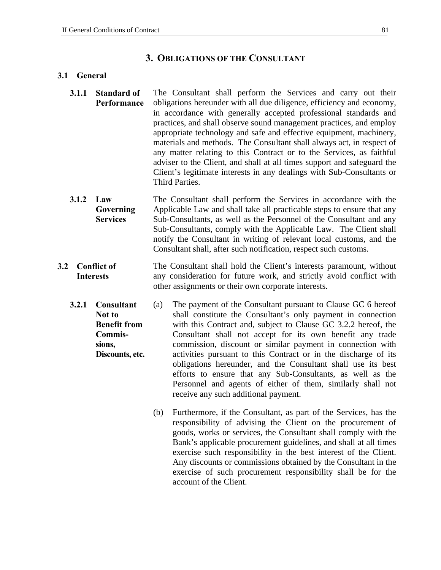#### **3. OBLIGATIONS OF THE CONSULTANT**

#### **3.1 General**

- **3.1.1 Standard of Performance**  The Consultant shall perform the Services and carry out their obligations hereunder with all due diligence, efficiency and economy, in accordance with generally accepted professional standards and practices, and shall observe sound management practices, and employ appropriate technology and safe and effective equipment, machinery, materials and methods. The Consultant shall always act, in respect of any matter relating to this Contract or to the Services, as faithful adviser to the Client, and shall at all times support and safeguard the Client's legitimate interests in any dealings with Sub-Consultants or Third Parties.
- **3.1.2 Law Governing Services** The Consultant shall perform the Services in accordance with the Applicable Law and shall take all practicable steps to ensure that any Sub-Consultants, as well as the Personnel of the Consultant and any Sub-Consultants, comply with the Applicable Law. The Client shall notify the Consultant in writing of relevant local customs, and the Consultant shall, after such notification, respect such customs.
- **3.2 Conflict of Interests**  The Consultant shall hold the Client's interests paramount, without any consideration for future work, and strictly avoid conflict with other assignments or their own corporate interests.
	- **3.2.1 Consultant Not to Benefit from Commissions, Discounts, etc.**  (a) The payment of the Consultant pursuant to Clause GC 6 hereof shall constitute the Consultant's only payment in connection with this Contract and, subject to Clause GC 3.2.2 hereof, the Consultant shall not accept for its own benefit any trade commission, discount or similar payment in connection with activities pursuant to this Contract or in the discharge of its obligations hereunder, and the Consultant shall use its best efforts to ensure that any Sub-Consultants, as well as the Personnel and agents of either of them, similarly shall not receive any such additional payment.
		- (b) Furthermore, if the Consultant, as part of the Services, has the responsibility of advising the Client on the procurement of goods, works or services, the Consultant shall comply with the Bank's applicable procurement guidelines, and shall at all times exercise such responsibility in the best interest of the Client. Any discounts or commissions obtained by the Consultant in the exercise of such procurement responsibility shall be for the account of the Client.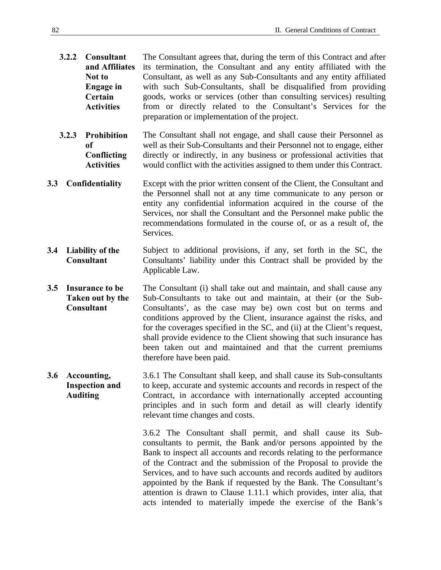- **3.2.2 Consultant and Affiliates Not to Engage in Certain Activities**  The Consultant agrees that, during the term of this Contract and after its termination, the Consultant and any entity affiliated with the Consultant, as well as any Sub-Consultants and any entity affiliated with such Sub-Consultants, shall be disqualified from providing goods, works or services (other than consulting services) resulting from or directly related to the Consultant's Services for the preparation or implementation of the project.
- **3.2.3 Prohibition of Conflicting Activities**  The Consultant shall not engage, and shall cause their Personnel as well as their Sub-Consultants and their Personnel not to engage, either directly or indirectly, in any business or professional activities that would conflict with the activities assigned to them under this Contract.
- **3.3 Confidentiality** Except with the prior written consent of the Client, the Consultant and the Personnel shall not at any time communicate to any person or entity any confidential information acquired in the course of the Services, nor shall the Consultant and the Personnel make public the recommendations formulated in the course of, or as a result of, the Services.
- **3.4 Liability of the Consultant**  Subject to additional provisions, if any, set forth in the SC, the Consultants' liability under this Contract shall be provided by the Applicable Law.
- **3.5 Insurance to be Taken out by the Consultant**  The Consultant (i) shall take out and maintain, and shall cause any Sub-Consultants to take out and maintain, at their (or the Sub-Consultants', as the case may be) own cost but on terms and conditions approved by the Client, insurance against the risks, and for the coverages specified in the SC, and (ii) at the Client's request, shall provide evidence to the Client showing that such insurance has been taken out and maintained and that the current premiums therefore have been paid.
- **3.6 Accounting, Inspection and Auditing**  3.6.1 The Consultant shall keep, and shall cause its Sub-consultants to keep, accurate and systemic accounts and records in respect of the Contract, in accordance with internationally accepted accounting principles and in such form and detail as will clearly identify relevant time changes and costs.

3.6.2 The Consultant shall permit, and shall cause its Subconsultants to permit, the Bank and/or persons appointed by the Bank to inspect all accounts and records relating to the performance of the Contract and the submission of the Proposal to provide the Services, and to have such accounts and records audited by auditors appointed by the Bank if requested by the Bank. The Consultant's attention is drawn to Clause 1.11.1 which provides, inter alia, that acts intended to materially impede the exercise of the Bank's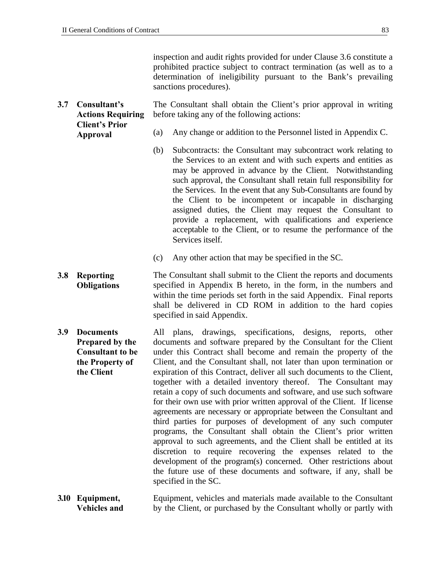**Actions Requiring Client's Prior Approval** 

**3.7 Consultant's** 

inspection and audit rights provided for under Clause 3.6 constitute a prohibited practice subject to contract termination (as well as to a determination of ineligibility pursuant to the Bank's prevailing sanctions procedures).

The Consultant shall obtain the Client's prior approval in writing before taking any of the following actions:

- (a) Any change or addition to the Personnel listed in Appendix C.
- (b) Subcontracts: the Consultant may subcontract work relating to the Services to an extent and with such experts and entities as may be approved in advance by the Client. Notwithstanding such approval, the Consultant shall retain full responsibility for the Services. In the event that any Sub-Consultants are found by the Client to be incompetent or incapable in discharging assigned duties, the Client may request the Consultant to provide a replacement, with qualifications and experience acceptable to the Client, or to resume the performance of the Services itself.
- (c) Any other action that may be specified in the SC.
- **3.8 Reporting Obligations**  The Consultant shall submit to the Client the reports and documents specified in Appendix B hereto, in the form, in the numbers and within the time periods set forth in the said Appendix. Final reports shall be delivered in CD ROM in addition to the hard copies specified in said Appendix.
- **3.9 Documents Prepared by the Consultant to be the Property of the Client**  All plans, drawings, specifications, designs, reports, other documents and software prepared by the Consultant for the Client under this Contract shall become and remain the property of the Client, and the Consultant shall, not later than upon termination or expiration of this Contract, deliver all such documents to the Client, together with a detailed inventory thereof. The Consultant may retain a copy of such documents and software, and use such software for their own use with prior written approval of the Client. If license agreements are necessary or appropriate between the Consultant and third parties for purposes of development of any such computer programs, the Consultant shall obtain the Client's prior written approval to such agreements, and the Client shall be entitled at its discretion to require recovering the expenses related to the development of the program(s) concerned. Other restrictions about the future use of these documents and software, if any, shall be specified in the SC.
- **3.10 Equipment, Vehicles and**  Equipment, vehicles and materials made available to the Consultant by the Client, or purchased by the Consultant wholly or partly with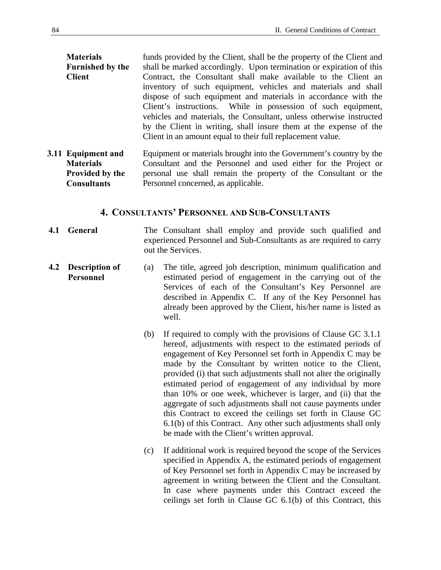| <b>Materials</b>        | funds provided by the Client, shall be the property of the Client and |  |  |  |  |  |  |  |
|-------------------------|-----------------------------------------------------------------------|--|--|--|--|--|--|--|
| <b>Furnished by the</b> | shall be marked accordingly. Upon termination or expiration of this   |  |  |  |  |  |  |  |
| <b>Client</b>           | Contract, the Consultant shall make available to the Client an        |  |  |  |  |  |  |  |
|                         | inventory of such equipment, vehicles and materials and shall         |  |  |  |  |  |  |  |
|                         | dispose of such equipment and materials in accordance with the        |  |  |  |  |  |  |  |
|                         | Client's instructions. While in possession of such equipment,         |  |  |  |  |  |  |  |
|                         | vehicles and materials, the Consultant, unless otherwise instructed   |  |  |  |  |  |  |  |
|                         | by the Client in writing, shall insure them at the expense of the     |  |  |  |  |  |  |  |
|                         | Client in an amount equal to their full replacement value.            |  |  |  |  |  |  |  |
|                         |                                                                       |  |  |  |  |  |  |  |

**3.11 Equipment and Materials Provided by the Consultants**  Equipment or materials brought into the Government's country by the Consultant and the Personnel and used either for the Project or personal use shall remain the property of the Consultant or the Personnel concerned, as applicable.

### **4. CONSULTANTS' PERSONNEL AND SUB-CONSULTANTS**

- **4.1 General** The Consultant shall employ and provide such qualified and experienced Personnel and Sub-Consultants as are required to carry out the Services.
- **4.2 Description of Personnel**  (a) The title, agreed job description, minimum qualification and estimated period of engagement in the carrying out of the Services of each of the Consultant's Key Personnel are described in Appendix C. If any of the Key Personnel has already been approved by the Client, his/her name is listed as well.
	- (b) If required to comply with the provisions of Clause GC 3.1.1 hereof, adjustments with respect to the estimated periods of engagement of Key Personnel set forth in Appendix C may be made by the Consultant by written notice to the Client, provided (i) that such adjustments shall not alter the originally estimated period of engagement of any individual by more than 10% or one week, whichever is larger, and (ii) that the aggregate of such adjustments shall not cause payments under this Contract to exceed the ceilings set forth in Clause GC 6.1(b) of this Contract. Any other such adjustments shall only be made with the Client's written approval.
	- (c) If additional work is required beyond the scope of the Services specified in Appendix A, the estimated periods of engagement of Key Personnel set forth in Appendix C may be increased by agreement in writing between the Client and the Consultant. In case where payments under this Contract exceed the ceilings set forth in Clause GC 6.1(b) of this Contract, this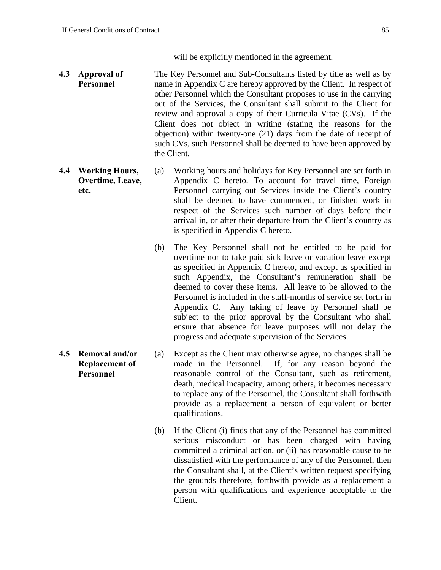will be explicitly mentioned in the agreement.

- **4.3 Approval of Personnel**  The Key Personnel and Sub-Consultants listed by title as well as by name in Appendix C are hereby approved by the Client. In respect of other Personnel which the Consultant proposes to use in the carrying out of the Services, the Consultant shall submit to the Client for review and approval a copy of their Curricula Vitae (CVs). If the Client does not object in writing (stating the reasons for the objection) within twenty-one (21) days from the date of receipt of such CVs, such Personnel shall be deemed to have been approved by the Client.
- **4.4 Working Hours, Overtime, Leave, etc.**  (a) Working hours and holidays for Key Personnel are set forth in Appendix C hereto. To account for travel time, Foreign Personnel carrying out Services inside the Client's country shall be deemed to have commenced, or finished work in respect of the Services such number of days before their arrival in, or after their departure from the Client's country as is specified in Appendix C hereto.
	- (b) The Key Personnel shall not be entitled to be paid for overtime nor to take paid sick leave or vacation leave except as specified in Appendix C hereto, and except as specified in such Appendix, the Consultant's remuneration shall be deemed to cover these items. All leave to be allowed to the Personnel is included in the staff-months of service set forth in Appendix C. Any taking of leave by Personnel shall be subject to the prior approval by the Consultant who shall ensure that absence for leave purposes will not delay the progress and adequate supervision of the Services.
	- (a) Except as the Client may otherwise agree, no changes shall be made in the Personnel. If, for any reason beyond the reasonable control of the Consultant, such as retirement, death, medical incapacity, among others, it becomes necessary to replace any of the Personnel, the Consultant shall forthwith provide as a replacement a person of equivalent or better qualifications.
		- (b) If the Client (i) finds that any of the Personnel has committed serious misconduct or has been charged with having committed a criminal action, or (ii) has reasonable cause to be dissatisfied with the performance of any of the Personnel, then the Consultant shall, at the Client's written request specifying the grounds therefore, forthwith provide as a replacement a person with qualifications and experience acceptable to the Client.
- **4.5 Removal and/or Replacement of Personnel**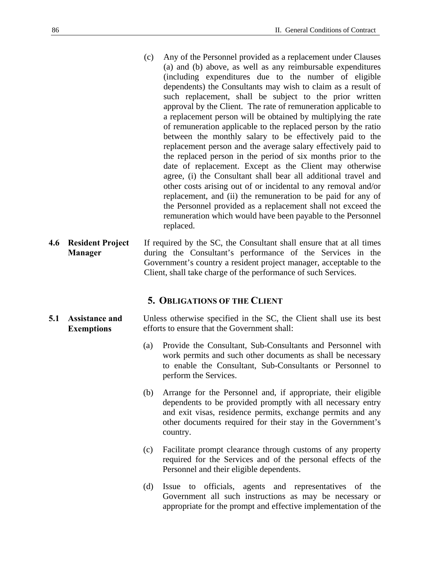- (c) Any of the Personnel provided as a replacement under Clauses (a) and (b) above, as well as any reimbursable expenditures (including expenditures due to the number of eligible dependents) the Consultants may wish to claim as a result of such replacement, shall be subject to the prior written approval by the Client. The rate of remuneration applicable to a replacement person will be obtained by multiplying the rate of remuneration applicable to the replaced person by the ratio between the monthly salary to be effectively paid to the replacement person and the average salary effectively paid to the replaced person in the period of six months prior to the date of replacement. Except as the Client may otherwise agree, (i) the Consultant shall bear all additional travel and other costs arising out of or incidental to any removal and/or replacement, and (ii) the remuneration to be paid for any of the Personnel provided as a replacement shall not exceed the remuneration which would have been payable to the Personnel replaced.
- **4.6 Resident Project Manager**  If required by the SC, the Consultant shall ensure that at all times during the Consultant's performance of the Services in the Government's country a resident project manager, acceptable to the Client, shall take charge of the performance of such Services.

#### **5. OBLIGATIONS OF THE CLIENT**

- **5.1 Assistance and Exemptions**  Unless otherwise specified in the SC, the Client shall use its best efforts to ensure that the Government shall:
	- (a) Provide the Consultant, Sub-Consultants and Personnel with work permits and such other documents as shall be necessary to enable the Consultant, Sub-Consultants or Personnel to perform the Services.
	- (b) Arrange for the Personnel and, if appropriate, their eligible dependents to be provided promptly with all necessary entry and exit visas, residence permits, exchange permits and any other documents required for their stay in the Government's country.
	- (c) Facilitate prompt clearance through customs of any property required for the Services and of the personal effects of the Personnel and their eligible dependents.
	- (d) Issue to officials, agents and representatives of the Government all such instructions as may be necessary or appropriate for the prompt and effective implementation of the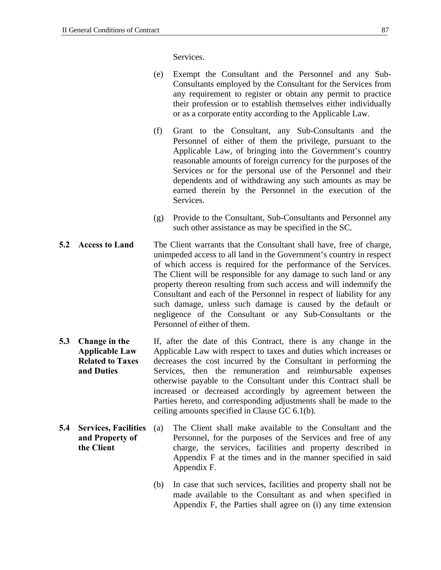Services.

- (e) Exempt the Consultant and the Personnel and any Sub-Consultants employed by the Consultant for the Services from any requirement to register or obtain any permit to practice their profession or to establish themselves either individually or as a corporate entity according to the Applicable Law.
- (f) Grant to the Consultant, any Sub-Consultants and the Personnel of either of them the privilege, pursuant to the Applicable Law, of bringing into the Government's country reasonable amounts of foreign currency for the purposes of the Services or for the personal use of the Personnel and their dependents and of withdrawing any such amounts as may be earned therein by the Personnel in the execution of the Services.
- (g) Provide to the Consultant, Sub-Consultants and Personnel any such other assistance as may be specified in the SC.
- **5.2 Access to Land** The Client warrants that the Consultant shall have, free of charge, unimpeded access to all land in the Government's country in respect of which access is required for the performance of the Services. The Client will be responsible for any damage to such land or any property thereon resulting from such access and will indemnify the Consultant and each of the Personnel in respect of liability for any such damage, unless such damage is caused by the default or negligence of the Consultant or any Sub-Consultants or the Personnel of either of them.
- **5.3 Change in the Applicable Law Related to Taxes and Duties** If, after the date of this Contract, there is any change in the Applicable Law with respect to taxes and duties which increases or decreases the cost incurred by the Consultant in performing the Services, then the remuneration and reimbursable expenses otherwise payable to the Consultant under this Contract shall be increased or decreased accordingly by agreement between the Parties hereto, and corresponding adjustments shall be made to the ceiling amounts specified in Clause GC 6.1(b).
- **5.4 Services, Facilities and Property of the Client**  (a) The Client shall make available to the Consultant and the Personnel, for the purposes of the Services and free of any charge, the services, facilities and property described in Appendix F at the times and in the manner specified in said Appendix F.
	- (b) In case that such services, facilities and property shall not be made available to the Consultant as and when specified in Appendix F, the Parties shall agree on (i) any time extension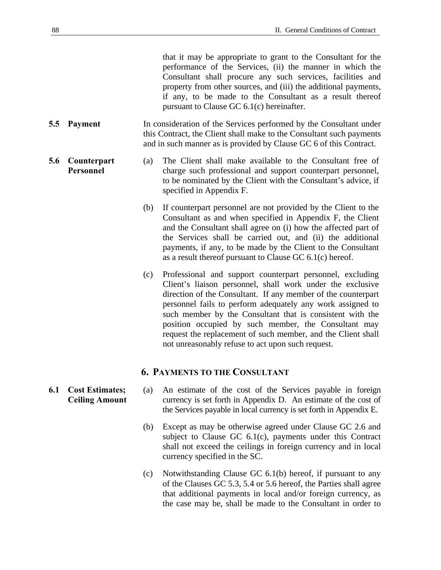that it may be appropriate to grant to the Consultant for the performance of the Services, (ii) the manner in which the Consultant shall procure any such services, facilities and property from other sources, and (iii) the additional payments, if any, to be made to the Consultant as a result thereof pursuant to Clause GC 6.1(c) hereinafter.

**5.5 Payment** In consideration of the Services performed by the Consultant under this Contract, the Client shall make to the Consultant such payments and in such manner as is provided by Clause GC 6 of this Contract.

#### **5.6 Counterpart Personnel**

- (a) The Client shall make available to the Consultant free of charge such professional and support counterpart personnel, to be nominated by the Client with the Consultant's advice, if specified in Appendix F.
	- (b) If counterpart personnel are not provided by the Client to the Consultant as and when specified in Appendix F, the Client and the Consultant shall agree on (i) how the affected part of the Services shall be carried out, and (ii) the additional payments, if any, to be made by the Client to the Consultant as a result thereof pursuant to Clause GC 6.1(c) hereof.
	- (c) Professional and support counterpart personnel, excluding Client's liaison personnel, shall work under the exclusive direction of the Consultant. If any member of the counterpart personnel fails to perform adequately any work assigned to such member by the Consultant that is consistent with the position occupied by such member, the Consultant may request the replacement of such member, and the Client shall not unreasonably refuse to act upon such request.

### **6. PAYMENTS TO THE CONSULTANT**

- (a) An estimate of the cost of the Services payable in foreign currency is set forth in Appendix D. An estimate of the cost of the Services payable in local currency is set forth in Appendix E.
	- (b) Except as may be otherwise agreed under Clause GC 2.6 and subject to Clause GC 6.1(c), payments under this Contract shall not exceed the ceilings in foreign currency and in local currency specified in the SC.
	- (c) Notwithstanding Clause GC 6.1(b) hereof, if pursuant to any of the Clauses GC 5.3, 5.4 or 5.6 hereof, the Parties shall agree that additional payments in local and/or foreign currency, as the case may be, shall be made to the Consultant in order to

**6.1 Cost Estimates; Ceiling Amount**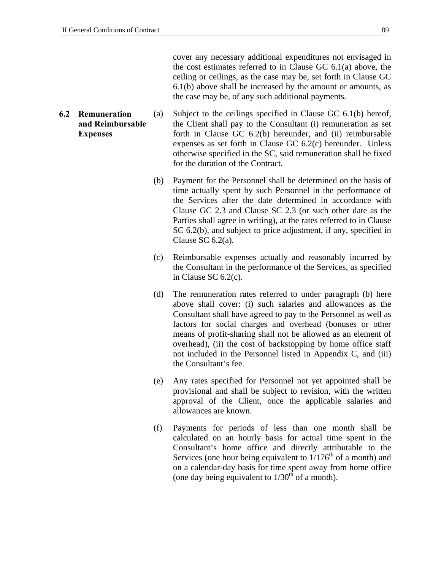cover any necessary additional expenditures not envisaged in the cost estimates referred to in Clause GC 6.1(a) above, the ceiling or ceilings, as the case may be, set forth in Clause GC 6.1(b) above shall be increased by the amount or amounts, as the case may be, of any such additional payments.

- **6.2 Remuneration and Reimbursable Expenses**  (a) Subject to the ceilings specified in Clause GC 6.1(b) hereof, the Client shall pay to the Consultant (i) remuneration as set forth in Clause GC 6.2(b) hereunder, and (ii) reimbursable expenses as set forth in Clause GC 6.2(c) hereunder. Unless otherwise specified in the SC, said remuneration shall be fixed for the duration of the Contract.
	- (b) Payment for the Personnel shall be determined on the basis of time actually spent by such Personnel in the performance of the Services after the date determined in accordance with Clause GC 2.3 and Clause SC 2.3 (or such other date as the Parties shall agree in writing), at the rates referred to in Clause SC 6.2(b), and subject to price adjustment, if any, specified in Clause SC 6.2(a).
	- (c) Reimbursable expenses actually and reasonably incurred by the Consultant in the performance of the Services, as specified in Clause SC 6.2(c).
	- (d) The remuneration rates referred to under paragraph (b) here above shall cover: (i) such salaries and allowances as the Consultant shall have agreed to pay to the Personnel as well as factors for social charges and overhead (bonuses or other means of profit-sharing shall not be allowed as an element of overhead), (ii) the cost of backstopping by home office staff not included in the Personnel listed in Appendix C, and (iii) the Consultant's fee.
	- (e) Any rates specified for Personnel not yet appointed shall be provisional and shall be subject to revision, with the written approval of the Client, once the applicable salaries and allowances are known.
	- (f) Payments for periods of less than one month shall be calculated on an hourly basis for actual time spent in the Consultant's home office and directly attributable to the Services (one hour being equivalent to  $1/176<sup>th</sup>$  of a month) and on a calendar-day basis for time spent away from home office (one day being equivalent to  $1/30<sup>th</sup>$  of a month).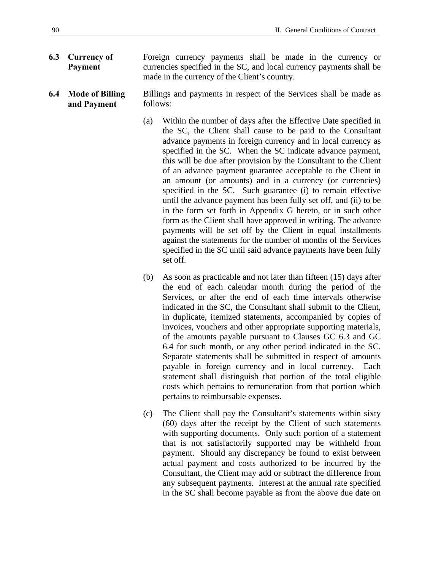- **6.3 Currency of Payment**  Foreign currency payments shall be made in the currency or currencies specified in the SC, and local currency payments shall be made in the currency of the Client's country.
- **6.4 Mode of Billing and Payment**  Billings and payments in respect of the Services shall be made as follows:
	- (a) Within the number of days after the Effective Date specified in the SC, the Client shall cause to be paid to the Consultant advance payments in foreign currency and in local currency as specified in the SC. When the SC indicate advance payment, this will be due after provision by the Consultant to the Client of an advance payment guarantee acceptable to the Client in an amount (or amounts) and in a currency (or currencies) specified in the SC. Such guarantee (i) to remain effective until the advance payment has been fully set off, and (ii) to be in the form set forth in Appendix G hereto, or in such other form as the Client shall have approved in writing. The advance payments will be set off by the Client in equal installments against the statements for the number of months of the Services specified in the SC until said advance payments have been fully set off.
	- (b) As soon as practicable and not later than fifteen (15) days after the end of each calendar month during the period of the Services, or after the end of each time intervals otherwise indicated in the SC, the Consultant shall submit to the Client, in duplicate, itemized statements, accompanied by copies of invoices, vouchers and other appropriate supporting materials, of the amounts payable pursuant to Clauses GC 6.3 and GC 6.4 for such month, or any other period indicated in the SC. Separate statements shall be submitted in respect of amounts payable in foreign currency and in local currency. Each statement shall distinguish that portion of the total eligible costs which pertains to remuneration from that portion which pertains to reimbursable expenses.
	- (c) The Client shall pay the Consultant's statements within sixty (60) days after the receipt by the Client of such statements with supporting documents. Only such portion of a statement that is not satisfactorily supported may be withheld from payment. Should any discrepancy be found to exist between actual payment and costs authorized to be incurred by the Consultant, the Client may add or subtract the difference from any subsequent payments. Interest at the annual rate specified in the SC shall become payable as from the above due date on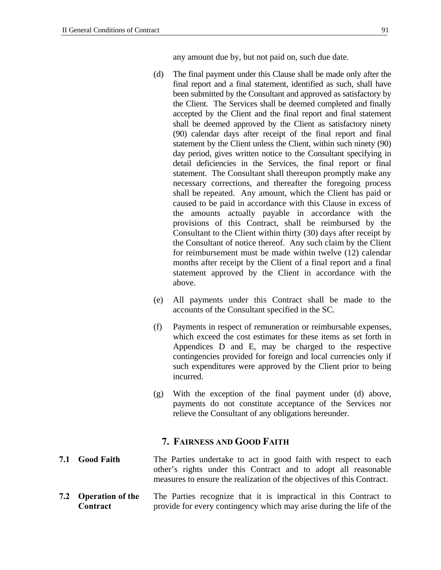any amount due by, but not paid on, such due date.

- (d) The final payment under this Clause shall be made only after the final report and a final statement, identified as such, shall have been submitted by the Consultant and approved as satisfactory by the Client. The Services shall be deemed completed and finally accepted by the Client and the final report and final statement shall be deemed approved by the Client as satisfactory ninety (90) calendar days after receipt of the final report and final statement by the Client unless the Client, within such ninety (90) day period, gives written notice to the Consultant specifying in detail deficiencies in the Services, the final report or final statement. The Consultant shall thereupon promptly make any necessary corrections, and thereafter the foregoing process shall be repeated. Any amount, which the Client has paid or caused to be paid in accordance with this Clause in excess of the amounts actually payable in accordance with the provisions of this Contract, shall be reimbursed by the Consultant to the Client within thirty (30) days after receipt by the Consultant of notice thereof. Any such claim by the Client for reimbursement must be made within twelve (12) calendar months after receipt by the Client of a final report and a final statement approved by the Client in accordance with the above.
- (e) All payments under this Contract shall be made to the accounts of the Consultant specified in the SC.
- (f) Payments in respect of remuneration or reimbursable expenses, which exceed the cost estimates for these items as set forth in Appendices D and E, may be charged to the respective contingencies provided for foreign and local currencies only if such expenditures were approved by the Client prior to being incurred.
- (g) With the exception of the final payment under (d) above, payments do not constitute acceptance of the Services nor relieve the Consultant of any obligations hereunder.

#### **7. FAIRNESS AND GOOD FAITH**

- **7.1 Good Faith** The Parties undertake to act in good faith with respect to each other's rights under this Contract and to adopt all reasonable measures to ensure the realization of the objectives of this Contract.
- **7.2 Operation of the Contract**  The Parties recognize that it is impractical in this Contract to provide for every contingency which may arise during the life of the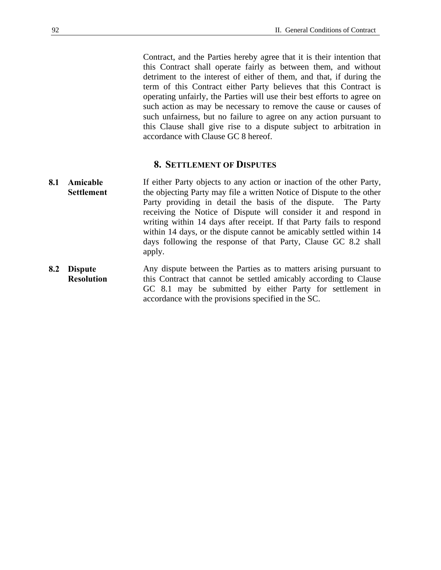Contract, and the Parties hereby agree that it is their intention that this Contract shall operate fairly as between them, and without detriment to the interest of either of them, and that, if during the term of this Contract either Party believes that this Contract is operating unfairly, the Parties will use their best efforts to agree on such action as may be necessary to remove the cause or causes of such unfairness, but no failure to agree on any action pursuant to this Clause shall give rise to a dispute subject to arbitration in accordance with Clause GC 8 hereof.

#### **8. SETTLEMENT OF DISPUTES**

- **8.1 Amicable Settlement**  If either Party objects to any action or inaction of the other Party, the objecting Party may file a written Notice of Dispute to the other Party providing in detail the basis of the dispute. The Party receiving the Notice of Dispute will consider it and respond in writing within 14 days after receipt. If that Party fails to respond within 14 days, or the dispute cannot be amicably settled within 14 days following the response of that Party, Clause GC 8.2 shall apply.
- **8.2 Dispute Resolution**  Any dispute between the Parties as to matters arising pursuant to this Contract that cannot be settled amicably according to Clause GC 8.1 may be submitted by either Party for settlement in accordance with the provisions specified in the SC.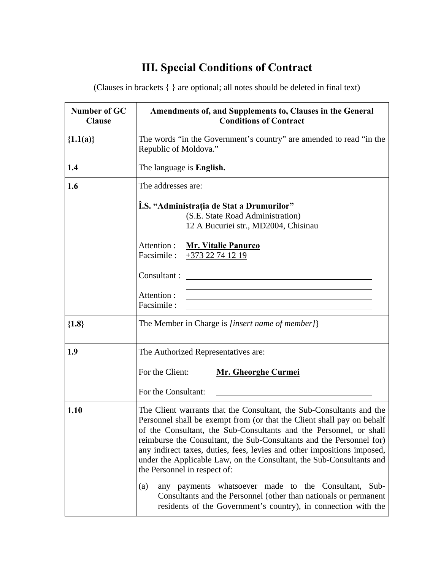# **III. Special Conditions of Contract**

(Clauses in brackets { } are optional; all notes should be deleted in final text)

| Number of GC<br><b>Clause</b> | Amendments of, and Supplements to, Clauses in the General<br><b>Conditions of Contract</b>                                                                                                                                                                                                                                                                                                                                                                                      |  |  |  |  |  |  |
|-------------------------------|---------------------------------------------------------------------------------------------------------------------------------------------------------------------------------------------------------------------------------------------------------------------------------------------------------------------------------------------------------------------------------------------------------------------------------------------------------------------------------|--|--|--|--|--|--|
| ${1.1(a)}$                    | The words "in the Government's country" are amended to read "in the<br>Republic of Moldova."                                                                                                                                                                                                                                                                                                                                                                                    |  |  |  |  |  |  |
| 1.4                           | The language is <b>English.</b>                                                                                                                                                                                                                                                                                                                                                                                                                                                 |  |  |  |  |  |  |
| 1.6                           | The addresses are:                                                                                                                                                                                                                                                                                                                                                                                                                                                              |  |  |  |  |  |  |
|                               | Î.S. "Administrația de Stat a Drumurilor"<br>(S.E. State Road Administration)<br>12 A Bucuriei str., MD2004, Chisinau<br>Attention :                                                                                                                                                                                                                                                                                                                                            |  |  |  |  |  |  |
|                               | <b>Mr. Vitalie Panurco</b><br>Facsimile :<br>$+373$ 22 74 12 19                                                                                                                                                                                                                                                                                                                                                                                                                 |  |  |  |  |  |  |
|                               | Consultant:<br><u> 1989 - Johann Harry Harry Harry Harry Harry Harry Harry Harry Harry Harry Harry Harry Harry Harry Harry Harry</u>                                                                                                                                                                                                                                                                                                                                            |  |  |  |  |  |  |
|                               | Attention:<br>Facsimile:                                                                                                                                                                                                                                                                                                                                                                                                                                                        |  |  |  |  |  |  |
| ${1.8}$                       | The Member in Charge is [insert name of member]}                                                                                                                                                                                                                                                                                                                                                                                                                                |  |  |  |  |  |  |
| 1.9                           | The Authorized Representatives are:                                                                                                                                                                                                                                                                                                                                                                                                                                             |  |  |  |  |  |  |
|                               | For the Client:<br><b>Mr. Gheorghe Curmei</b>                                                                                                                                                                                                                                                                                                                                                                                                                                   |  |  |  |  |  |  |
|                               | For the Consultant:                                                                                                                                                                                                                                                                                                                                                                                                                                                             |  |  |  |  |  |  |
| 1.10                          | The Client warrants that the Consultant, the Sub-Consultants and the<br>Personnel shall be exempt from (or that the Client shall pay on behalf<br>of the Consultant, the Sub-Consultants and the Personnel, or shall<br>reimburse the Consultant, the Sub-Consultants and the Personnel for)<br>any indirect taxes, duties, fees, levies and other impositions imposed,<br>under the Applicable Law, on the Consultant, the Sub-Consultants and<br>the Personnel in respect of: |  |  |  |  |  |  |
|                               | any payments whatsoever made to the Consultant, Sub-<br>(a)<br>Consultants and the Personnel (other than nationals or permanent<br>residents of the Government's country), in connection with the                                                                                                                                                                                                                                                                               |  |  |  |  |  |  |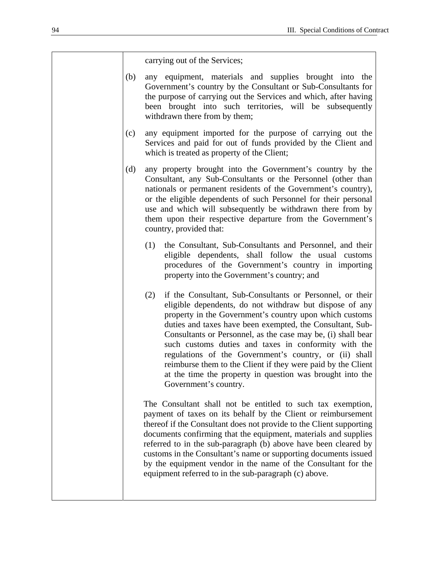carrying out of the Services;

- (b) any equipment, materials and supplies brought into the Government's country by the Consultant or Sub-Consultants for the purpose of carrying out the Services and which, after having been brought into such territories, will be subsequently withdrawn there from by them;
- (c) any equipment imported for the purpose of carrying out the Services and paid for out of funds provided by the Client and which is treated as property of the Client;
- (d) any property brought into the Government's country by the Consultant, any Sub-Consultants or the Personnel (other than nationals or permanent residents of the Government's country), or the eligible dependents of such Personnel for their personal use and which will subsequently be withdrawn there from by them upon their respective departure from the Government's country, provided that:
	- (1) the Consultant, Sub-Consultants and Personnel, and their eligible dependents, shall follow the usual customs procedures of the Government's country in importing property into the Government's country; and
	- (2) if the Consultant, Sub-Consultants or Personnel, or their eligible dependents, do not withdraw but dispose of any property in the Government's country upon which customs duties and taxes have been exempted, the Consultant, Sub-Consultants or Personnel, as the case may be, (i) shall bear such customs duties and taxes in conformity with the regulations of the Government's country, or (ii) shall reimburse them to the Client if they were paid by the Client at the time the property in question was brought into the Government's country.

The Consultant shall not be entitled to such tax exemption, payment of taxes on its behalf by the Client or reimbursement thereof if the Consultant does not provide to the Client supporting documents confirming that the equipment, materials and supplies referred to in the sub-paragraph (b) above have been cleared by customs in the Consultant's name or supporting documents issued by the equipment vendor in the name of the Consultant for the equipment referred to in the sub-paragraph (c) above.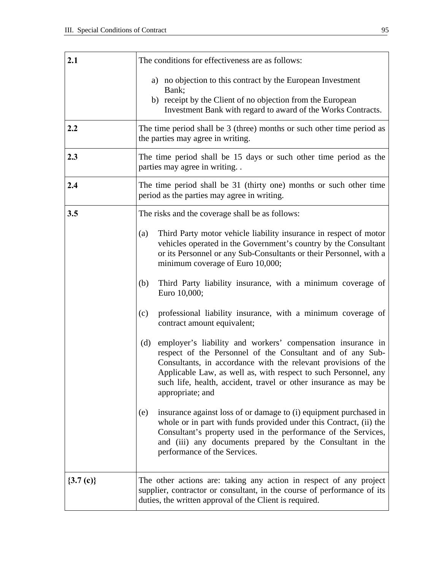| 2.1                   | The conditions for effectiveness are as follows:                                                                                                                                                                                                                                                                                                              |  |  |  |  |  |  |
|-----------------------|---------------------------------------------------------------------------------------------------------------------------------------------------------------------------------------------------------------------------------------------------------------------------------------------------------------------------------------------------------------|--|--|--|--|--|--|
|                       | a) no objection to this contract by the European Investment<br>Bank;                                                                                                                                                                                                                                                                                          |  |  |  |  |  |  |
|                       | b) receipt by the Client of no objection from the European<br>Investment Bank with regard to award of the Works Contracts.                                                                                                                                                                                                                                    |  |  |  |  |  |  |
| 2.2                   | The time period shall be $3$ (three) months or such other time period as<br>the parties may agree in writing.                                                                                                                                                                                                                                                 |  |  |  |  |  |  |
| 2.3                   | The time period shall be 15 days or such other time period as the<br>parties may agree in writing                                                                                                                                                                                                                                                             |  |  |  |  |  |  |
| 2.4                   | The time period shall be 31 (thirty one) months or such other time<br>period as the parties may agree in writing.                                                                                                                                                                                                                                             |  |  |  |  |  |  |
| 3.5                   | The risks and the coverage shall be as follows:                                                                                                                                                                                                                                                                                                               |  |  |  |  |  |  |
|                       | Third Party motor vehicle liability insurance in respect of motor<br>(a)<br>vehicles operated in the Government's country by the Consultant<br>or its Personnel or any Sub-Consultants or their Personnel, with a<br>minimum coverage of Euro 10,000;                                                                                                         |  |  |  |  |  |  |
|                       | Third Party liability insurance, with a minimum coverage of<br>(b)<br>Euro 10,000;                                                                                                                                                                                                                                                                            |  |  |  |  |  |  |
|                       | professional liability insurance, with a minimum coverage of<br>(c)<br>contract amount equivalent;                                                                                                                                                                                                                                                            |  |  |  |  |  |  |
|                       | employer's liability and workers' compensation insurance in<br>(d)<br>respect of the Personnel of the Consultant and of any Sub-<br>Consultants, in accordance with the relevant provisions of the<br>Applicable Law, as well as, with respect to such Personnel, any<br>such life, health, accident, travel or other insurance as may be<br>appropriate; and |  |  |  |  |  |  |
|                       | insurance against loss of or damage to (i) equipment purchased in<br>(e)<br>whole or in part with funds provided under this Contract, (ii) the<br>Consultant's property used in the performance of the Services,<br>and (iii) any documents prepared by the Consultant in the<br>performance of the Services.                                                 |  |  |  |  |  |  |
| $\{3.7 \text{ (c)}\}$ | The other actions are: taking any action in respect of any project<br>supplier, contractor or consultant, in the course of performance of its<br>duties, the written approval of the Client is required.                                                                                                                                                      |  |  |  |  |  |  |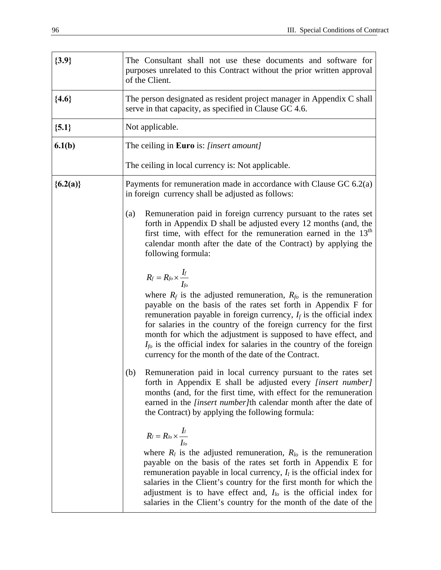| ${3.9}$    | The Consultant shall not use these documents and software for<br>purposes unrelated to this Contract without the prior written approval<br>of the Client.                                                                                                                                                                                                                                                                                                                                                                               |  |  |  |  |  |
|------------|-----------------------------------------------------------------------------------------------------------------------------------------------------------------------------------------------------------------------------------------------------------------------------------------------------------------------------------------------------------------------------------------------------------------------------------------------------------------------------------------------------------------------------------------|--|--|--|--|--|
| ${4.6}$    | The person designated as resident project manager in Appendix C shall<br>serve in that capacity, as specified in Clause GC 4.6.                                                                                                                                                                                                                                                                                                                                                                                                         |  |  |  |  |  |
| ${5.1}$    | Not applicable.                                                                                                                                                                                                                                                                                                                                                                                                                                                                                                                         |  |  |  |  |  |
| 6.1(b)     | The ceiling in Euro is: [insert amount]                                                                                                                                                                                                                                                                                                                                                                                                                                                                                                 |  |  |  |  |  |
|            | The ceiling in local currency is: Not applicable.                                                                                                                                                                                                                                                                                                                                                                                                                                                                                       |  |  |  |  |  |
| ${6.2(a)}$ | Payments for remuneration made in accordance with Clause GC $6.2(a)$<br>in foreign currency shall be adjusted as follows:                                                                                                                                                                                                                                                                                                                                                                                                               |  |  |  |  |  |
|            | Remuneration paid in foreign currency pursuant to the rates set<br>(a)<br>forth in Appendix D shall be adjusted every 12 months (and, the<br>first time, with effect for the remuneration earned in the $13th$<br>calendar month after the date of the Contract) by applying the<br>following formula:                                                                                                                                                                                                                                  |  |  |  |  |  |
|            | $R_f = R_{fo} \times \frac{I_f}{I_{fo}}$<br>where $R_f$ is the adjusted remuneration, $R_{fo}$ is the remuneration<br>payable on the basis of the rates set forth in Appendix F for<br>remuneration payable in foreign currency, $I_f$ is the official index<br>for salaries in the country of the foreign currency for the first<br>month for which the adjustment is supposed to have effect, and<br>$I_{fo}$ is the official index for salaries in the country of the foreign<br>currency for the month of the date of the Contract. |  |  |  |  |  |
|            | (b)<br>Remuneration paid in local currency pursuant to the rates set<br>forth in Appendix E shall be adjusted every <i>[insert number]</i><br>months (and, for the first time, with effect for the remuneration<br>earned in the <i>[insert number]</i> th calendar month after the date of<br>the Contract) by applying the following formula:                                                                                                                                                                                         |  |  |  |  |  |
|            | $R_l = R_{lo} \times \frac{I_l}{I_{lo}}$<br>where $R_l$ is the adjusted remuneration, $R_{l_o}$ is the remuneration<br>payable on the basis of the rates set forth in Appendix E for<br>remuneration payable in local currency, $I_l$ is the official index for<br>salaries in the Client's country for the first month for which the<br>adjustment is to have effect and, $I_{lo}$ is the official index for<br>salaries in the Client's country for the month of the date of the                                                      |  |  |  |  |  |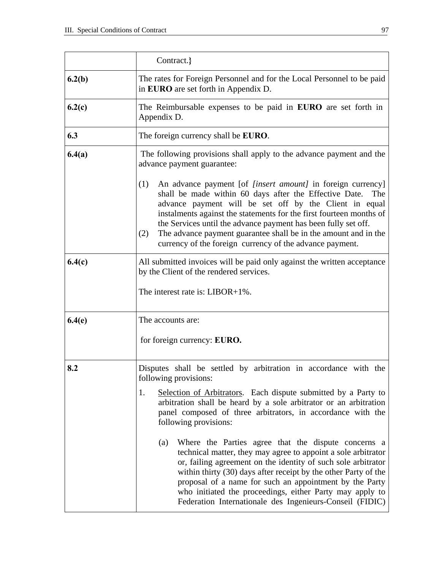|        | Contract.}                                                                                                                                                                                                                                                                                                                                                                                                                                                                          |  |  |  |  |  |  |
|--------|-------------------------------------------------------------------------------------------------------------------------------------------------------------------------------------------------------------------------------------------------------------------------------------------------------------------------------------------------------------------------------------------------------------------------------------------------------------------------------------|--|--|--|--|--|--|
| 6.2(b) | The rates for Foreign Personnel and for the Local Personnel to be paid<br>in EURO are set forth in Appendix D.                                                                                                                                                                                                                                                                                                                                                                      |  |  |  |  |  |  |
| 6.2(c) | The Reimbursable expenses to be paid in <b>EURO</b> are set forth in<br>Appendix D.                                                                                                                                                                                                                                                                                                                                                                                                 |  |  |  |  |  |  |
| 6.3    | The foreign currency shall be EURO.                                                                                                                                                                                                                                                                                                                                                                                                                                                 |  |  |  |  |  |  |
| 6.4(a) | The following provisions shall apply to the advance payment and the<br>advance payment guarantee:                                                                                                                                                                                                                                                                                                                                                                                   |  |  |  |  |  |  |
|        | (1)<br>An advance payment [of <i>[insert amount]</i> in foreign currency]<br>shall be made within 60 days after the Effective Date.<br>The<br>advance payment will be set off by the Client in equal<br>instalments against the statements for the first fourteen months of<br>the Services until the advance payment has been fully set off.<br>The advance payment guarantee shall be in the amount and in the<br>(2)<br>currency of the foreign currency of the advance payment. |  |  |  |  |  |  |
| 6.4(c) | All submitted invoices will be paid only against the written acceptance<br>by the Client of the rendered services.                                                                                                                                                                                                                                                                                                                                                                  |  |  |  |  |  |  |
|        | The interest rate is: $LIBOR+1\%$ .                                                                                                                                                                                                                                                                                                                                                                                                                                                 |  |  |  |  |  |  |
| 6.4(e) | The accounts are:                                                                                                                                                                                                                                                                                                                                                                                                                                                                   |  |  |  |  |  |  |
|        | for foreign currency: EURO.                                                                                                                                                                                                                                                                                                                                                                                                                                                         |  |  |  |  |  |  |
| 8.2    | Disputes shall be settled by arbitration in accordance with the<br>following provisions:                                                                                                                                                                                                                                                                                                                                                                                            |  |  |  |  |  |  |
|        | Selection of Arbitrators. Each dispute submitted by a Party to<br>1.<br>arbitration shall be heard by a sole arbitrator or an arbitration<br>panel composed of three arbitrators, in accordance with the<br>following provisions:                                                                                                                                                                                                                                                   |  |  |  |  |  |  |
|        | Where the Parties agree that the dispute concerns a<br>(a)<br>technical matter, they may agree to appoint a sole arbitrator<br>or, failing agreement on the identity of such sole arbitrator<br>within thirty (30) days after receipt by the other Party of the<br>proposal of a name for such an appointment by the Party<br>who initiated the proceedings, either Party may apply to<br>Federation Internationale des Ingenieurs-Conseil (FIDIC)                                  |  |  |  |  |  |  |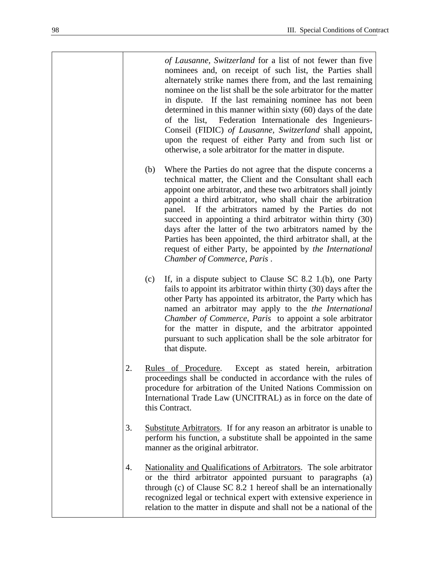*of Lausanne, Switzerland* for a list of not fewer than five nominees and, on receipt of such list, the Parties shall alternately strike names there from, and the last remaining nominee on the list shall be the sole arbitrator for the matter in dispute. If the last remaining nominee has not been determined in this manner within sixty (60) days of the date of the list, Federation Internationale des Ingenieurs-Conseil (FIDIC) *of Lausanne, Switzerland* shall appoint, upon the request of either Party and from such list or otherwise, a sole arbitrator for the matter in dispute.

- (b) Where the Parties do not agree that the dispute concerns a technical matter, the Client and the Consultant shall each appoint one arbitrator, and these two arbitrators shall jointly appoint a third arbitrator, who shall chair the arbitration panel. If the arbitrators named by the Parties do not succeed in appointing a third arbitrator within thirty (30) days after the latter of the two arbitrators named by the Parties has been appointed, the third arbitrator shall, at the request of either Party, be appointed by *the International Chamber of Commerce, Paris* .
- (c) If, in a dispute subject to Clause SC 8.2 1.(b), one Party fails to appoint its arbitrator within thirty (30) days after the other Party has appointed its arbitrator, the Party which has named an arbitrator may apply to the *the International Chamber of Commerce, Paris* to appoint a sole arbitrator for the matter in dispute, and the arbitrator appointed pursuant to such application shall be the sole arbitrator for that dispute.
- 2. Rules of Procedure. Except as stated herein, arbitration proceedings shall be conducted in accordance with the rules of procedure for arbitration of the United Nations Commission on International Trade Law (UNCITRAL) as in force on the date of this Contract.
- 3. Substitute Arbitrators. If for any reason an arbitrator is unable to perform his function, a substitute shall be appointed in the same manner as the original arbitrator.
- 4. Nationality and Qualifications of Arbitrators. The sole arbitrator or the third arbitrator appointed pursuant to paragraphs (a) through (c) of Clause SC 8.2 1 hereof shall be an internationally recognized legal or technical expert with extensive experience in relation to the matter in dispute and shall not be a national of the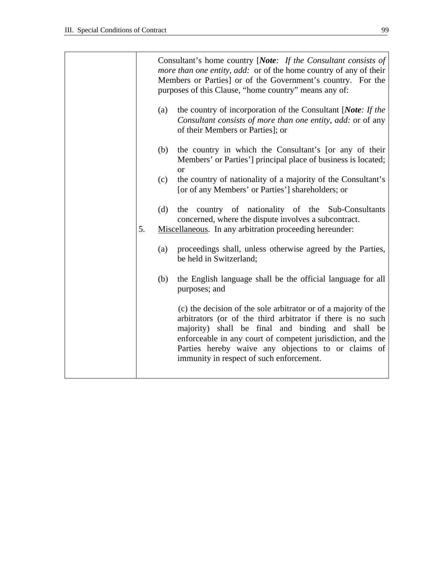|    | Consultant's home country [Note: If the Consultant consists of<br><i>more than one entity, add:</i> or of the home country of any of their<br>Members or Parties] or of the Government's country. For the<br>purposes of this Clause, "home country" means any of: |                                                                                                                                                                                                                                                                                                                                                       |  |  |  |  |
|----|--------------------------------------------------------------------------------------------------------------------------------------------------------------------------------------------------------------------------------------------------------------------|-------------------------------------------------------------------------------------------------------------------------------------------------------------------------------------------------------------------------------------------------------------------------------------------------------------------------------------------------------|--|--|--|--|
|    | (a)                                                                                                                                                                                                                                                                | the country of incorporation of the Consultant [Note: If the<br>Consultant consists of more than one entity, add: or of any<br>of their Members or Parties]; or                                                                                                                                                                                       |  |  |  |  |
|    | (b)                                                                                                                                                                                                                                                                | the country in which the Consultant's [or any of their<br>Members' or Parties'] principal place of business is located;<br><b>or</b>                                                                                                                                                                                                                  |  |  |  |  |
|    | (c)                                                                                                                                                                                                                                                                | the country of nationality of a majority of the Consultant's<br>[or of any Members' or Parties'] shareholders; or                                                                                                                                                                                                                                     |  |  |  |  |
| 5. | (d)                                                                                                                                                                                                                                                                | the country of nationality of the Sub-Consultants<br>concerned, where the dispute involves a subcontract.<br>Miscellaneous. In any arbitration proceeding hereunder:                                                                                                                                                                                  |  |  |  |  |
|    | (a)                                                                                                                                                                                                                                                                | proceedings shall, unless otherwise agreed by the Parties,<br>be held in Switzerland;                                                                                                                                                                                                                                                                 |  |  |  |  |
|    | (b)                                                                                                                                                                                                                                                                | the English language shall be the official language for all<br>purposes; and                                                                                                                                                                                                                                                                          |  |  |  |  |
|    |                                                                                                                                                                                                                                                                    | (c) the decision of the sole arbitrator or of a majority of the<br>arbitrators (or of the third arbitrator if there is no such<br>majority) shall be final and binding and shall be<br>enforceable in any court of competent jurisdiction, and the<br>Parties hereby waive any objections to or claims of<br>immunity in respect of such enforcement. |  |  |  |  |
|    |                                                                                                                                                                                                                                                                    |                                                                                                                                                                                                                                                                                                                                                       |  |  |  |  |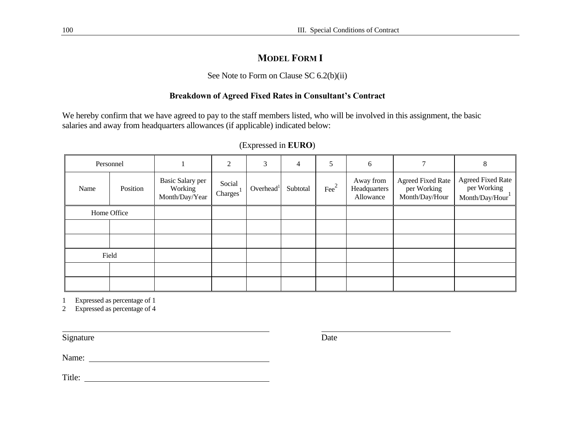### **MODEL FORM I**

#### See Note to Form on Clause SC 6.2(b)(ii)

### **Breakdown of Agreed Fixed Rates in Consultant's Contract**

We hereby confirm that we have agreed to pay to the staff members listed, who will be involved in this assignment, the basic salaries and away from headquarters allowances (if applicable) indicated below:

| Personnel   |          |                                                      | 2                               | 3                     | $\overline{4}$ | 5             | 6                                      | 7                                                         | 8                                                         |
|-------------|----------|------------------------------------------------------|---------------------------------|-----------------------|----------------|---------------|----------------------------------------|-----------------------------------------------------------|-----------------------------------------------------------|
| Name        | Position | <b>Basic Salary per</b><br>Working<br>Month/Day/Year | Social<br>Chargest <sup>1</sup> | Overhead <sup>1</sup> | Subtotal       | $\text{Fe}^2$ | Away from<br>Headquarters<br>Allowance | <b>Agreed Fixed Rate</b><br>per Working<br>Month/Day/Hour | <b>Agreed Fixed Rate</b><br>per Working<br>Month/Day/Hour |
| Home Office |          |                                                      |                                 |                       |                |               |                                        |                                                           |                                                           |
|             |          |                                                      |                                 |                       |                |               |                                        |                                                           |                                                           |
|             |          |                                                      |                                 |                       |                |               |                                        |                                                           |                                                           |
|             | Field    |                                                      |                                 |                       |                |               |                                        |                                                           |                                                           |
|             |          |                                                      |                                 |                       |                |               |                                        |                                                           |                                                           |
|             |          |                                                      |                                 |                       |                |               |                                        |                                                           |                                                           |

#### (Expressed in **EURO**)

1 Expressed as percentage of 1

2 Expressed as percentage of 4

Signature Date

Name:

Title: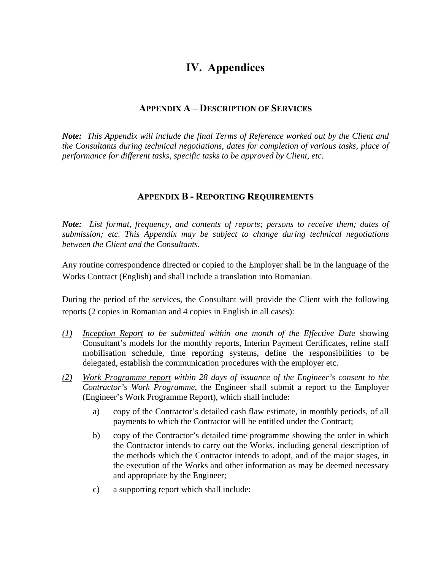## **IV. Appendices**

### **APPENDIX A – DESCRIPTION OF SERVICES**

*Note: This Appendix will include the final Terms of Reference worked out by the Client and the Consultants during technical negotiations, dates for completion of various tasks, place of performance for different tasks, specific tasks to be approved by Client, etc.* 

### **APPENDIX B - REPORTING REQUIREMENTS**

*Note: List format, frequency, and contents of reports; persons to receive them; dates of submission; etc. This Appendix may be subject to change during technical negotiations between the Client and the Consultants.* 

Any routine correspondence directed or copied to the Employer shall be in the language of the Works Contract (English) and shall include a translation into Romanian.

During the period of the services, the Consultant will provide the Client with the following reports (2 copies in Romanian and 4 copies in English in all cases):

- *(1) Inception Report to be submitted within one month of the Effective Date* showing Consultant's models for the monthly reports, Interim Payment Certificates, refine staff mobilisation schedule, time reporting systems, define the responsibilities to be delegated, establish the communication procedures with the employer etc.
- *(2) Work Programme report within 28 days of issuance of the Engineer's consent to the Contractor's Work Programme*, the Engineer shall submit a report to the Employer (Engineer's Work Programme Report), which shall include:
	- a) copy of the Contractor's detailed cash flaw estimate, in monthly periods, of all payments to which the Contractor will be entitled under the Contract;
	- b) copy of the Contractor's detailed time programme showing the order in which the Contractor intends to carry out the Works, including general description of the methods which the Contractor intends to adopt, and of the major stages, in the execution of the Works and other information as may be deemed necessary and appropriate by the Engineer;
	- c) a supporting report which shall include: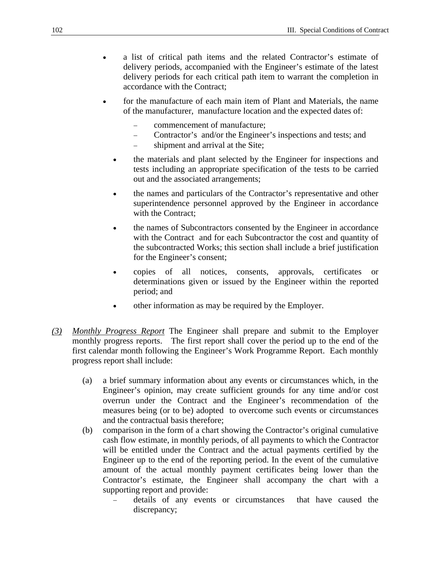- a list of critical path items and the related Contractor's estimate of delivery periods, accompanied with the Engineer's estimate of the latest delivery periods for each critical path item to warrant the completion in accordance with the Contract;
- for the manufacture of each main item of Plant and Materials, the name of the manufacturer, manufacture location and the expected dates of:
	- − commencement of manufacture;
	- − Contractor's and/or the Engineer's inspections and tests; and
	- − shipment and arrival at the Site;
	- the materials and plant selected by the Engineer for inspections and tests including an appropriate specification of the tests to be carried out and the associated arrangements;
	- the names and particulars of the Contractor's representative and other superintendence personnel approved by the Engineer in accordance with the Contract:
	- the names of Subcontractors consented by the Engineer in accordance with the Contract and for each Subcontractor the cost and quantity of the subcontracted Works; this section shall include a brief justification for the Engineer's consent;
	- copies of all notices, consents, approvals, certificates or determinations given or issued by the Engineer within the reported period; and
	- other information as may be required by the Employer.
- *(3) Monthly Progress Report* The Engineer shall prepare and submit to the Employer monthly progress reports. The first report shall cover the period up to the end of the first calendar month following the Engineer's Work Programme Report. Each monthly progress report shall include:
	- (a) a brief summary information about any events or circumstances which, in the Engineer's opinion, may create sufficient grounds for any time and/or cost overrun under the Contract and the Engineer's recommendation of the measures being (or to be) adopted to overcome such events or circumstances and the contractual basis therefore;
	- (b) comparison in the form of a chart showing the Contractor's original cumulative cash flow estimate, in monthly periods, of all payments to which the Contractor will be entitled under the Contract and the actual payments certified by the Engineer up to the end of the reporting period. In the event of the cumulative amount of the actual monthly payment certificates being lower than the Contractor's estimate, the Engineer shall accompany the chart with a supporting report and provide:
		- − details of any events or circumstances that have caused the discrepancy;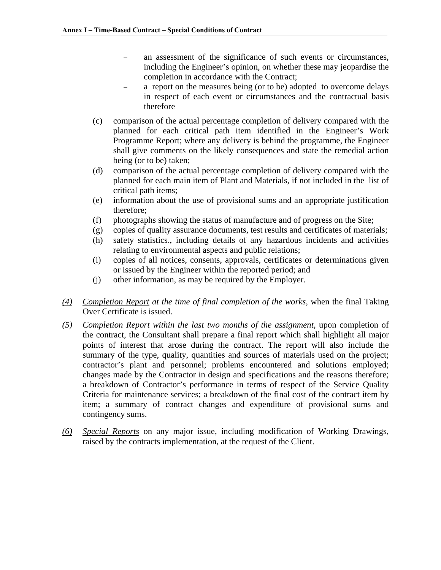- an assessment of the significance of such events or circumstances, including the Engineer's opinion, on whether these may jeopardise the completion in accordance with the Contract;
- a report on the measures being (or to be) adopted to overcome delays in respect of each event or circumstances and the contractual basis therefore
- (c) comparison of the actual percentage completion of delivery compared with the planned for each critical path item identified in the Engineer's Work Programme Report; where any delivery is behind the programme, the Engineer shall give comments on the likely consequences and state the remedial action being (or to be) taken;
- (d) comparison of the actual percentage completion of delivery compared with the planned for each main item of Plant and Materials, if not included in the list of critical path items;
- (e) information about the use of provisional sums and an appropriate justification therefore;
- (f) photographs showing the status of manufacture and of progress on the Site;
- (g) copies of quality assurance documents, test results and certificates of materials;
- (h) safety statistics., including details of any hazardous incidents and activities relating to environmental aspects and public relations;
- (i) copies of all notices, consents, approvals, certificates or determinations given or issued by the Engineer within the reported period; and
- (j) other information, as may be required by the Employer.
- *(4) Completion Report at the time of final completion of the works*, when the final Taking Over Certificate is issued.
- *(5) Completion Report within the last two months of the assignment*, upon completion of the contract, the Consultant shall prepare a final report which shall highlight all major points of interest that arose during the contract. The report will also include the summary of the type, quality, quantities and sources of materials used on the project; contractor's plant and personnel; problems encountered and solutions employed; changes made by the Contractor in design and specifications and the reasons therefore; a breakdown of Contractor's performance in terms of respect of the Service Quality Criteria for maintenance services; a breakdown of the final cost of the contract item by item; a summary of contract changes and expenditure of provisional sums and contingency sums.
- *(6) Special Reports* on any major issue, including modification of Working Drawings, raised by the contracts implementation, at the request of the Client.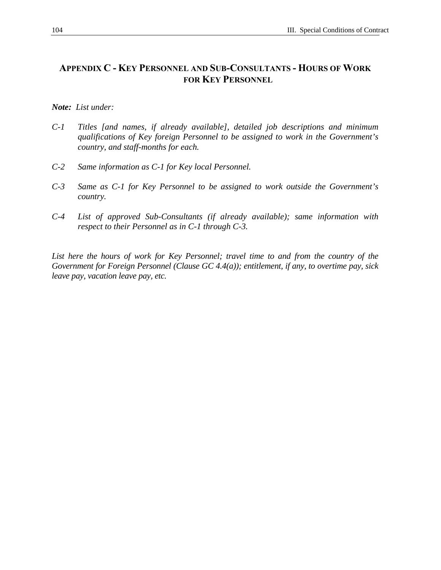### **APPENDIX C - KEY PERSONNEL AND SUB-CONSULTANTS - HOURS OF WORK FOR KEY PERSONNEL**

#### *Note: List under:*

- *C-1 Titles [and names, if already available], detailed job descriptions and minimum qualifications of Key foreign Personnel to be assigned to work in the Government's country, and staff-months for each.*
- *C-2 Same information as C-1 for Key local Personnel.*
- *C-3 Same as C-1 for Key Personnel to be assigned to work outside the Government's country.*
- *C-4 List of approved Sub-Consultants (if already available); same information with respect to their Personnel as in C-1 through C-3.*

List here the hours of work for Key Personnel; travel time to and from the country of the *Government for Foreign Personnel (Clause GC 4.4(a)); entitlement, if any, to overtime pay, sick leave pay, vacation leave pay, etc.*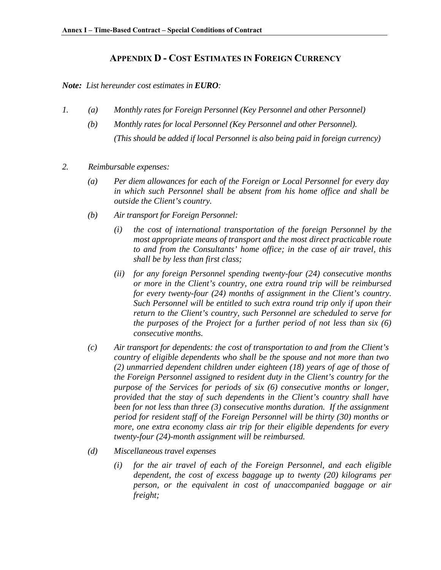### **APPENDIX D - COST ESTIMATES IN FOREIGN CURRENCY**

#### *Note: List hereunder cost estimates in EURO:*

- *1. (a) Monthly rates for Foreign Personnel (Key Personnel and other Personnel)* 
	- *(b) Monthly rates for local Personnel (Key Personnel and other Personnel). (This should be added if local Personnel is also being paid in foreign currency)*
- *2. Reimbursable expenses:* 
	- *(a) Per diem allowances for each of the Foreign or Local Personnel for every day in which such Personnel shall be absent from his home office and shall be outside the Client's country.*
	- *(b) Air transport for Foreign Personnel:* 
		- *(i) the cost of international transportation of the foreign Personnel by the most appropriate means of transport and the most direct practicable route to and from the Consultants' home office; in the case of air travel, this shall be by less than first class;*
		- *(ii) for any foreign Personnel spending twenty-four (24) consecutive months or more in the Client's country, one extra round trip will be reimbursed for every twenty-four (24) months of assignment in the Client's country. Such Personnel will be entitled to such extra round trip only if upon their return to the Client's country, such Personnel are scheduled to serve for the purposes of the Project for a further period of not less than six (6) consecutive months.*
	- *(c) Air transport for dependents: the cost of transportation to and from the Client's country of eligible dependents who shall be the spouse and not more than two (2) unmarried dependent children under eighteen (18) years of age of those of the Foreign Personnel assigned to resident duty in the Client's country for the purpose of the Services for periods of six (6) consecutive months or longer, provided that the stay of such dependents in the Client's country shall have been for not less than three (3) consecutive months duration. If the assignment period for resident staff of the Foreign Personnel will be thirty (30) months or more, one extra economy class air trip for their eligible dependents for every twenty-four (24)-month assignment will be reimbursed.*
	- *(d) Miscellaneous travel expenses* 
		- *(i) for the air travel of each of the Foreign Personnel, and each eligible dependent, the cost of excess baggage up to twenty (20) kilograms per person, or the equivalent in cost of unaccompanied baggage or air freight;*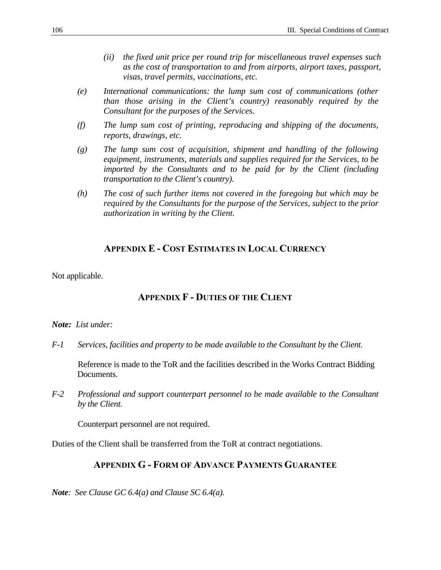- *(ii) the fixed unit price per round trip for miscellaneous travel expenses such as the cost of transportation to and from airports, airport taxes, passport, visas, travel permits, vaccinations, etc.*
- *(e) International communications: the lump sum cost of communications (other than those arising in the Client's country) reasonably required by the Consultant for the purposes of the Services.*
- *(f) The lump sum cost of printing, reproducing and shipping of the documents, reports, drawings, etc.*
- *(g) The lump sum cost of acquisition, shipment and handling of the following equipment, instruments, materials and supplies required for the Services, to be imported by the Consultants and to be paid for by the Client (including transportation to the Client's country).*
- *(h) The cost of such further items not covered in the foregoing but which may be required by the Consultants for the purpose of the Services, subject to the prior authorization in writing by the Client.*

### **APPENDIX E - COST ESTIMATES IN LOCAL CURRENCY**

Not applicable.

### **APPENDIX F - DUTIES OF THE CLIENT**

#### *Note: List under:*

*F-1 Services, facilities and property to be made available to the Consultant by the Client.* 

Reference is made to the ToR and the facilities described in the Works Contract Bidding Documents.

*F-2 Professional and support counterpart personnel to be made available to the Consultant by the Client.*

Counterpart personnel are not required.

Duties of the Client shall be transferred from the ToR at contract negotiations.

#### **APPENDIX G - FORM OF ADVANCE PAYMENTS GUARANTEE**

*Note: See Clause GC 6.4(a) and Clause SC 6.4(a).*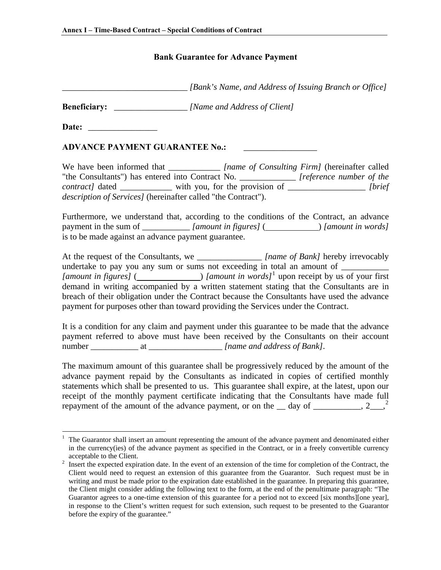## **Bank Guarantee for Advance Payment**

<span id="page-108-0"></span>*\_\_\_\_\_\_\_\_\_\_\_\_\_\_\_\_\_\_\_\_\_\_\_\_\_\_\_\_\_ [Bank's Name, and Address of Issuing Branch or Office]* 

**Beneficiary:** \_\_\_\_\_\_\_\_\_\_\_\_\_\_\_\_\_ *[Name and Address of Client]* 

Date:

 $\overline{a}$ 

## **ADVANCE PAYMENT GUARANTEE No.:**

We have been informed that *Iname of Consulting Firm]* (hereinafter called "the Consultants") has entered into Contract No. \_\_\_\_\_\_\_\_\_\_\_\_\_ *[reference number of the contract]* dated \_\_\_\_\_\_\_\_\_\_\_\_ with you, for the provision of \_\_\_\_\_\_\_\_\_\_\_\_\_\_\_\_\_\_ *[brief description of Services]* (hereinafter called "the Contract").

Furthermore, we understand that, according to the conditions of the Contract, an advance payment in the sum of \_\_\_\_\_\_\_\_\_\_\_ *[amount in figures]* ( ) *[amount in words]* is to be made against an advance payment guarantee.

At the request of the Consultants, we \_\_\_\_\_\_\_\_\_\_\_\_\_\_\_ *[name of Bank]* hereby irrevocably undertake to pay you any sum or sums not exceeding in total an amount of \_\_\_\_\_\_\_\_\_\_\_\_\_\_ *[amount in figures]* ( $\qquad \qquad$ ) *[amount in words]*<sup>[1](#page-108-0)</sup> upon receipt by us of your first demand in writing accompanied by a written statement stating that the Consultants are in breach of their obligation under the Contract because the Consultants have used the advance payment for purposes other than toward providing the Services under the Contract.

It is a condition for any claim and payment under this guarantee to be made that the advance payment referred to above must have been received by the Consultants on their account number at a state of Bank].

The maximum amount of this guarantee shall be progressively reduced by the amount of the advance payment repaid by the Consultants as indicated in copies of certified monthly statements which shall be presented to us. This guarantee shall expire, at the latest, upon our receipt of the monthly payment certificate indicating that the Consultants have made full repayment of the amount of the advance payment, or on the  $\_\_$  day of  $\_\_$ , [2](#page-108-0) $\_\_$ , 2

<sup>1</sup> The Guarantor shall insert an amount representing the amount of the advance payment and denominated either in the currency(ies) of the advance payment as specified in the Contract, or in a freely convertible currency acceptable to the Client.<br><sup>2</sup> Insert the expected expire

Insert the expected expiration date. In the event of an extension of the time for completion of the Contract, the Client would need to request an extension of this guarantee from the Guarantor. Such request must be in writing and must be made prior to the expiration date established in the guarantee. In preparing this guarantee, the Client might consider adding the following text to the form, at the end of the penultimate paragraph: "The Guarantor agrees to a one-time extension of this guarantee for a period not to exceed [six months][one year], in response to the Client's written request for such extension, such request to be presented to the Guarantor before the expiry of the guarantee."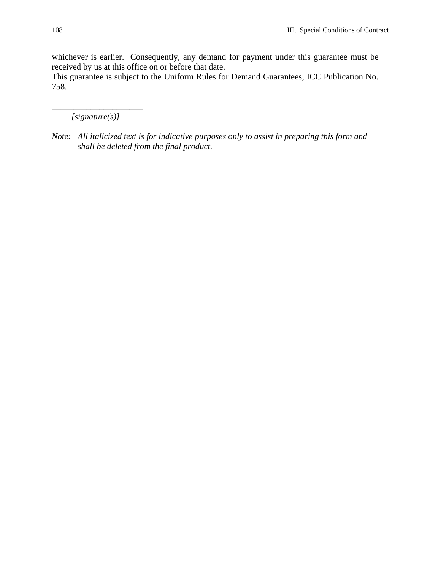whichever is earlier. Consequently, any demand for payment under this guarantee must be received by us at this office on or before that date.

This guarantee is subject to the Uniform Rules for Demand Guarantees, ICC Publication No. 758.

\_\_\_\_\_\_\_\_\_\_\_\_\_\_\_\_\_\_\_\_\_ *[signature(s)]* 

*Note: All italicized text is for indicative purposes only to assist in preparing this form and shall be deleted from the final product.*